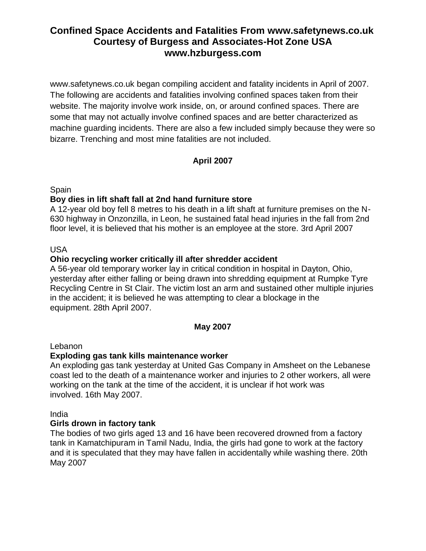www.safetynews.co.uk began compiling accident and fatality incidents in April of 2007. The following are accidents and fatalities involving confined spaces taken from their website. The majority involve work inside, on, or around confined spaces. There are some that may not actually involve confined spaces and are better characterized as machine guarding incidents. There are also a few included simply because they were so bizarre. Trenching and most mine fatalities are not included.

# **April 2007**

Spain

## **Boy dies in lift shaft fall at 2nd hand furniture store**

A 12-year old boy fell 8 metres to his death in a lift shaft at furniture premises on the N-630 highway in Onzonzilla, in Leon, he sustained fatal head injuries in the fall from 2nd floor level, it is believed that his mother is an employee at the store. 3rd April 2007

USA

## **Ohio recycling worker critically ill after shredder accident**

A 56-year old temporary worker lay in critical condition in hospital in Dayton, Ohio, yesterday after either falling or being drawn into shredding equipment at Rumpke Tyre Recycling Centre in St Clair. The victim lost an arm and sustained other multiple injuries in the accident; it is believed he was attempting to clear a blockage in the equipment. 28th April 2007.

#### **May 2007**

Lebanon

#### **Exploding gas tank kills maintenance worker**

An exploding gas tank yesterday at United Gas Company in Amsheet on the Lebanese coast led to the death of a maintenance worker and injuries to 2 other workers, all were working on the tank at the time of the accident, it is unclear if hot work was involved. 16th May 2007.

India

#### **Girls drown in factory tank**

The bodies of two girls aged 13 and 16 have been recovered drowned from a factory tank in Kamatchipuram in Tamil Nadu, India, the girls had gone to work at the factory and it is speculated that they may have fallen in accidentally while washing there. 20th May 2007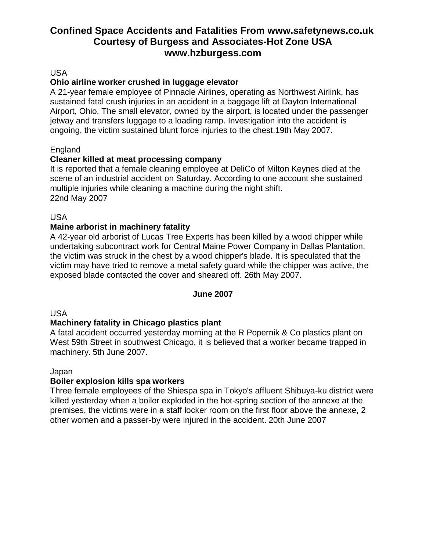#### USA

## **Ohio airline worker crushed in luggage elevator**

A 21-year female employee of Pinnacle Airlines, operating as Northwest Airlink, has sustained fatal crush injuries in an accident in a baggage lift at Dayton International Airport, Ohio. The small elevator, owned by the airport, is located under the passenger jetway and transfers luggage to a loading ramp. Investigation into the accident is ongoing, the victim sustained blunt force injuries to the chest.19th May 2007.

## England

## **Cleaner killed at meat processing company**

It is reported that a female cleaning employee at DeliCo of Milton Keynes died at the scene of an industrial accident on Saturday. According to one account she sustained multiple injuries while cleaning a machine during the night shift. 22nd May 2007

USA

## **Maine arborist in machinery fatality**

A 42-year old arborist of Lucas Tree Experts has been killed by a wood chipper while undertaking subcontract work for Central Maine Power Company in Dallas Plantation, the victim was struck in the chest by a wood chipper's blade. It is speculated that the victim may have tried to remove a metal safety guard while the chipper was active, the exposed blade contacted the cover and sheared off. 26th May 2007.

#### **June 2007**

#### USA

#### **Machinery fatality in Chicago plastics plant**

A fatal accident occurred yesterday morning at the R Popernik & Co plastics plant on West 59th Street in southwest Chicago, it is believed that a worker became trapped in machinery. 5th June 2007.

#### Japan

#### **Boiler explosion kills spa workers**

Three female employees of the Shiespa spa in Tokyo's affluent Shibuya-ku district were killed yesterday when a boiler exploded in the hot-spring section of the annexe at the premises, the victims were in a staff locker room on the first floor above the annexe, 2 other women and a passer-by were injured in the accident. 20th June 2007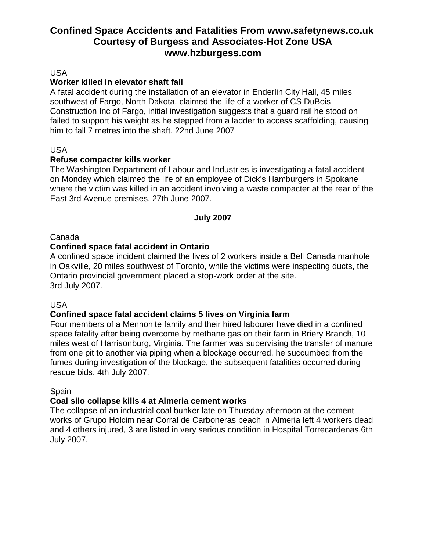#### USA

#### **Worker killed in elevator shaft fall**

A fatal accident during the installation of an elevator in Enderlin City Hall, 45 miles southwest of Fargo, North Dakota, claimed the life of a worker of CS DuBois Construction Inc of Fargo, initial investigation suggests that a guard rail he stood on failed to support his weight as he stepped from a ladder to access scaffolding, causing him to fall 7 metres into the shaft. 22nd June 2007

#### USA

#### **Refuse compacter kills worker**

The Washington Department of Labour and Industries is investigating a fatal accident on Monday which claimed the life of an employee of Dick's Hamburgers in Spokane where the victim was killed in an accident involving a waste compacter at the rear of the East 3rd Avenue premises. 27th June 2007.

#### **July 2007**

#### Canada

#### **Confined space fatal accident in Ontario**

A confined space incident claimed the lives of 2 workers inside a Bell Canada manhole in Oakville, 20 miles southwest of Toronto, while the victims were inspecting ducts, the Ontario provincial government placed a stop-work order at the site. 3rd July 2007.

#### USA

#### **Confined space fatal accident claims 5 lives on Virginia farm**

Four members of a Mennonite family and their hired labourer have died in a confined space fatality after being overcome by methane gas on their farm in Briery Branch, 10 miles west of Harrisonburg, Virginia. The farmer was supervising the transfer of manure from one pit to another via piping when a blockage occurred, he succumbed from the fumes during investigation of the blockage, the subsequent fatalities occurred during rescue bids. 4th July 2007.

#### Spain

#### **Coal silo collapse kills 4 at Almeria cement works**

The collapse of an industrial coal bunker late on Thursday afternoon at the cement works of Grupo Holcim near Corral de Carboneras beach in Almeria left 4 workers dead and 4 others injured, 3 are listed in very serious condition in Hospital Torrecardenas.6th July 2007.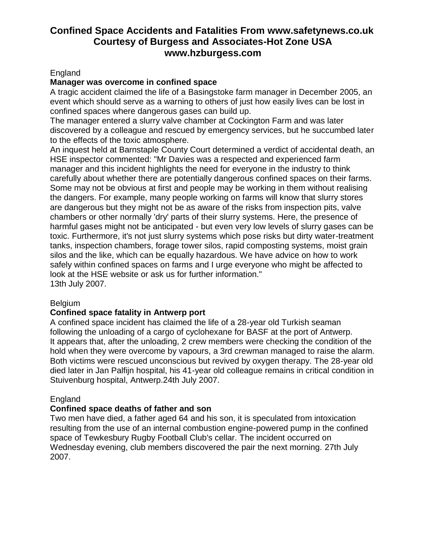#### England

#### **Manager was overcome in confined space**

A tragic accident claimed the life of a Basingstoke farm manager in December 2005, an event which should serve as a warning to others of just how easily lives can be lost in confined spaces where dangerous gases can build up.

The manager entered a slurry valve chamber at Cockington Farm and was later discovered by a colleague and rescued by emergency services, but he succumbed later to the effects of the toxic atmosphere.

An inquest held at Barnstaple County Court determined a verdict of accidental death, an HSE inspector commented: "Mr Davies was a respected and experienced farm manager and this incident highlights the need for everyone in the industry to think carefully about whether there are potentially dangerous confined spaces on their farms. Some may not be obvious at first and people may be working in them without realising the dangers. For example, many people working on farms will know that slurry stores are dangerous but they might not be as aware of the risks from inspection pits, valve chambers or other normally 'dry' parts of their slurry systems. Here, the presence of harmful gases might not be anticipated - but even very low levels of slurry gases can be toxic. Furthermore, it's not just slurry systems which pose risks but dirty water-treatment tanks, inspection chambers, forage tower silos, rapid composting systems, moist grain silos and the like, which can be equally hazardous. We have advice on how to work safely within confined spaces on farms and I urge everyone who might be affected to look at the HSE website or ask us for further information." 13th July 2007.

#### **Belgium**

# **Confined space fatality in Antwerp port**

A confined space incident has claimed the life of a 28-year old Turkish seaman following the unloading of a cargo of cyclohexane for BASF at the port of Antwerp. It appears that, after the unloading, 2 crew members were checking the condition of the hold when they were overcome by vapours, a 3rd crewman managed to raise the alarm. Both victims were rescued unconscious but revived by oxygen therapy. The 28-year old died later in Jan Palfijn hospital, his 41-year old colleague remains in critical condition in Stuivenburg hospital, Antwerp.24th July 2007.

# England

#### **Confined space deaths of father and son**

Two men have died, a father aged 64 and his son, it is speculated from intoxication resulting from the use of an internal combustion engine-powered pump in the confined space of Tewkesbury Rugby Football Club's cellar. The incident occurred on Wednesday evening, club members discovered the pair the next morning. 27th July 2007.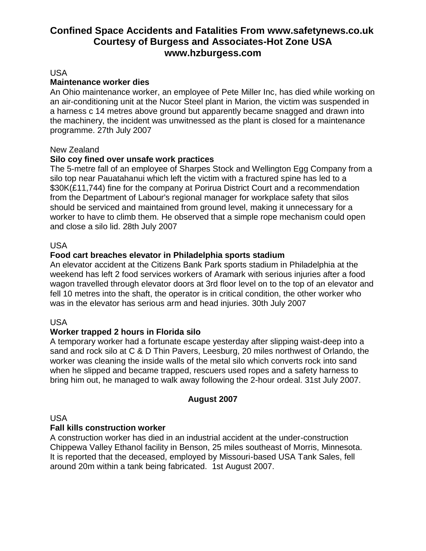#### USA

#### **Maintenance worker dies**

An Ohio maintenance worker, an employee of Pete Miller Inc, has died while working on an air-conditioning unit at the Nucor Steel plant in Marion, the victim was suspended in a harness c 14 metres above ground but apparently became snagged and drawn into the machinery, the incident was unwitnessed as the plant is closed for a maintenance programme. 27th July 2007

#### New Zealand

#### **Silo coy fined over unsafe work practices**

The 5-metre fall of an employee of Sharpes Stock and Wellington Egg Company from a silo top near Pauatahanui which left the victim with a fractured spine has led to a \$30K(£11,744) fine for the company at Porirua District Court and a recommendation from the Department of Labour's regional manager for workplace safety that silos should be serviced and maintained from ground level, making it unnecessary for a worker to have to climb them. He observed that a simple rope mechanism could open and close a silo lid. 28th July 2007

#### USA

#### **Food cart breaches elevator in Philadelphia sports stadium**

An elevator accident at the Citizens Bank Park sports stadium in Philadelphia at the weekend has left 2 food services workers of Aramark with serious injuries after a food wagon travelled through elevator doors at 3rd floor level on to the top of an elevator and fell 10 metres into the shaft, the operator is in critical condition, the other worker who was in the elevator has serious arm and head injuries. 30th July 2007

#### USA

#### **Worker trapped 2 hours in Florida silo**

A temporary worker had a fortunate escape yesterday after slipping waist-deep into a sand and rock silo at C & D Thin Pavers, Leesburg, 20 miles northwest of Orlando, the worker was cleaning the inside walls of the metal silo which converts rock into sand when he slipped and became trapped, rescuers used ropes and a safety harness to bring him out, he managed to walk away following the 2-hour ordeal. 31st July 2007.

#### **August 2007**

#### USA

#### **Fall kills construction worker**

A construction worker has died in an industrial accident at the under-construction Chippewa Valley Ethanol facility in Benson, 25 miles southeast of Morris, Minnesota. It is reported that the deceased, employed by Missouri-based USA Tank Sales, fell around 20m within a tank being fabricated. 1st August 2007.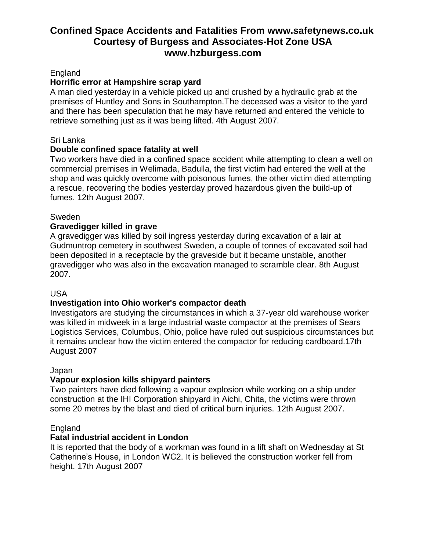### England

## **Horrific error at Hampshire scrap yard**

A man died yesterday in a vehicle picked up and crushed by a hydraulic grab at the premises of Huntley and Sons in Southampton.The deceased was a visitor to the yard and there has been speculation that he may have returned and entered the vehicle to retrieve something just as it was being lifted. 4th August 2007.

#### Sri Lanka

## **Double confined space fatality at well**

Two workers have died in a confined space accident while attempting to clean a well on commercial premises in Welimada, Badulla, the first victim had entered the well at the shop and was quickly overcome with poisonous fumes, the other victim died attempting a rescue, recovering the bodies yesterday proved hazardous given the build-up of fumes. 12th August 2007.

#### Sweden

## **Gravedigger killed in grave**

A gravedigger was killed by soil ingress yesterday during excavation of a lair at Gudmuntrop cemetery in southwest Sweden, a couple of tonnes of excavated soil had been deposited in a receptacle by the graveside but it became unstable, another gravedigger who was also in the excavation managed to scramble clear. 8th August 2007.

#### USA

# **Investigation into Ohio worker's compactor death**

Investigators are studying the circumstances in which a 37-year old warehouse worker was killed in midweek in a large industrial waste compactor at the premises of Sears Logistics Services, Columbus, Ohio, police have ruled out suspicious circumstances but it remains unclear how the victim entered the compactor for reducing cardboard.17th August 2007

#### Japan

#### **Vapour explosion kills shipyard painters**

Two painters have died following a vapour explosion while working on a ship under construction at the IHI Corporation shipyard in Aichi, Chita, the victims were thrown some 20 metres by the blast and died of critical burn injuries. 12th August 2007.

#### England

#### **Fatal industrial accident in London**

It is reported that the body of a workman was found in a lift shaft on Wednesday at St Catherine's House, in London WC2. It is believed the construction worker fell from height. 17th August 2007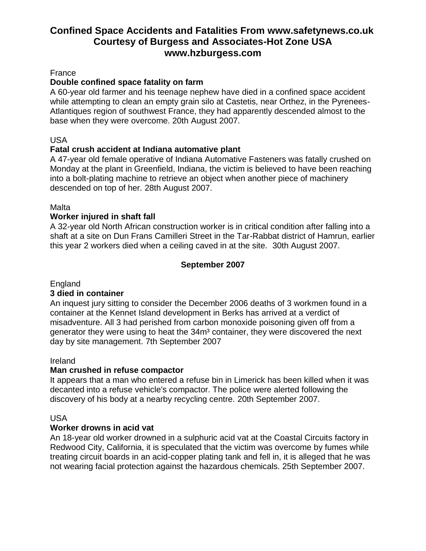#### France

### **Double confined space fatality on farm**

A 60-year old farmer and his teenage nephew have died in a confined space accident while attempting to clean an empty grain silo at Castetis, near Orthez, in the Pyrenees-Atlantiques region of southwest France, they had apparently descended almost to the base when they were overcome. 20th August 2007.

### USA

## **Fatal crush accident at Indiana automative plant**

A 47-year old female operative of Indiana Automative Fasteners was fatally crushed on Monday at the plant in Greenfield, Indiana, the victim is believed to have been reaching into a bolt-plating machine to retrieve an object when another piece of machinery descended on top of her. 28th August 2007.

## Malta

## **Worker injured in shaft fall**

A 32-year old North African construction worker is in critical condition after falling into a shaft at a site on Dun Frans Camilleri Street in the Tar-Rabbat district of Hamrun, earlier this year 2 workers died when a ceiling caved in at the site. 30th August 2007.

## **September 2007**

England

#### **3 died in container**

An inquest jury sitting to consider the December 2006 deaths of 3 workmen found in a container at the Kennet Island development in Berks has arrived at a verdict of misadventure. All 3 had perished from carbon monoxide poisoning given off from a generator they were using to heat the 34m<sup>3</sup> container, they were discovered the next day by site management. 7th September 2007

#### Ireland

# **Man crushed in refuse compactor**

It appears that a man who entered a refuse bin in Limerick has been killed when it was decanted into a refuse vehicle's compactor. The police were alerted following the discovery of his body at a nearby recycling centre. 20th September 2007.

#### USA

#### **Worker drowns in acid vat**

An 18-year old worker drowned in a sulphuric acid vat at the Coastal Circuits factory in Redwood City, California, it is speculated that the victim was overcome by fumes while treating circuit boards in an acid-copper plating tank and fell in, it is alleged that he was not wearing facial protection against the hazardous chemicals. 25th September 2007.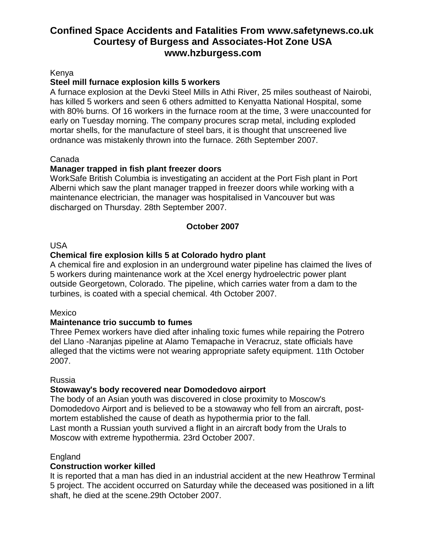#### Kenya

#### **Steel mill furnace explosion kills 5 workers**

A furnace explosion at the Devki Steel Mills in Athi River, 25 miles southeast of Nairobi, has killed 5 workers and seen 6 others admitted to Kenyatta National Hospital, some with 80% burns. Of 16 workers in the furnace room at the time, 3 were unaccounted for early on Tuesday morning. The company procures scrap metal, including exploded mortar shells, for the manufacture of steel bars, it is thought that unscreened live ordnance was mistakenly thrown into the furnace. 26th September 2007.

#### Canada

#### **Manager trapped in fish plant freezer doors**

WorkSafe British Columbia is investigating an accident at the Port Fish plant in Port Alberni which saw the plant manager trapped in freezer doors while working with a maintenance electrician, the manager was hospitalised in Vancouver but was discharged on Thursday. 28th September 2007.

#### **October 2007**

#### USA

## **Chemical fire explosion kills 5 at Colorado hydro plant**

A chemical fire and explosion in an underground water pipeline has claimed the lives of 5 workers during maintenance work at the Xcel energy hydroelectric power plant outside Georgetown, Colorado. The pipeline, which carries water from a dam to the turbines, is coated with a special chemical. 4th October 2007.

#### Mexico

#### **Maintenance trio succumb to fumes**

Three Pemex workers have died after inhaling toxic fumes while repairing the Potrero del Llano -Naranjas pipeline at Alamo Temapache in Veracruz, state officials have alleged that the victims were not wearing appropriate safety equipment. 11th October 2007.

#### Russia

#### **Stowaway's body recovered near Domodedovo airport**

The body of an Asian youth was discovered in close proximity to Moscow's Domodedovo Airport and is believed to be a stowaway who fell from an aircraft, postmortem established the cause of death as hypothermia prior to the fall. Last month a Russian youth survived a flight in an aircraft body from the Urals to Moscow with extreme hypothermia. 23rd October 2007.

#### **England**

#### **Construction worker killed**

It is reported that a man has died in an industrial accident at the new Heathrow Terminal 5 project. The accident occurred on Saturday while the deceased was positioned in a lift shaft, he died at the scene.29th October 2007.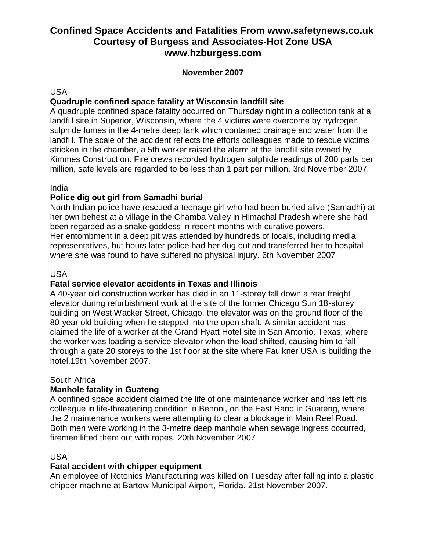### **November 2007**

#### USA

## **Quadruple confined space fatality at Wisconsin landfill site**

A quadruple confined space fatality occurred on Thursday night in a collection tank at a landfill site in Superior, Wisconsin, where the 4 victims were overcome by hydrogen sulphide fumes in the 4-metre deep tank which contained drainage and water from the landfill. The scale of the accident reflects the efforts colleagues made to rescue victims stricken in the chamber, a 5th worker raised the alarm at the landfill site owned by Kimmes Construction. Fire crews recorded hydrogen sulphide readings of 200 parts per million, safe levels are regarded to be less than 1 part per million. 3rd November 2007.

#### India

## **Police dig out girl from Samadhi burial**

North Indian police have rescued a teenage girl who had been buried alive (Samadhi) at her own behest at a village in the Chamba Valley in Himachal Pradesh where she had been regarded as a snake goddess in recent months with curative powers. Her entombment in a deep pit was attended by hundreds of locals, including media representatives, but hours later police had her dug out and transferred her to hospital where she was found to have suffered no physical injury. 6th November 2007

#### USA

#### **Fatal service elevator accidents in Texas and Illinois**

A 40-year old construction worker has died in an 11-storey fall down a rear freight elevator during refurbishment work at the site of the former Chicago Sun 18-storey building on West Wacker Street, Chicago, the elevator was on the ground floor of the 80-year old building when he stepped into the open shaft. A similar accident has claimed the life of a worker at the Grand Hyatt Hotel site in San Antonio, Texas, where the worker was loading a service elevator when the load shifted, causing him to fall through a gate 20 storeys to the 1st floor at the site where Faulkner USA is building the hotel.19th November 2007.

#### South Africa

#### **Manhole fatality in Guateng**

A confined space accident claimed the life of one maintenance worker and has left his colleague in life-threatening condition in Benoni, on the East Rand in Guateng, where the 2 maintenance workers were attempting to clear a blockage in Main Reef Road. Both men were working in the 3-metre deep manhole when sewage ingress occurred, firemen lifted them out with ropes. 20th November 2007

#### USA

#### **Fatal accident with chipper equipment**

An employee of Rotonics Manufacturing was killed on Tuesday after falling into a plastic chipper machine at Bartow Municipal Airport, Florida. 21st November 2007.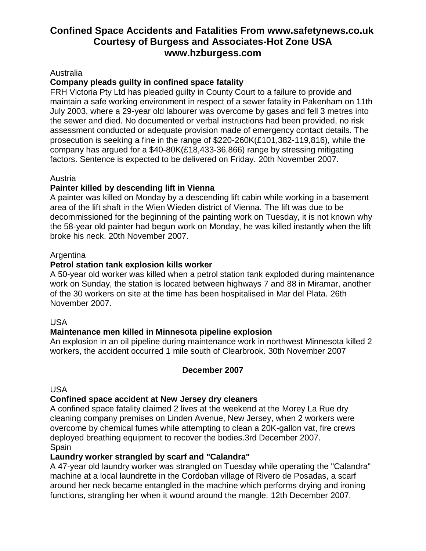#### Australia

## **Company pleads guilty in confined space fatality**

FRH Victoria Pty Ltd has pleaded guilty in County Court to a failure to provide and maintain a safe working environment in respect of a sewer fatality in Pakenham on 11th July 2003, where a 29-year old labourer was overcome by gases and fell 3 metres into the sewer and died. No documented or verbal instructions had been provided, no risk assessment conducted or adequate provision made of emergency contact details. The prosecution is seeking a fine in the range of \$220-260K(£101,382-119,816), while the company has argued for a  $$40-80K$ (£18,433-36,866) range by stressing mitigating factors. Sentence is expected to be delivered on Friday. 20th November 2007.

#### Austria

#### **Painter killed by descending lift in Vienna**

A painter was killed on Monday by a descending lift cabin while working in a basement area of the lift shaft in the Wien Wieden district of Vienna. The lift was due to be decommissioned for the beginning of the painting work on Tuesday, it is not known why the 58-year old painter had begun work on Monday, he was killed instantly when the lift broke his neck. 20th November 2007.

#### **Argentina**

#### **Petrol station tank explosion kills worker**

A 50-year old worker was killed when a petrol station tank exploded during maintenance work on Sunday, the station is located between highways 7 and 88 in Miramar, another of the 30 workers on site at the time has been hospitalised in Mar del Plata. 26th November 2007.

#### USA

#### **Maintenance men killed in Minnesota pipeline explosion**

An explosion in an oil pipeline during maintenance work in northwest Minnesota killed 2 workers, the accident occurred 1 mile south of Clearbrook. 30th November 2007

#### **December 2007**

USA

#### **Confined space accident at New Jersey dry cleaners**

A confined space fatality claimed 2 lives at the weekend at the Morey La Rue dry cleaning company premises on Linden Avenue, New Jersey, when 2 workers were overcome by chemical fumes while attempting to clean a 20K-gallon vat, fire crews deployed breathing equipment to recover the bodies.3rd December 2007. Spain

#### **Laundry worker strangled by scarf and "Calandra"**

A 47-year old laundry worker was strangled on Tuesday while operating the "Calandra" machine at a local laundrette in the Cordoban village of Rivero de Posadas, a scarf around her neck became entangled in the machine which performs drying and ironing functions, strangling her when it wound around the mangle. 12th December 2007.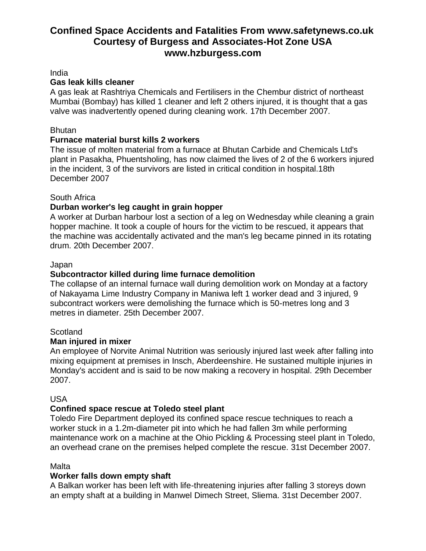India

### **Gas leak kills cleaner**

A gas leak at Rashtriya Chemicals and Fertilisers in the Chembur district of northeast Mumbai (Bombay) has killed 1 cleaner and left 2 others injured, it is thought that a gas valve was inadvertently opened during cleaning work. 17th December 2007.

### Bhutan

# **Furnace material burst kills 2 workers**

The issue of molten material from a furnace at Bhutan Carbide and Chemicals Ltd's plant in Pasakha, Phuentsholing, has now claimed the lives of 2 of the 6 workers injured in the incident, 3 of the survivors are listed in critical condition in hospital.18th December 2007

## South Africa

# **Durban worker's leg caught in grain hopper**

A worker at Durban harbour lost a section of a leg on Wednesday while cleaning a grain hopper machine. It took a couple of hours for the victim to be rescued, it appears that the machine was accidentally activated and the man's leg became pinned in its rotating drum. 20th December 2007.

#### Japan

# **Subcontractor killed during lime furnace demolition**

The collapse of an internal furnace wall during demolition work on Monday at a factory of Nakayama Lime Industry Company in Maniwa left 1 worker dead and 3 injured, 9 subcontract workers were demolishing the furnace which is 50-metres long and 3 metres in diameter. 25th December 2007.

#### **Scotland**

# **Man injured in mixer**

An employee of Norvite Animal Nutrition was seriously injured last week after falling into mixing equipment at premises in Insch, Aberdeenshire. He sustained multiple injuries in Monday's accident and is said to be now making a recovery in hospital. 29th December 2007.

#### USA

# **Confined space rescue at Toledo steel plant**

Toledo Fire Department deployed its confined space rescue techniques to reach a worker stuck in a 1.2m-diameter pit into which he had fallen 3m while performing maintenance work on a machine at the Ohio Pickling & Processing steel plant in Toledo, an overhead crane on the premises helped complete the rescue. 31st December 2007.

#### Malta

# **Worker falls down empty shaft**

A Balkan worker has been left with life-threatening injuries after falling 3 storeys down an empty shaft at a building in Manwel Dimech Street, Sliema. 31st December 2007.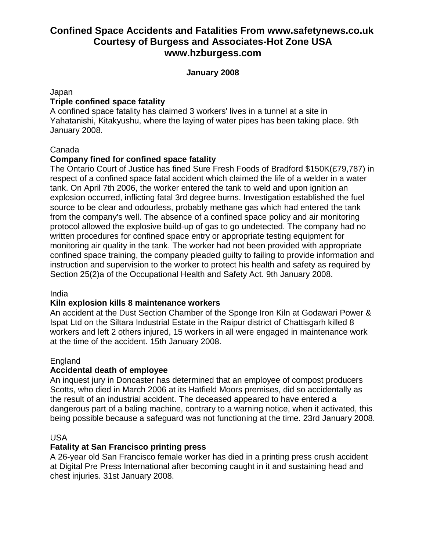#### **January 2008**

#### Japan

### **Triple confined space fatality**

A confined space fatality has claimed 3 workers' lives in a tunnel at a site in Yahatanishi, Kitakyushu, where the laying of water pipes has been taking place. 9th January 2008.

### Canada

## **Company fined for confined space fatality**

The Ontario Court of Justice has fined Sure Fresh Foods of Bradford \$150K(£79,787) in respect of a confined space fatal accident which claimed the life of a welder in a water tank. On April 7th 2006, the worker entered the tank to weld and upon ignition an explosion occurred, inflicting fatal 3rd degree burns. Investigation established the fuel source to be clear and odourless, probably methane gas which had entered the tank from the company's well. The absence of a confined space policy and air monitoring protocol allowed the explosive build-up of gas to go undetected. The company had no written procedures for confined space entry or appropriate testing equipment for monitoring air quality in the tank. The worker had not been provided with appropriate confined space training, the company pleaded guilty to failing to provide information and instruction and supervision to the worker to protect his health and safety as required by Section 25(2)a of the Occupational Health and Safety Act. 9th January 2008.

#### India

#### **Kiln explosion kills 8 maintenance workers**

An accident at the Dust Section Chamber of the Sponge Iron Kiln at Godawari Power & Ispat Ltd on the Siltara Industrial Estate in the Raipur district of Chattisgarh killed 8 workers and left 2 others injured, 15 workers in all were engaged in maintenance work at the time of the accident. 15th January 2008.

#### **England**

# **Accidental death of employee**

An inquest jury in Doncaster has determined that an employee of compost producers Scotts, who died in March 2006 at its Hatfield Moors premises, did so accidentally as the result of an industrial accident. The deceased appeared to have entered a dangerous part of a baling machine, contrary to a warning notice, when it activated, this being possible because a safeguard was not functioning at the time. 23rd January 2008.

#### USA

#### **Fatality at San Francisco printing press**

A 26-year old San Francisco female worker has died in a printing press crush accident at Digital Pre Press International after becoming caught in it and sustaining head and chest injuries. 31st January 2008.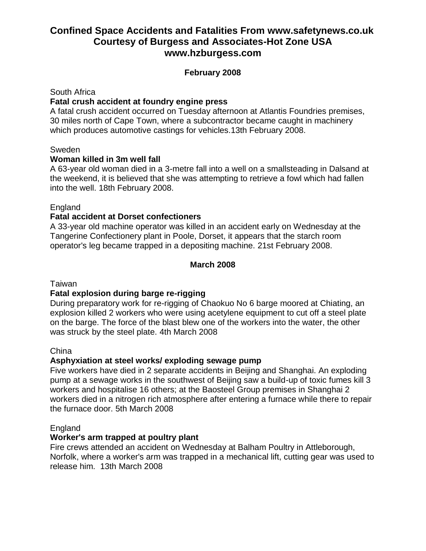## **February 2008**

#### South Africa

#### **Fatal crush accident at foundry engine press**

A fatal crush accident occurred on Tuesday afternoon at Atlantis Foundries premises, 30 miles north of Cape Town, where a subcontractor became caught in machinery which produces automotive castings for vehicles.13th February 2008.

#### Sweden

#### **Woman killed in 3m well fall**

A 63-year old woman died in a 3-metre fall into a well on a smallsteading in Dalsand at the weekend, it is believed that she was attempting to retrieve a fowl which had fallen into the well. 18th February 2008.

#### **England**

#### **Fatal accident at Dorset confectioners**

A 33-year old machine operator was killed in an accident early on Wednesday at the Tangerine Confectionery plant in Poole, Dorset, it appears that the starch room operator's leg became trapped in a depositing machine. 21st February 2008.

#### **March 2008**

#### Taiwan

#### **Fatal explosion during barge re-rigging**

During preparatory work for re-rigging of Chaokuo No 6 barge moored at Chiating, an explosion killed 2 workers who were using acetylene equipment to cut off a steel plate on the barge. The force of the blast blew one of the workers into the water, the other was struck by the steel plate. 4th March 2008

#### China

#### **Asphyxiation at steel works/ exploding sewage pump**

Five workers have died in 2 separate accidents in Beijing and Shanghai. An exploding pump at a sewage works in the southwest of Beijing saw a build-up of toxic fumes kill 3 workers and hospitalise 16 others; at the Baosteel Group premises in Shanghai 2 workers died in a nitrogen rich atmosphere after entering a furnace while there to repair the furnace door. 5th March 2008

#### England

#### **Worker's arm trapped at poultry plant**

Fire crews attended an accident on Wednesday at Balham Poultry in Attleborough, Norfolk, where a worker's arm was trapped in a mechanical lift, cutting gear was used to release him. 13th March 2008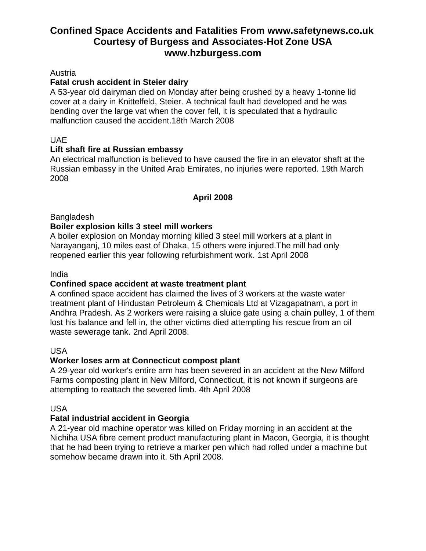#### Austria

# **Fatal crush accident in Steier dairy**

A 53-year old dairyman died on Monday after being crushed by a heavy 1-tonne lid cover at a dairy in Knittelfeld, Steier. A technical fault had developed and he was bending over the large vat when the cover fell, it is speculated that a hydraulic malfunction caused the accident.18th March 2008

## UAE

## **Lift shaft fire at Russian embassy**

An electrical malfunction is believed to have caused the fire in an elevator shaft at the Russian embassy in the United Arab Emirates, no injuries were reported. 19th March 2008

# **April 2008**

**Bangladesh** 

## **Boiler explosion kills 3 steel mill workers**

A boiler explosion on Monday morning killed 3 steel mill workers at a plant in Narayanganj, 10 miles east of Dhaka, 15 others were injured.The mill had only reopened earlier this year following refurbishment work. 1st April 2008

#### India

# **Confined space accident at waste treatment plant**

A confined space accident has claimed the lives of 3 workers at the waste water treatment plant of Hindustan Petroleum & Chemicals Ltd at Vizagapatnam, a port in Andhra Pradesh. As 2 workers were raising a sluice gate using a chain pulley, 1 of them lost his balance and fell in, the other victims died attempting his rescue from an oil waste sewerage tank. 2nd April 2008.

#### USA

# **Worker loses arm at Connecticut compost plant**

A 29-year old worker's entire arm has been severed in an accident at the New Milford Farms composting plant in New Milford, Connecticut, it is not known if surgeons are attempting to reattach the severed limb. 4th April 2008

#### USA

# **Fatal industrial accident in Georgia**

A 21-year old machine operator was killed on Friday morning in an accident at the Nichiha USA fibre cement product manufacturing plant in Macon, Georgia, it is thought that he had been trying to retrieve a marker pen which had rolled under a machine but somehow became drawn into it. 5th April 2008.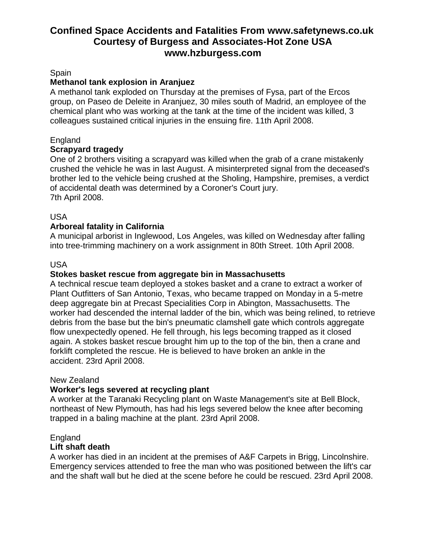#### Spain

## **Methanol tank explosion in Aranjuez**

A methanol tank exploded on Thursday at the premises of Fysa, part of the Ercos group, on Paseo de Deleite in Aranjuez, 30 miles south of Madrid, an employee of the chemical plant who was working at the tank at the time of the incident was killed, 3 colleagues sustained critical injuries in the ensuing fire. 11th April 2008.

## England

#### **Scrapyard tragedy**

One of 2 brothers visiting a scrapyard was killed when the grab of a crane mistakenly crushed the vehicle he was in last August. A misinterpreted signal from the deceased's brother led to the vehicle being crushed at the Sholing, Hampshire, premises, a verdict of accidental death was determined by a Coroner's Court jury. 7th April 2008.

#### USA

## **Arboreal fatality in California**

A municipal arborist in Inglewood, Los Angeles, was killed on Wednesday after falling into tree-trimming machinery on a work assignment in 80th Street. 10th April 2008.

#### USA

#### **Stokes basket rescue from aggregate bin in Massachusetts**

A technical rescue team deployed a stokes basket and a crane to extract a worker of Plant Outfitters of San Antonio, Texas, who became trapped on Monday in a 5-metre deep aggregate bin at Precast Specialities Corp in Abington, Massachusetts. The worker had descended the internal ladder of the bin, which was being relined, to retrieve debris from the base but the bin's pneumatic clamshell gate which controls aggregate flow unexpectedly opened. He fell through, his legs becoming trapped as it closed again. A stokes basket rescue brought him up to the top of the bin, then a crane and forklift completed the rescue. He is believed to have broken an ankle in the accident. 23rd April 2008.

#### New Zealand

#### **Worker's legs severed at recycling plant**

A worker at the Taranaki Recycling plant on Waste Management's site at Bell Block, northeast of New Plymouth, has had his legs severed below the knee after becoming trapped in a baling machine at the plant. 23rd April 2008.

#### England

#### **Lift shaft death**

A worker has died in an incident at the premises of A&F Carpets in Brigg, Lincolnshire. Emergency services attended to free the man who was positioned between the lift's car and the shaft wall but he died at the scene before he could be rescued. 23rd April 2008.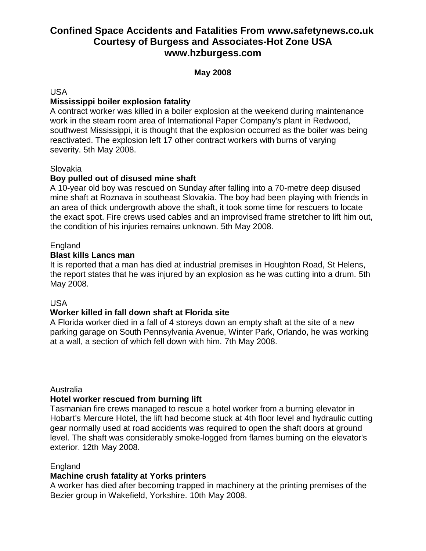### **May 2008**

USA

## **Mississippi boiler explosion fatality**

A contract worker was killed in a boiler explosion at the weekend during maintenance work in the steam room area of International Paper Company's plant in Redwood, southwest Mississippi, it is thought that the explosion occurred as the boiler was being reactivated. The explosion left 17 other contract workers with burns of varying severity. 5th May 2008.

#### Slovakia

## **Boy pulled out of disused mine shaft**

A 10-year old boy was rescued on Sunday after falling into a 70-metre deep disused mine shaft at Roznava in southeast Slovakia. The boy had been playing with friends in an area of thick undergrowth above the shaft, it took some time for rescuers to locate the exact spot. Fire crews used cables and an improvised frame stretcher to lift him out, the condition of his injuries remains unknown. 5th May 2008.

#### **England**

#### **Blast kills Lancs man**

It is reported that a man has died at industrial premises in Houghton Road, St Helens, the report states that he was injured by an explosion as he was cutting into a drum. 5th May 2008.

#### USA

#### **Worker killed in fall down shaft at Florida site**

A Florida worker died in a fall of 4 storeys down an empty shaft at the site of a new parking garage on South Pennsylvania Avenue, Winter Park, Orlando, he was working at a wall, a section of which fell down with him. 7th May 2008.

#### Australia

#### **Hotel worker rescued from burning lift**

Tasmanian fire crews managed to rescue a hotel worker from a burning elevator in Hobart's Mercure Hotel, the lift had become stuck at 4th floor level and hydraulic cutting gear normally used at road accidents was required to open the shaft doors at ground level. The shaft was considerably smoke-logged from flames burning on the elevator's exterior. 12th May 2008.

#### England

#### **Machine crush fatality at Yorks printers**

A worker has died after becoming trapped in machinery at the printing premises of the Bezier group in Wakefield, Yorkshire. 10th May 2008.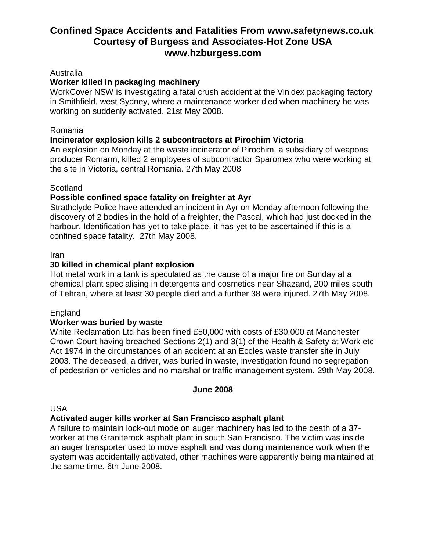#### Australia

#### **Worker killed in packaging machinery**

WorkCover NSW is investigating a fatal crush accident at the Vinidex packaging factory in Smithfield, west Sydney, where a maintenance worker died when machinery he was working on suddenly activated. 21st May 2008.

#### Romania

#### **Incinerator explosion kills 2 subcontractors at Pirochim Victoria**

An explosion on Monday at the waste incinerator of Pirochim, a subsidiary of weapons producer Romarm, killed 2 employees of subcontractor Sparomex who were working at the site in Victoria, central Romania. 27th May 2008

#### **Scotland**

## **Possible confined space fatality on freighter at Ayr**

Strathclyde Police have attended an incident in Ayr on Monday afternoon following the discovery of 2 bodies in the hold of a freighter, the Pascal, which had just docked in the harbour. Identification has yet to take place, it has yet to be ascertained if this is a confined space fatality. 27th May 2008.

#### Iran

#### **30 killed in chemical plant explosion**

Hot metal work in a tank is speculated as the cause of a major fire on Sunday at a chemical plant specialising in detergents and cosmetics near Shazand, 200 miles south of Tehran, where at least 30 people died and a further 38 were injured. 27th May 2008.

#### England

#### **Worker was buried by waste**

White Reclamation Ltd has been fined £50,000 with costs of £30,000 at Manchester Crown Court having breached Sections 2(1) and 3(1) of the Health & Safety at Work etc Act 1974 in the circumstances of an accident at an Eccles waste transfer site in July 2003. The deceased, a driver, was buried in waste, investigation found no segregation of pedestrian or vehicles and no marshal or traffic management system. 29th May 2008.

#### **June 2008**

#### USA

#### **Activated auger kills worker at San Francisco asphalt plant**

A failure to maintain lock-out mode on auger machinery has led to the death of a 37 worker at the Graniterock asphalt plant in south San Francisco. The victim was inside an auger transporter used to move asphalt and was doing maintenance work when the system was accidentally activated, other machines were apparently being maintained at the same time. 6th June 2008.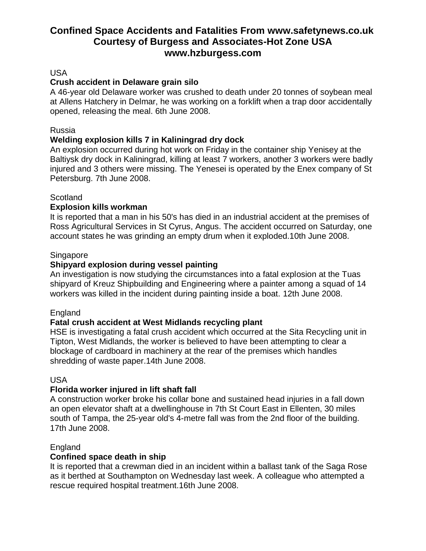### USA

## **Crush accident in Delaware grain silo**

A 46-year old Delaware worker was crushed to death under 20 tonnes of soybean meal at Allens Hatchery in Delmar, he was working on a forklift when a trap door accidentally opened, releasing the meal. 6th June 2008.

#### Russia

# **Welding explosion kills 7 in Kaliningrad dry dock**

An explosion occurred during hot work on Friday in the container ship Yenisey at the Baltiysk dry dock in Kaliningrad, killing at least 7 workers, another 3 workers were badly injured and 3 others were missing. The Yenesei is operated by the Enex company of St Petersburg. 7th June 2008.

#### **Scotland**

## **Explosion kills workman**

It is reported that a man in his 50's has died in an industrial accident at the premises of Ross Agricultural Services in St Cyrus, Angus. The accident occurred on Saturday, one account states he was grinding an empty drum when it exploded.10th June 2008.

#### Singapore

## **Shipyard explosion during vessel painting**

An investigation is now studying the circumstances into a fatal explosion at the Tuas shipyard of Kreuz Shipbuilding and Engineering where a painter among a squad of 14 workers was killed in the incident during painting inside a boat. 12th June 2008.

#### England

# **Fatal crush accident at West Midlands recycling plant**

HSE is investigating a fatal crush accident which occurred at the Sita Recycling unit in Tipton, West Midlands, the worker is believed to have been attempting to clear a blockage of cardboard in machinery at the rear of the premises which handles shredding of waste paper.14th June 2008.

#### USA

# **Florida worker injured in lift shaft fall**

A construction worker broke his collar bone and sustained head injuries in a fall down an open elevator shaft at a dwellinghouse in 7th St Court East in Ellenten, 30 miles south of Tampa, the 25-year old's 4-metre fall was from the 2nd floor of the building. 17th June 2008.

# England

#### **Confined space death in ship**

It is reported that a crewman died in an incident within a ballast tank of the Saga Rose as it berthed at Southampton on Wednesday last week. A colleague who attempted a rescue required hospital treatment.16th June 2008.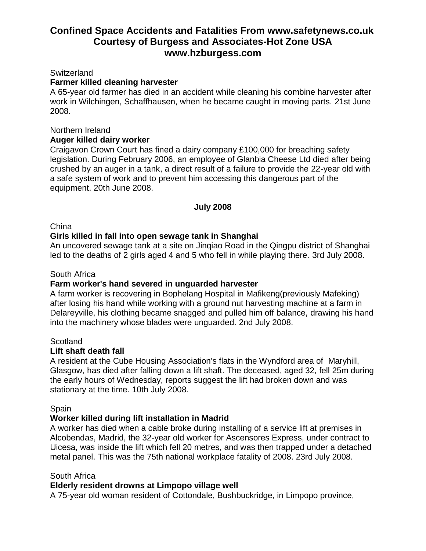#### Switzerland

#### **Farmer killed cleaning harvester**

A 65-year old farmer has died in an accident while cleaning his combine harvester after work in Wilchingen, Schaffhausen, when he became caught in moving parts. 21st June 2008.

#### Northern Ireland

#### **Auger killed dairy worker**

Craigavon Crown Court has fined a dairy company £100,000 for breaching safety legislation. During February 2006, an employee of Glanbia Cheese Ltd died after being crushed by an auger in a tank, a direct result of a failure to provide the 22-year old with a safe system of work and to prevent him accessing this dangerous part of the equipment. 20th June 2008.

#### **July 2008**

#### **China**

#### **Girls killed in fall into open sewage tank in Shanghai**

An uncovered sewage tank at a site on Jinqiao Road in the Qingpu district of Shanghai led to the deaths of 2 girls aged 4 and 5 who fell in while playing there. 3rd July 2008.

#### South Africa

#### **Farm worker's hand severed in unguarded harvester**

A farm worker is recovering in Bophelang Hospital in Mafikeng(previously Mafeking) after losing his hand while working with a ground nut harvesting machine at a farm in Delareyville, his clothing became snagged and pulled him off balance, drawing his hand into the machinery whose blades were unguarded. 2nd July 2008.

#### **Scotland**

#### **Lift shaft death fall**

A resident at the Cube Housing Association's flats in the Wyndford area of Maryhill, Glasgow, has died after falling down a lift shaft. The deceased, aged 32, fell 25m during the early hours of Wednesday, reports suggest the lift had broken down and was stationary at the time. 10th July 2008.

#### **Spain**

#### **Worker killed during lift installation in Madrid**

A worker has died when a cable broke during installing of a service lift at premises in Alcobendas, Madrid, the 32-year old worker for Ascensores Express, under contract to Uicesa, was inside the lift which fell 20 metres, and was then trapped under a detached metal panel. This was the 75th national workplace fatality of 2008. 23rd July 2008.

#### South Africa

#### **Elderly resident drowns at Limpopo village well**

A 75-year old woman resident of Cottondale, Bushbuckridge, in Limpopo province,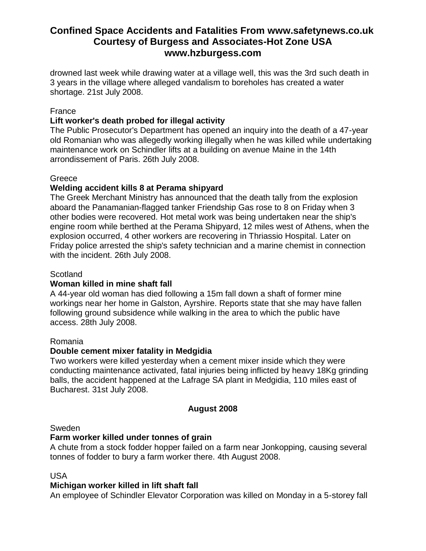drowned last week while drawing water at a village well, this was the 3rd such death in 3 years in the village where alleged vandalism to boreholes has created a water shortage. 21st July 2008.

### France

# **Lift worker's death probed for illegal activity**

The Public Prosecutor's Department has opened an inquiry into the death of a 47-year old Romanian who was allegedly working illegally when he was killed while undertaking maintenance work on Schindler lifts at a building on avenue Maine in the 14th arrondissement of Paris. 26th July 2008.

#### Greece

#### **Welding accident kills 8 at Perama shipyard**

The Greek Merchant Ministry has announced that the death tally from the explosion aboard the Panamanian-flagged tanker Friendship Gas rose to 8 on Friday when 3 other bodies were recovered. Hot metal work was being undertaken near the ship's engine room while berthed at the Perama Shipyard, 12 miles west of Athens, when the explosion occurred, 4 other workers are recovering in Thriassio Hospital. Later on Friday police arrested the ship's safety technician and a marine chemist in connection with the incident. 26th July 2008.

#### **Scotland**

#### **Woman killed in mine shaft fall**

A 44-year old woman has died following a 15m fall down a shaft of former mine workings near her home in Galston, Ayrshire. Reports state that she may have fallen following ground subsidence while walking in the area to which the public have access. 28th July 2008.

#### Romania

#### **Double cement mixer fatality in Medgidia**

Two workers were killed yesterday when a cement mixer inside which they were conducting maintenance activated, fatal injuries being inflicted by heavy 18Kg grinding balls, the accident happened at the Lafrage SA plant in Medgidia, 110 miles east of Bucharest. 31st July 2008.

#### **August 2008**

#### Sweden

#### **Farm worker killed under tonnes of grain**

A chute from a stock fodder hopper failed on a farm near Jonkopping, causing several tonnes of fodder to bury a farm worker there. 4th August 2008.

#### USA

#### **Michigan worker killed in lift shaft fall**

An employee of Schindler Elevator Corporation was killed on Monday in a 5-storey fall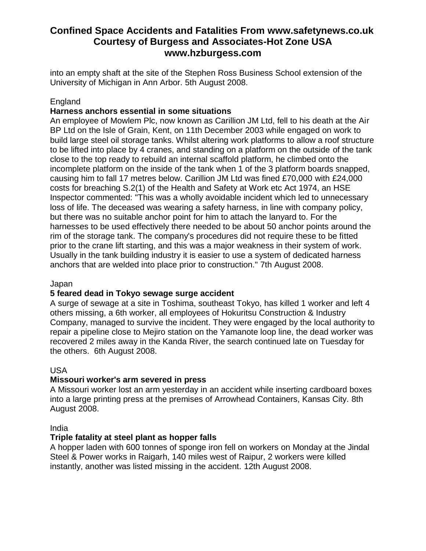into an empty shaft at the site of the Stephen Ross Business School extension of the University of Michigan in Ann Arbor. 5th August 2008.

# **England**

## **Harness anchors essential in some situations**

An employee of Mowlem Plc, now known as Carillion JM Ltd, fell to his death at the Air BP Ltd on the Isle of Grain, Kent, on 11th December 2003 while engaged on work to build large steel oil storage tanks. Whilst altering work platforms to allow a roof structure to be lifted into place by 4 cranes, and standing on a platform on the outside of the tank close to the top ready to rebuild an internal scaffold platform, he climbed onto the incomplete platform on the inside of the tank when 1 of the 3 platform boards snapped, causing him to fall 17 metres below. Carillion JM Ltd was fined £70,000 with £24,000 costs for breaching S.2(1) of the Health and Safety at Work etc Act 1974, an HSE Inspector commented: "This was a wholly avoidable incident which led to unnecessary loss of life. The deceased was wearing a safety harness, in line with company policy, but there was no suitable anchor point for him to attach the lanyard to. For the harnesses to be used effectively there needed to be about 50 anchor points around the rim of the storage tank. The company's procedures did not require these to be fitted prior to the crane lift starting, and this was a major weakness in their system of work. Usually in the tank building industry it is easier to use a system of dedicated harness anchors that are welded into place prior to construction." 7th August 2008.

#### Japan

#### **5 feared dead in Tokyo sewage surge accident**

A surge of sewage at a site in Toshima, southeast Tokyo, has killed 1 worker and left 4 others missing, a 6th worker, all employees of Hokuritsu Construction & Industry Company, managed to survive the incident. They were engaged by the local authority to repair a pipeline close to Mejiro station on the Yamanote loop line, the dead worker was recovered 2 miles away in the Kanda River, the search continued late on Tuesday for the others. 6th August 2008.

#### USA

#### **Missouri worker's arm severed in press**

A Missouri worker lost an arm yesterday in an accident while inserting cardboard boxes into a large printing press at the premises of Arrowhead Containers, Kansas City. 8th August 2008.

#### India

#### **Triple fatality at steel plant as hopper falls**

A hopper laden with 600 tonnes of sponge iron fell on workers on Monday at the Jindal Steel & Power works in Raigarh, 140 miles west of Raipur, 2 workers were killed instantly, another was listed missing in the accident. 12th August 2008.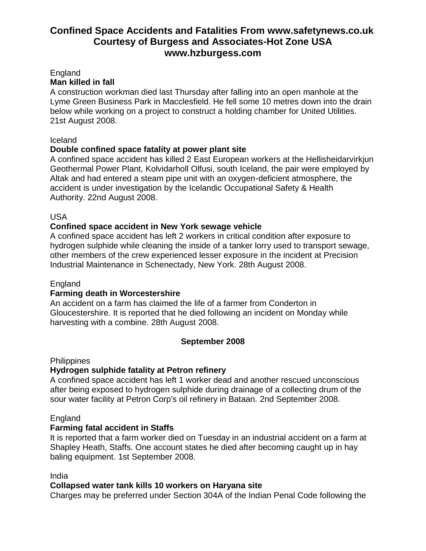#### England

### **Man killed in fall**

A construction workman died last Thursday after falling into an open manhole at the Lyme Green Business Park in Macclesfield. He fell some 10 metres down into the drain below while working on a project to construct a holding chamber for United Utilities. 21st August 2008.

## Iceland

## **Double confined space fatality at power plant site**

A confined space accident has killed 2 East European workers at the Hellisheidarvirkjun Geothermal Power Plant, Kolvidarholl Olfusi, south Iceland, the pair were employed by Altak and had entered a steam pipe unit with an oxygen-deficient atmosphere, the accident is under investigation by the Icelandic Occupational Safety & Health Authority. 22nd August 2008.

## USA

# **Confined space accident in New York sewage vehicle**

A confined space accident has left 2 workers in critical condition after exposure to hydrogen sulphide while cleaning the inside of a tanker lorry used to transport sewage, other members of the crew experienced lesser exposure in the incident at Precision Industrial Maintenance in Schenectady, New York. 28th August 2008.

#### England

#### **Farming death in Worcestershire**

An accident on a farm has claimed the life of a farmer from Conderton in Gloucestershire. It is reported that he died following an incident on Monday while harvesting with a combine. 28th August 2008.

# **September 2008**

**Philippines** 

# **Hydrogen sulphide fatality at Petron refinery**

A confined space accident has left 1 worker dead and another rescued unconscious after being exposed to hydrogen sulphide during drainage of a collecting drum of the sour water facility at Petron Corp's oil refinery in Bataan. 2nd September 2008.

#### **England**

# **Farming fatal accident in Staffs**

It is reported that a farm worker died on Tuesday in an industrial accident on a farm at Shapley Heath, Staffs. One account states he died after becoming caught up in hay baling equipment. 1st September 2008.

#### India

# **Collapsed water tank kills 10 workers on Haryana site**

Charges may be preferred under Section 304A of the Indian Penal Code following the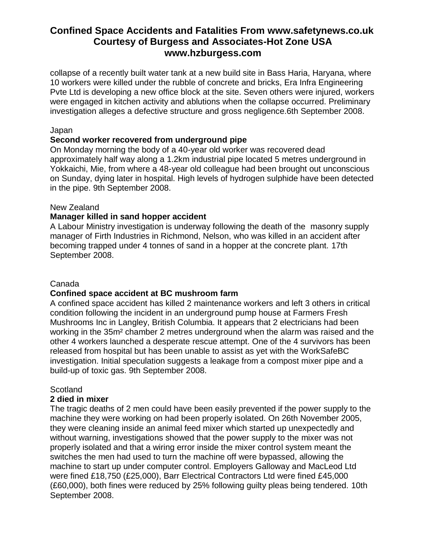collapse of a recently built water tank at a new build site in Bass Haria, Haryana, where 10 workers were killed under the rubble of concrete and bricks, Era Infra Engineering Pvte Ltd is developing a new office block at the site. Seven others were injured, workers were engaged in kitchen activity and ablutions when the collapse occurred. Preliminary investigation alleges a defective structure and gross negligence.6th September 2008.

#### Japan

#### **Second worker recovered from underground pipe**

On Monday morning the body of a 40-year old worker was recovered dead approximately half way along a 1.2km industrial pipe located 5 metres underground in Yokkaichi, Mie, from where a 48-year old colleague had been brought out unconscious on Sunday, dying later in hospital. High levels of hydrogen sulphide have been detected in the pipe. 9th September 2008.

#### New Zealand

#### **Manager killed in sand hopper accident**

A Labour Ministry investigation is underway following the death of the masonry supply manager of Firth Industries in Richmond, Nelson, who was killed in an accident after becoming trapped under 4 tonnes of sand in a hopper at the concrete plant. 17th September 2008.

#### Canada

#### **Confined space accident at BC mushroom farm**

A confined space accident has killed 2 maintenance workers and left 3 others in critical condition following the incident in an underground pump house at Farmers Fresh Mushrooms Inc in Langley, British Columbia. It appears that 2 electricians had been working in the 35m² chamber 2 metres underground when the alarm was raised and the other 4 workers launched a desperate rescue attempt. One of the 4 survivors has been released from hospital but has been unable to assist as yet with the WorkSafeBC investigation. Initial speculation suggests a leakage from a compost mixer pipe and a build-up of toxic gas. 9th September 2008.

#### **Scotland**

#### **2 died in mixer**

The tragic deaths of 2 men could have been easily prevented if the power supply to the machine they were working on had been properly isolated. On 26th November 2005, they were cleaning inside an animal feed mixer which started up unexpectedly and without warning, investigations showed that the power supply to the mixer was not properly isolated and that a wiring error inside the mixer control system meant the switches the men had used to turn the machine off were bypassed, allowing the machine to start up under computer control. Employers Galloway and MacLeod Ltd were fined £18,750 (£25,000), Barr Electrical Contractors Ltd were fined £45,000 (£60,000), both fines were reduced by 25% following guilty pleas being tendered. 10th September 2008.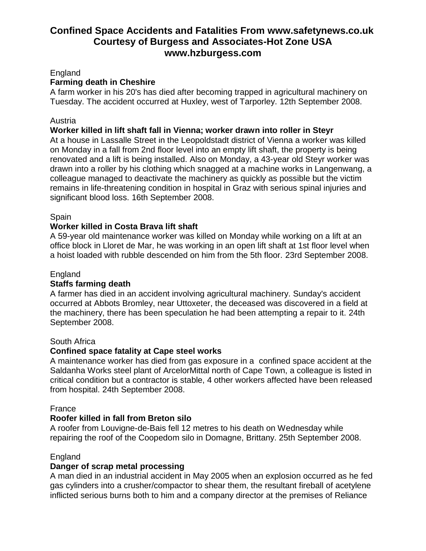### England

## **Farming death in Cheshire**

A farm worker in his 20's has died after becoming trapped in agricultural machinery on Tuesday. The accident occurred at Huxley, west of Tarporley. 12th September 2008.

### Austria

## **Worker killed in lift shaft fall in Vienna; worker drawn into roller in Steyr**

At a house in Lassalle Street in the Leopoldstadt district of Vienna a worker was killed on Monday in a fall from 2nd floor level into an empty lift shaft, the property is being renovated and a lift is being installed. Also on Monday, a 43-year old Steyr worker was drawn into a roller by his clothing which snagged at a machine works in Langenwang, a colleague managed to deactivate the machinery as quickly as possible but the victim remains in life-threatening condition in hospital in Graz with serious spinal injuries and significant blood loss. 16th September 2008.

## **Spain**

## **Worker killed in Costa Brava lift shaft**

A 59-year old maintenance worker was killed on Monday while working on a lift at an office block in Lloret de Mar, he was working in an open lift shaft at 1st floor level when a hoist loaded with rubble descended on him from the 5th floor. 23rd September 2008.

### England

#### **Staffs farming death**

A farmer has died in an accident involving agricultural machinery. Sunday's accident occurred at Abbots Bromley, near Uttoxeter, the deceased was discovered in a field at the machinery, there has been speculation he had been attempting a repair to it. 24th September 2008.

#### South Africa

#### **Confined space fatality at Cape steel works**

A maintenance worker has died from gas exposure in a confined space accident at the Saldanha Works steel plant of ArcelorMittal north of Cape Town, a colleague is listed in critical condition but a contractor is stable, 4 other workers affected have been released from hospital. 24th September 2008.

#### France

# **Roofer killed in fall from Breton silo**

A roofer from Louvigne-de-Bais fell 12 metres to his death on Wednesday while repairing the roof of the Coopedom silo in Domagne, Brittany. 25th September 2008.

#### **England**

#### **Danger of scrap metal processing**

A man died in an industrial accident in May 2005 when an explosion occurred as he fed gas cylinders into a crusher/compactor to shear them, the resultant fireball of acetylene inflicted serious burns both to him and a company director at the premises of Reliance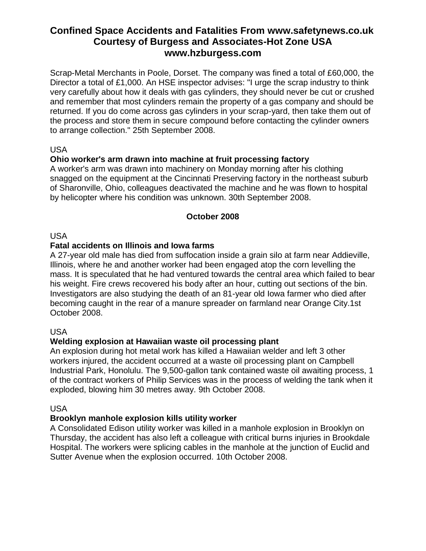Scrap-Metal Merchants in Poole, Dorset. The company was fined a total of £60,000, the Director a total of £1,000. An HSE inspector advises: "I urge the scrap industry to think very carefully about how it deals with gas cylinders, they should never be cut or crushed and remember that most cylinders remain the property of a gas company and should be returned. If you do come across gas cylinders in your scrap-yard, then take them out of the process and store them in secure compound before contacting the cylinder owners to arrange collection." 25th September 2008.

## USA

# **Ohio worker's arm drawn into machine at fruit processing factory**

A worker's arm was drawn into machinery on Monday morning after his clothing snagged on the equipment at the Cincinnati Preserving factory in the northeast suburb of Sharonville, Ohio, colleagues deactivated the machine and he was flown to hospital by helicopter where his condition was unknown. 30th September 2008.

#### **October 2008**

#### USA

#### **Fatal accidents on Illinois and Iowa farms**

A 27-year old male has died from suffocation inside a grain silo at farm near Addieville, Illinois, where he and another worker had been engaged atop the corn levelling the mass. It is speculated that he had ventured towards the central area which failed to bear his weight. Fire crews recovered his body after an hour, cutting out sections of the bin. Investigators are also studying the death of an 81-year old Iowa farmer who died after becoming caught in the rear of a manure spreader on farmland near Orange City.1st October 2008.

#### USA

#### **Welding explosion at Hawaiian waste oil processing plant**

An explosion during hot metal work has killed a Hawaiian welder and left 3 other workers injured, the accident occurred at a waste oil processing plant on Campbell Industrial Park, Honolulu. The 9,500-gallon tank contained waste oil awaiting process, 1 of the contract workers of Philip Services was in the process of welding the tank when it exploded, blowing him 30 metres away. 9th October 2008.

#### USA

#### **Brooklyn manhole explosion kills utility worker**

A Consolidated Edison utility worker was killed in a manhole explosion in Brooklyn on Thursday, the accident has also left a colleague with critical burns injuries in Brookdale Hospital. The workers were splicing cables in the manhole at the junction of Euclid and Sutter Avenue when the explosion occurred. 10th October 2008.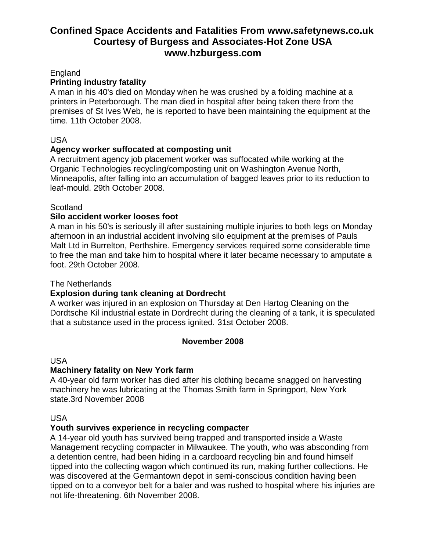England

# **Printing industry fatality**

A man in his 40's died on Monday when he was crushed by a folding machine at a printers in Peterborough. The man died in hospital after being taken there from the premises of St Ives Web, he is reported to have been maintaining the equipment at the time. 11th October 2008.

## USA

# **Agency worker suffocated at composting unit**

A recruitment agency job placement worker was suffocated while working at the Organic Technologies recycling/composting unit on Washington Avenue North, Minneapolis, after falling into an accumulation of bagged leaves prior to its reduction to leaf-mould. 29th October 2008.

## **Scotland**

## **Silo accident worker looses foot**

A man in his 50's is seriously ill after sustaining multiple injuries to both legs on Monday afternoon in an industrial accident involving silo equipment at the premises of Pauls Malt Ltd in Burrelton, Perthshire. Emergency services required some considerable time to free the man and take him to hospital where it later became necessary to amputate a foot. 29th October 2008.

# The Netherlands

# **Explosion during tank cleaning at Dordrecht**

A worker was injured in an explosion on Thursday at Den Hartog Cleaning on the Dordtsche Kil industrial estate in Dordrecht during the cleaning of a tank, it is speculated that a substance used in the process ignited. 31st October 2008.

#### **November 2008**

USA

# **Machinery fatality on New York farm**

A 40-year old farm worker has died after his clothing became snagged on harvesting machinery he was lubricating at the Thomas Smith farm in Springport, New York state.3rd November 2008

#### USA

# **Youth survives experience in recycling compacter**

A 14-year old youth has survived being trapped and transported inside a Waste Management recycling compacter in Milwaukee. The youth, who was absconding from a detention centre, had been hiding in a cardboard recycling bin and found himself tipped into the collecting wagon which continued its run, making further collections. He was discovered at the Germantown depot in semi-conscious condition having been tipped on to a conveyor belt for a baler and was rushed to hospital where his injuries are not life-threatening. 6th November 2008.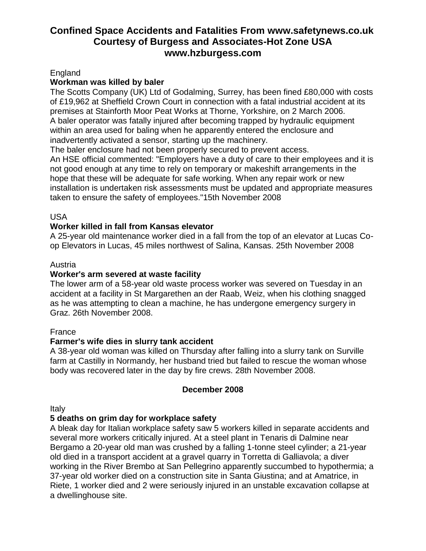### England

### **Workman was killed by baler**

The Scotts Company (UK) Ltd of Godalming, Surrey, has been fined £80,000 with costs of £19,962 at Sheffield Crown Court in connection with a fatal industrial accident at its premises at Stainforth Moor Peat Works at Thorne, Yorkshire, on 2 March 2006. A baler operator was fatally injured after becoming trapped by hydraulic equipment within an area used for baling when he apparently entered the enclosure and inadvertently activated a sensor, starting up the machinery.

The baler enclosure had not been properly secured to prevent access.

An HSE official commented: "Employers have a duty of care to their employees and it is not good enough at any time to rely on temporary or makeshift arrangements in the hope that these will be adequate for safe working. When any repair work or new installation is undertaken risk assessments must be updated and appropriate measures taken to ensure the safety of employees."15th November 2008

USA

## **Worker killed in fall from Kansas elevator**

A 25-year old maintenance worker died in a fall from the top of an elevator at Lucas Coop Elevators in Lucas, 45 miles northwest of Salina, Kansas. 25th November 2008

#### Austria

## **Worker's arm severed at waste facility**

The lower arm of a 58-year old waste process worker was severed on Tuesday in an accident at a facility in St Margarethen an der Raab, Weiz, when his clothing snagged as he was attempting to clean a machine, he has undergone emergency surgery in Graz. 26th November 2008.

# France

# **Farmer's wife dies in slurry tank accident**

A 38-year old woman was killed on Thursday after falling into a slurry tank on Surville farm at Castilly in Normandy, her husband tried but failed to rescue the woman whose body was recovered later in the day by fire crews. 28th November 2008.

# **December 2008**

Italy

# **5 deaths on grim day for workplace safety**

A bleak day for Italian workplace safety saw 5 workers killed in separate accidents and several more workers critically injured. At a steel plant in Tenaris di Dalmine near Bergamo a 20-year old man was crushed by a falling 1-tonne steel cylinder; a 21-year old died in a transport accident at a gravel quarry in Torretta di Galliavola; a diver working in the River Brembo at San Pellegrino apparently succumbed to hypothermia; a 37-year old worker died on a construction site in Santa Giustina; and at Amatrice, in Riete, 1 worker died and 2 were seriously injured in an unstable excavation collapse at a dwellinghouse site.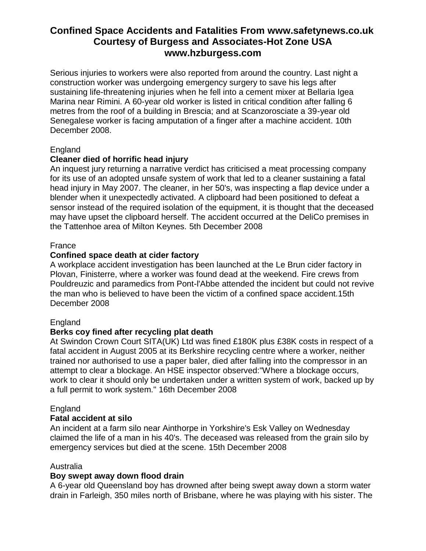Serious injuries to workers were also reported from around the country. Last night a construction worker was undergoing emergency surgery to save his legs after sustaining life-threatening injuries when he fell into a cement mixer at Bellaria Igea Marina near Rimini. A 60-year old worker is listed in critical condition after falling 6 metres from the roof of a building in Brescia; and at Scanzorosciate a 39-year old Senegalese worker is facing amputation of a finger after a machine accident. 10th December 2008.

## England

## **Cleaner died of horrific head injury**

An inquest jury returning a narrative verdict has criticised a meat processing company for its use of an adopted unsafe system of work that led to a cleaner sustaining a fatal head injury in May 2007. The cleaner, in her 50's, was inspecting a flap device under a blender when it unexpectedly activated. A clipboard had been positioned to defeat a sensor instead of the required isolation of the equipment, it is thought that the deceased may have upset the clipboard herself. The accident occurred at the DeliCo premises in the Tattenhoe area of Milton Keynes. 5th December 2008

#### France

## **Confined space death at cider factory**

A workplace accident investigation has been launched at the Le Brun cider factory in Plovan, Finisterre, where a worker was found dead at the weekend. Fire crews from Pouldreuzic and paramedics from Pont-l'Abbe attended the incident but could not revive the man who is believed to have been the victim of a confined space accident.15th December 2008

#### **England**

#### **Berks coy fined after recycling plat death**

At Swindon Crown Court SITA(UK) Ltd was fined £180K plus £38K costs in respect of a fatal accident in August 2005 at its Berkshire recycling centre where a worker, neither trained nor authorised to use a paper baler, died after falling into the compressor in an attempt to clear a blockage. An HSE inspector observed:"Where a blockage occurs, work to clear it should only be undertaken under a written system of work, backed up by a full permit to work system." 16th December 2008

#### England

#### **Fatal accident at silo**

An incident at a farm silo near Ainthorpe in Yorkshire's Esk Valley on Wednesday claimed the life of a man in his 40's. The deceased was released from the grain silo by emergency services but died at the scene. 15th December 2008

# Australia

#### **Boy swept away down flood drain**

A 6-year old Queensland boy has drowned after being swept away down a storm water drain in Farleigh, 350 miles north of Brisbane, where he was playing with his sister. The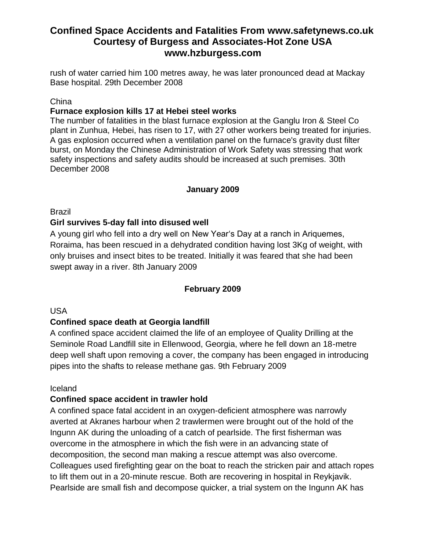rush of water carried him 100 metres away, he was later pronounced dead at Mackay Base hospital. 29th December 2008

#### **China**

#### **Furnace explosion kills 17 at Hebei steel works**

The number of fatalities in the blast furnace explosion at the Ganglu Iron & Steel Co plant in Zunhua, Hebei, has risen to 17, with 27 other workers being treated for injuries. A gas explosion occurred when a ventilation panel on the furnace's gravity dust filter burst, on Monday the Chinese Administration of Work Safety was stressing that work safety inspections and safety audits should be increased at such premises. 30th December 2008

#### **January 2009**

Brazil

## **Girl survives 5-day fall into disused well**

A young girl who fell into a dry well on New Year's Day at a ranch in Ariquemes, Roraima, has been rescued in a dehydrated condition having lost 3Kg of weight, with only bruises and insect bites to be treated. Initially it was feared that she had been swept away in a river. 8th January 2009

#### **February 2009**

#### USA

#### **Confined space death at Georgia landfill**

A confined space accident claimed the life of an employee of Quality Drilling at the Seminole Road Landfill site in Ellenwood, Georgia, where he fell down an 18-metre deep well shaft upon removing a cover, the company has been engaged in introducing pipes into the shafts to release methane gas. 9th February 2009

#### Iceland

#### **Confined space accident in trawler hold**

A confined space fatal accident in an oxygen-deficient atmosphere was narrowly averted at Akranes harbour when 2 trawlermen were brought out of the hold of the Ingunn AK during the unloading of a catch of pearlside. The first fisherman was overcome in the atmosphere in which the fish were in an advancing state of decomposition, the second man making a rescue attempt was also overcome. Colleagues used firefighting gear on the boat to reach the stricken pair and attach ropes to lift them out in a 20-minute rescue. Both are recovering in hospital in Reykjavik. Pearlside are small fish and decompose quicker, a trial system on the Ingunn AK has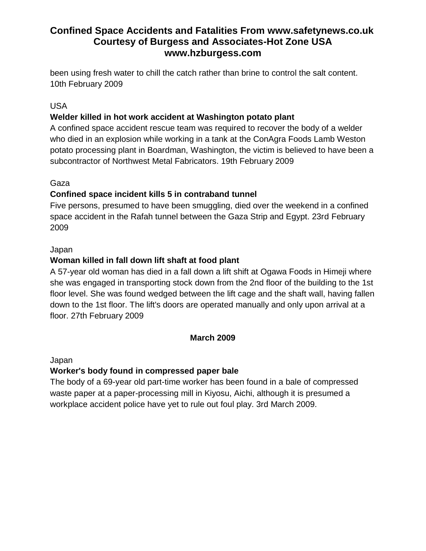been using fresh water to chill the catch rather than brine to control the salt content. 10th February 2009

# USA

# **Welder killed in hot work accident at Washington potato plant**

A confined space accident rescue team was required to recover the body of a welder who died in an explosion while working in a tank at the ConAgra Foods Lamb Weston potato processing plant in Boardman, Washington, the victim is believed to have been a subcontractor of Northwest Metal Fabricators. 19th February 2009

# Gaza

# **Confined space incident kills 5 in contraband tunnel**

Five persons, presumed to have been smuggling, died over the weekend in a confined space accident in the Rafah tunnel between the Gaza Strip and Egypt. 23rd February 2009

# Japan

# **Woman killed in fall down lift shaft at food plant**

A 57-year old woman has died in a fall down a lift shift at Ogawa Foods in Himeji where she was engaged in transporting stock down from the 2nd floor of the building to the 1st floor level. She was found wedged between the lift cage and the shaft wall, having fallen down to the 1st floor. The lift's doors are operated manually and only upon arrival at a floor. 27th February 2009

# **March 2009**

Japan

# **Worker's body found in compressed paper bale**

The body of a 69-year old part-time worker has been found in a bale of compressed waste paper at a paper-processing mill in Kiyosu, Aichi, although it is presumed a workplace accident police have yet to rule out foul play. 3rd March 2009.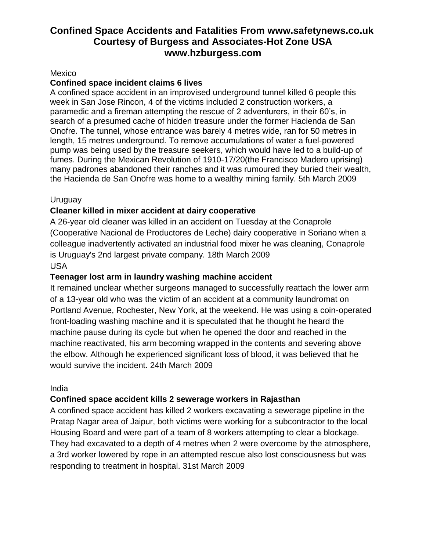#### Mexico

### **Confined space incident claims 6 lives**

A confined space accident in an improvised underground tunnel killed 6 people this week in San Jose Rincon, 4 of the victims included 2 construction workers, a paramedic and a fireman attempting the rescue of 2 adventurers, in their 60's, in search of a presumed cache of hidden treasure under the former Hacienda de San Onofre. The tunnel, whose entrance was barely 4 metres wide, ran for 50 metres in length, 15 metres underground. To remove accumulations of water a fuel-powered pump was being used by the treasure seekers, which would have led to a build-up of fumes. During the Mexican Revolution of 1910-17/20(the Francisco Madero uprising) many padrones abandoned their ranches and it was rumoured they buried their wealth, the Hacienda de San Onofre was home to a wealthy mining family. 5th March 2009

## Uruguay

# **Cleaner killed in mixer accident at dairy cooperative**

A 26-year old cleaner was killed in an accident on Tuesday at the Conaprole (Cooperative Nacional de Productores de Leche) dairy cooperative in Soriano when a colleague inadvertently activated an industrial food mixer he was cleaning, Conaprole is Uruguay's 2nd largest private company. 18th March 2009 USA

## **Teenager lost arm in laundry washing machine accident**

It remained unclear whether surgeons managed to successfully reattach the lower arm of a 13-year old who was the victim of an accident at a community laundromat on Portland Avenue, Rochester, New York, at the weekend. He was using a coin-operated front-loading washing machine and it is speculated that he thought he heard the machine pause during its cycle but when he opened the door and reached in the machine reactivated, his arm becoming wrapped in the contents and severing above the elbow. Although he experienced significant loss of blood, it was believed that he would survive the incident. 24th March 2009

#### India

# **Confined space accident kills 2 sewerage workers in Rajasthan**

A confined space accident has killed 2 workers excavating a sewerage pipeline in the Pratap Nagar area of Jaipur, both victims were working for a subcontractor to the local Housing Board and were part of a team of 8 workers attempting to clear a blockage. They had excavated to a depth of 4 metres when 2 were overcome by the atmosphere, a 3rd worker lowered by rope in an attempted rescue also lost consciousness but was responding to treatment in hospital. 31st March 2009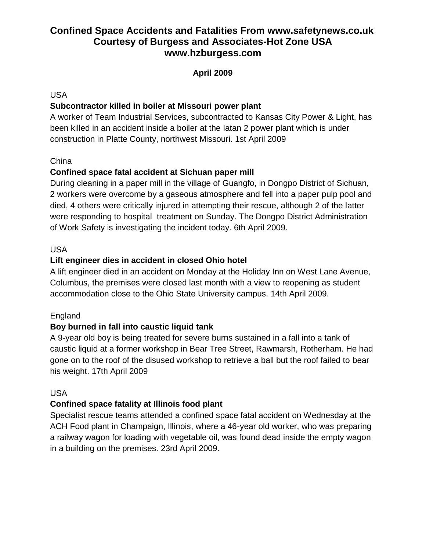# **April 2009**

# USA

# **Subcontractor killed in boiler at Missouri power plant**

A worker of Team Industrial Services, subcontracted to Kansas City Power & Light, has been killed in an accident inside a boiler at the Iatan 2 power plant which is under construction in Platte County, northwest Missouri. 1st April 2009

# **China**

# **Confined space fatal accident at Sichuan paper mill**

During cleaning in a paper mill in the village of Guangfo, in Dongpo District of Sichuan, 2 workers were overcome by a gaseous atmosphere and fell into a paper pulp pool and died, 4 others were critically injured in attempting their rescue, although 2 of the latter were responding to hospital treatment on Sunday. The Dongpo District Administration of Work Safety is investigating the incident today. 6th April 2009.

## USA

# **Lift engineer dies in accident in closed Ohio hotel**

A lift engineer died in an accident on Monday at the Holiday Inn on West Lane Avenue, Columbus, the premises were closed last month with a view to reopening as student accommodation close to the Ohio State University campus. 14th April 2009.

# England

# **Boy burned in fall into caustic liquid tank**

A 9-year old boy is being treated for severe burns sustained in a fall into a tank of caustic liquid at a former workshop in Bear Tree Street, Rawmarsh, Rotherham. He had gone on to the roof of the disused workshop to retrieve a ball but the roof failed to bear his weight. 17th April 2009

# USA

# **Confined space fatality at Illinois food plant**

Specialist rescue teams attended a confined space fatal accident on Wednesday at the ACH Food plant in Champaign, Illinois, where a 46-year old worker, who was preparing a railway wagon for loading with vegetable oil, was found dead inside the empty wagon in a building on the premises. 23rd April 2009.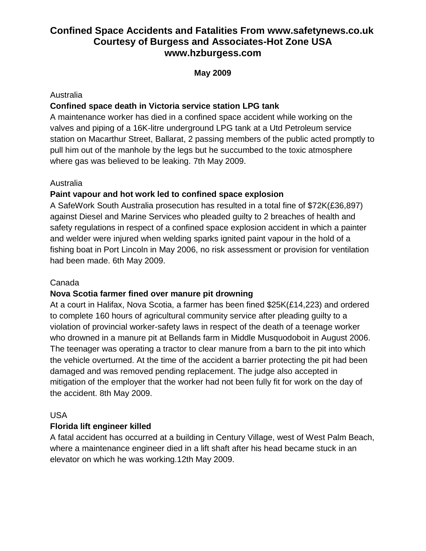# **May 2009**

## Australia

# **Confined space death in Victoria service station LPG tank**

A maintenance worker has died in a confined space accident while working on the valves and piping of a 16K-litre underground LPG tank at a Utd Petroleum service station on Macarthur Street, Ballarat, 2 passing members of the public acted promptly to pull him out of the manhole by the legs but he succumbed to the toxic atmosphere where gas was believed to be leaking. 7th May 2009.

# Australia

# **Paint vapour and hot work led to confined space explosion**

A SafeWork South Australia prosecution has resulted in a total fine of \$72K(£36,897) against Diesel and Marine Services who pleaded guilty to 2 breaches of health and safety regulations in respect of a confined space explosion accident in which a painter and welder were injured when welding sparks ignited paint vapour in the hold of a fishing boat in Port Lincoln in May 2006, no risk assessment or provision for ventilation had been made. 6th May 2009.

# Canada

# **Nova Scotia farmer fined over manure pit drowning**

At a court in Halifax, Nova Scotia, a farmer has been fined \$25K(£14,223) and ordered to complete 160 hours of agricultural community service after pleading guilty to a violation of provincial worker-safety laws in respect of the death of a teenage worker who drowned in a manure pit at Bellands farm in Middle Musquodoboit in August 2006. The teenager was operating a tractor to clear manure from a barn to the pit into which the vehicle overturned. At the time of the accident a barrier protecting the pit had been damaged and was removed pending replacement. The judge also accepted in mitigation of the employer that the worker had not been fully fit for work on the day of the accident. 8th May 2009.

# USA

# **Florida lift engineer killed**

A fatal accident has occurred at a building in Century Village, west of West Palm Beach, where a maintenance engineer died in a lift shaft after his head became stuck in an elevator on which he was working.12th May 2009.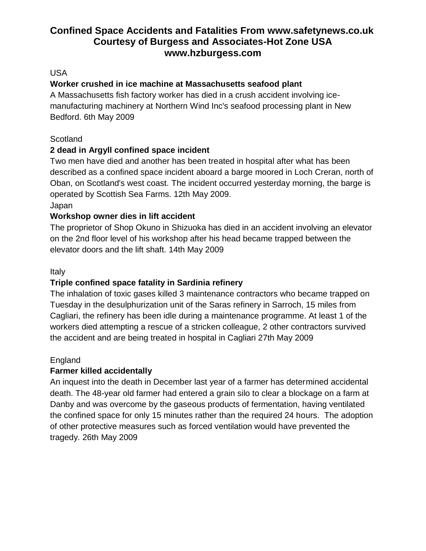# USA

# **Worker crushed in ice machine at Massachusetts seafood plant**

A Massachusetts fish factory worker has died in a crush accident involving icemanufacturing machinery at Northern Wind Inc's seafood processing plant in New Bedford. 6th May 2009

# **Scotland**

# **2 dead in Argyll confined space incident**

Two men have died and another has been treated in hospital after what has been described as a confined space incident aboard a barge moored in Loch Creran, north of Oban, on Scotland's west coast. The incident occurred yesterday morning, the barge is operated by Scottish Sea Farms. 12th May 2009. Japan

# **Workshop owner dies in lift accident**

The proprietor of Shop Okuno in Shizuoka has died in an accident involving an elevator on the 2nd floor level of his workshop after his head became trapped between the elevator doors and the lift shaft. 14th May 2009

# Italy

# **Triple confined space fatality in Sardinia refinery**

The inhalation of toxic gases killed 3 maintenance contractors who became trapped on Tuesday in the desulphurization unit of the Saras refinery in Sarroch, 15 miles from Cagliari, the refinery has been idle during a maintenance programme. At least 1 of the workers died attempting a rescue of a stricken colleague, 2 other contractors survived the accident and are being treated in hospital in Cagliari 27th May 2009

# England

# **Farmer killed accidentally**

An inquest into the death in December last year of a farmer has determined accidental death. The 48-year old farmer had entered a grain silo to clear a blockage on a farm at Danby and was overcome by the gaseous products of fermentation, having ventilated the confined space for only 15 minutes rather than the required 24 hours. The adoption of other protective measures such as forced ventilation would have prevented the tragedy. 26th May 2009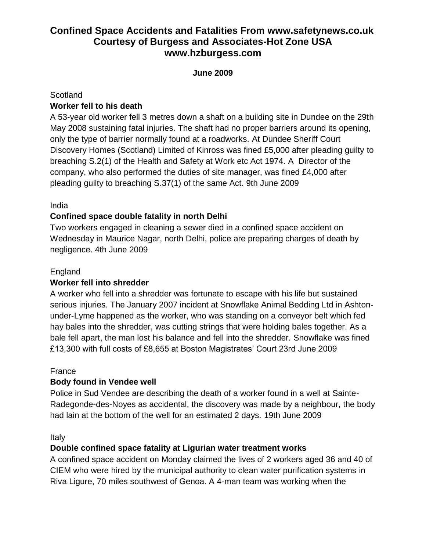# **June 2009**

### **Scotland**

# **Worker fell to his death**

A 53-year old worker fell 3 metres down a shaft on a building site in Dundee on the 29th May 2008 sustaining fatal injuries. The shaft had no proper barriers around its opening, only the type of barrier normally found at a roadworks. At Dundee Sheriff Court Discovery Homes (Scotland) Limited of Kinross was fined £5,000 after pleading guilty to breaching S.2(1) of the Health and Safety at Work etc Act 1974. A Director of the company, who also performed the duties of site manager, was fined £4,000 after pleading guilty to breaching S.37(1) of the same Act. 9th June 2009

# India

# **Confined space double fatality in north Delhi**

Two workers engaged in cleaning a sewer died in a confined space accident on Wednesday in Maurice Nagar, north Delhi, police are preparing charges of death by negligence. 4th June 2009

## England

# **Worker fell into shredder**

A worker who fell into a shredder was fortunate to escape with his life but sustained serious injuries. The January 2007 incident at Snowflake Animal Bedding Ltd in Ashtonunder-Lyme happened as the worker, who was standing on a conveyor belt which fed hay bales into the shredder, was cutting strings that were holding bales together. As a bale fell apart, the man lost his balance and fell into the shredder. Snowflake was fined £13,300 with full costs of £8,655 at Boston Magistrates' Court 23rd June 2009

#### France

# **Body found in Vendee well**

Police in Sud Vendee are describing the death of a worker found in a well at Sainte-Radegonde-des-Noyes as accidental, the discovery was made by a neighbour, the body had lain at the bottom of the well for an estimated 2 days. 19th June 2009

Italy

# **Double confined space fatality at Ligurian water treatment works**

A confined space accident on Monday claimed the lives of 2 workers aged 36 and 40 of CIEM who were hired by the municipal authority to clean water purification systems in Riva Ligure, 70 miles southwest of Genoa. A 4-man team was working when the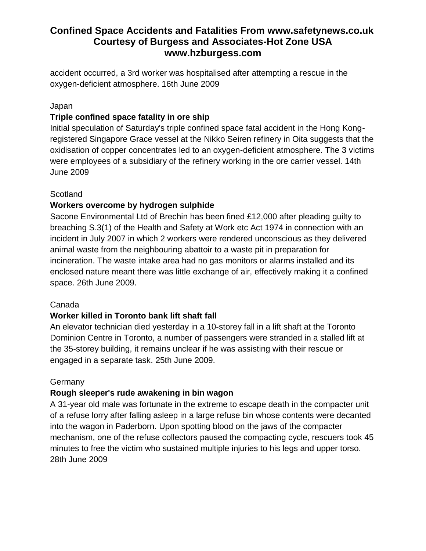accident occurred, a 3rd worker was hospitalised after attempting a rescue in the oxygen-deficient atmosphere. 16th June 2009

## Japan

# **Triple confined space fatality in ore ship**

Initial speculation of Saturday's triple confined space fatal accident in the Hong Kongregistered Singapore Grace vessel at the Nikko Seiren refinery in Oita suggests that the oxidisation of copper concentrates led to an oxygen-deficient atmosphere. The 3 victims were employees of a subsidiary of the refinery working in the ore carrier vessel. 14th June 2009

# Scotland

# **Workers overcome by hydrogen sulphide**

Sacone Environmental Ltd of Brechin has been fined £12,000 after pleading guilty to breaching S.3(1) of the Health and Safety at Work etc Act 1974 in connection with an incident in July 2007 in which 2 workers were rendered unconscious as they delivered animal waste from the neighbouring abattoir to a waste pit in preparation for incineration. The waste intake area had no gas monitors or alarms installed and its enclosed nature meant there was little exchange of air, effectively making it a confined space. 26th June 2009.

# Canada

# **Worker killed in Toronto bank lift shaft fall**

An elevator technician died yesterday in a 10-storey fall in a lift shaft at the Toronto Dominion Centre in Toronto, a number of passengers were stranded in a stalled lift at the 35-storey building, it remains unclear if he was assisting with their rescue or engaged in a separate task. 25th June 2009.

# **Germany**

# **Rough sleeper's rude awakening in bin wagon**

A 31-year old male was fortunate in the extreme to escape death in the compacter unit of a refuse lorry after falling asleep in a large refuse bin whose contents were decanted into the wagon in Paderborn. Upon spotting blood on the jaws of the compacter mechanism, one of the refuse collectors paused the compacting cycle, rescuers took 45 minutes to free the victim who sustained multiple injuries to his legs and upper torso. 28th June 2009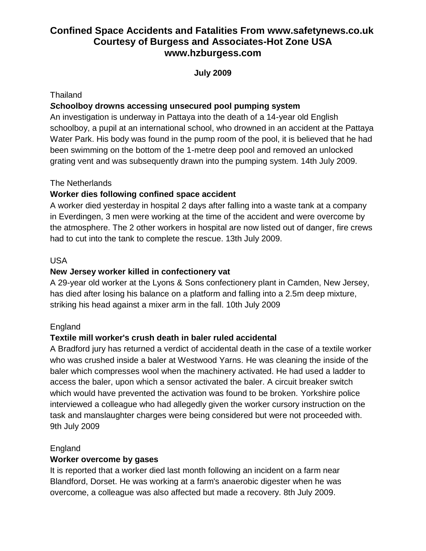**July 2009**

### Thailand

## *S***choolboy drowns accessing unsecured pool pumping system**

An investigation is underway in Pattaya into the death of a 14-year old English schoolboy, a pupil at an international school, who drowned in an accident at the Pattaya Water Park. His body was found in the pump room of the pool, it is believed that he had been swimming on the bottom of the 1-metre deep pool and removed an unlocked grating vent and was subsequently drawn into the pumping system. 14th July 2009.

## The Netherlands

## **Worker dies following confined space accident**

A worker died yesterday in hospital 2 days after falling into a waste tank at a company in Everdingen, 3 men were working at the time of the accident and were overcome by the atmosphere. The 2 other workers in hospital are now listed out of danger, fire crews had to cut into the tank to complete the rescue. 13th July 2009.

### USA

## **New Jersey worker killed in confectionery vat**

A 29-year old worker at the Lyons & Sons confectionery plant in Camden, New Jersey, has died after losing his balance on a platform and falling into a 2.5m deep mixture, striking his head against a mixer arm in the fall. 10th July 2009

## England

## **Textile mill worker's crush death in baler ruled accidental**

A Bradford jury has returned a verdict of accidental death in the case of a textile worker who was crushed inside a baler at Westwood Yarns. He was cleaning the inside of the baler which compresses wool when the machinery activated. He had used a ladder to access the baler, upon which a sensor activated the baler. A circuit breaker switch which would have prevented the activation was found to be broken. Yorkshire police interviewed a colleague who had allegedly given the worker cursory instruction on the task and manslaughter charges were being considered but were not proceeded with. 9th July 2009

## England

## **Worker overcome by gases**

It is reported that a worker died last month following an incident on a farm near Blandford, Dorset. He was working at a farm's anaerobic digester when he was overcome, a colleague was also affected but made a recovery. 8th July 2009.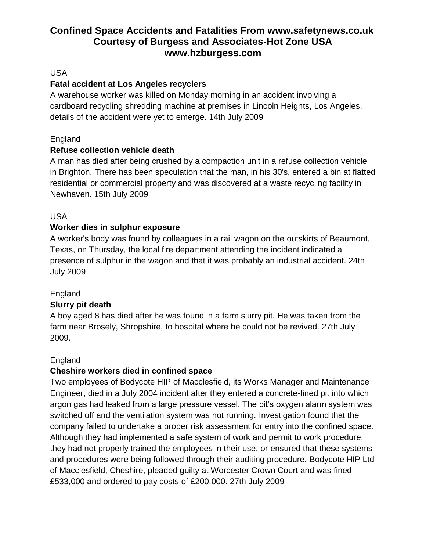## USA

## **Fatal accident at Los Angeles recyclers**

A warehouse worker was killed on Monday morning in an accident involving a cardboard recycling shredding machine at premises in Lincoln Heights, Los Angeles, details of the accident were yet to emerge. 14th July 2009

## England

## **Refuse collection vehicle death**

A man has died after being crushed by a compaction unit in a refuse collection vehicle in Brighton. There has been speculation that the man, in his 30's, entered a bin at flatted residential or commercial property and was discovered at a waste recycling facility in Newhaven. 15th July 2009

## USA

## **Worker dies in sulphur exposure**

A worker's body was found by colleagues in a rail wagon on the outskirts of Beaumont, Texas, on Thursday, the local fire department attending the incident indicated a presence of sulphur in the wagon and that it was probably an industrial accident. 24th July 2009

## England

## **Slurry pit death**

A boy aged 8 has died after he was found in a farm slurry pit. He was taken from the farm near Brosely, Shropshire, to hospital where he could not be revived. 27th July 2009.

## England

## **Cheshire workers died in confined space**

Two employees of Bodycote HIP of Macclesfield, its Works Manager and Maintenance Engineer, died in a July 2004 incident after they entered a concrete-lined pit into which argon gas had leaked from a large pressure vessel. The pit's oxygen alarm system was switched off and the ventilation system was not running. Investigation found that the company failed to undertake a proper risk assessment for entry into the confined space. Although they had implemented a safe system of work and permit to work procedure, they had not properly trained the employees in their use, or ensured that these systems and procedures were being followed through their auditing procedure. Bodycote HIP Ltd of Macclesfield, Cheshire, pleaded guilty at Worcester Crown Court and was fined £533,000 and ordered to pay costs of £200,000. 27th July 2009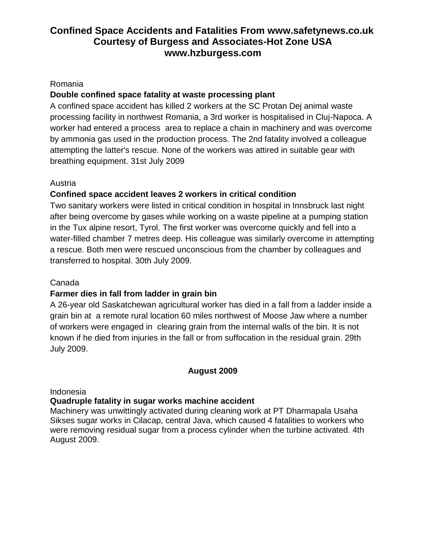#### Romania

## **Double confined space fatality at waste processing plant**

A confined space accident has killed 2 workers at the SC Protan Dej animal waste processing facility in northwest Romania, a 3rd worker is hospitalised in Cluj-Napoca. A worker had entered a process area to replace a chain in machinery and was overcome by ammonia gas used in the production process. The 2nd fatality involved a colleague attempting the latter's rescue. None of the workers was attired in suitable gear with breathing equipment. 31st July 2009

## Austria

## **Confined space accident leaves 2 workers in critical condition**

Two sanitary workers were listed in critical condition in hospital in Innsbruck last night after being overcome by gases while working on a waste pipeline at a pumping station in the Tux alpine resort, Tyrol. The first worker was overcome quickly and fell into a water-filled chamber 7 metres deep. His colleague was similarly overcome in attempting a rescue. Both men were rescued unconscious from the chamber by colleagues and transferred to hospital. 30th July 2009.

## Canada

## **Farmer dies in fall from ladder in grain bin**

A 26-year old Saskatchewan agricultural worker has died in a fall from a ladder inside a grain bin at a remote rural location 60 miles northwest of Moose Jaw where a number of workers were engaged in clearing grain from the internal walls of the bin. It is not known if he died from injuries in the fall or from suffocation in the residual grain. 29th July 2009.

#### **August 2009**

Indonesia

#### **Quadruple fatality in sugar works machine accident**

Machinery was unwittingly activated during cleaning work at PT Dharmapala Usaha Sikses sugar works in Cilacap, central Java, which caused 4 fatalities to workers who were removing residual sugar from a process cylinder when the turbine activated. 4th August 2009.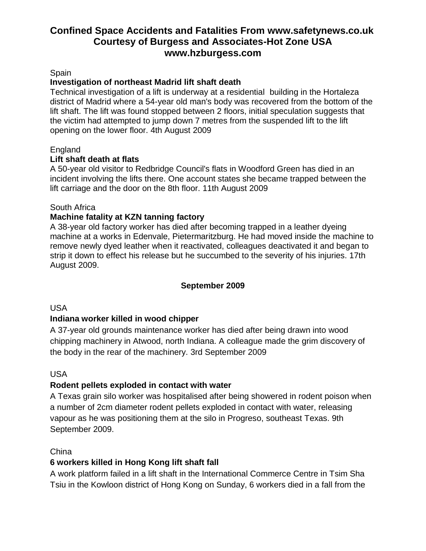#### Spain

#### **Investigation of northeast Madrid lift shaft death**

Technical investigation of a lift is underway at a residential building in the Hortaleza district of Madrid where a 54-year old man's body was recovered from the bottom of the lift shaft. The lift was found stopped between 2 floors, initial speculation suggests that the victim had attempted to jump down 7 metres from the suspended lift to the lift opening on the lower floor. 4th August 2009

#### England

#### **Lift shaft death at flats**

A 50-year old visitor to Redbridge Council's flats in Woodford Green has died in an incident involving the lifts there. One account states she became trapped between the lift carriage and the door on the 8th floor. 11th August 2009

#### South Africa

## **Machine fatality at KZN tanning factory**

A 38-year old factory worker has died after becoming trapped in a leather dyeing machine at a works in Edenvale, Pietermaritzburg. He had moved inside the machine to remove newly dyed leather when it reactivated, colleagues deactivated it and began to strip it down to effect his release but he succumbed to the severity of his injuries. 17th August 2009.

#### **September 2009**

### USA

#### **Indiana worker killed in wood chipper**

A 37-year old grounds maintenance worker has died after being drawn into wood chipping machinery in Atwood, north Indiana. A colleague made the grim discovery of the body in the rear of the machinery. 3rd September 2009

#### USA

#### **Rodent pellets exploded in contact with water**

A Texas grain silo worker was hospitalised after being showered in rodent poison when a number of 2cm diameter rodent pellets exploded in contact with water, releasing vapour as he was positioning them at the silo in Progreso, southeast Texas. 9th September 2009.

#### **China**

## **6 workers killed in Hong Kong lift shaft fall**

A work platform failed in a lift shaft in the International Commerce Centre in Tsim Sha Tsiu in the Kowloon district of Hong Kong on Sunday, 6 workers died in a fall from the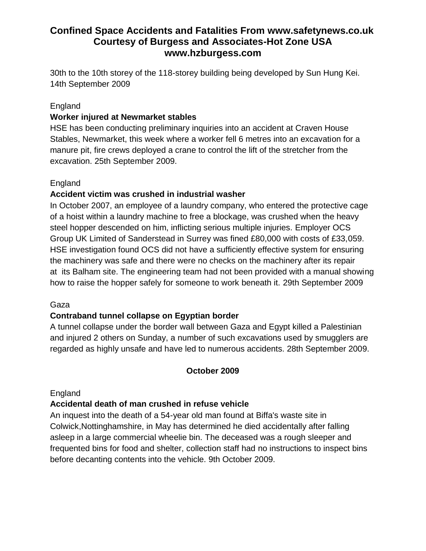30th to the 10th storey of the 118-storey building being developed by Sun Hung Kei. 14th September 2009

### England

### **Worker injured at Newmarket stables**

HSE has been conducting preliminary inquiries into an accident at Craven House Stables, Newmarket, this week where a worker fell 6 metres into an excavation for a manure pit, fire crews deployed a crane to control the lift of the stretcher from the excavation. 25th September 2009.

### England

### **Accident victim was crushed in industrial washer**

In October 2007, an employee of a laundry company, who entered the protective cage of a hoist within a laundry machine to free a blockage, was crushed when the heavy steel hopper descended on him, inflicting serious multiple injuries. Employer OCS Group UK Limited of Sanderstead in Surrey was fined £80,000 with costs of £33,059. HSE investigation found OCS did not have a sufficiently effective system for ensuring the machinery was safe and there were no checks on the machinery after its repair at its Balham site. The engineering team had not been provided with a manual showing how to raise the hopper safely for someone to work beneath it. 29th September 2009

#### Gaza

## **Contraband tunnel collapse on Egyptian border**

A tunnel collapse under the border wall between Gaza and Egypt killed a Palestinian and injured 2 others on Sunday, a number of such excavations used by smugglers are regarded as highly unsafe and have led to numerous accidents. 28th September 2009.

#### **October 2009**

England

## **Accidental death of man crushed in refuse vehicle**

An inquest into the death of a 54-year old man found at Biffa's waste site in Colwick,Nottinghamshire, in May has determined he died accidentally after falling asleep in a large commercial wheelie bin. The deceased was a rough sleeper and frequented bins for food and shelter, collection staff had no instructions to inspect bins before decanting contents into the vehicle. 9th October 2009.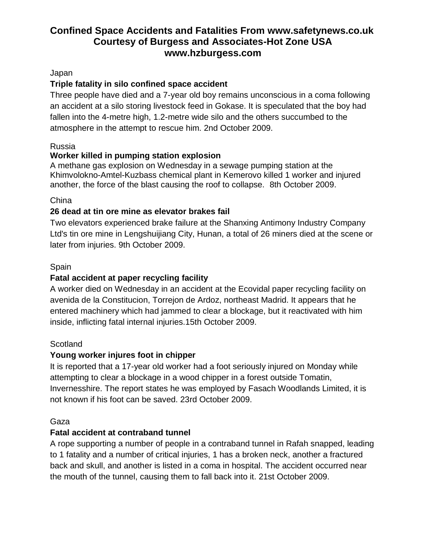### Japan

## **Triple fatality in silo confined space accident**

Three people have died and a 7-year old boy remains unconscious in a coma following an accident at a silo storing livestock feed in Gokase. It is speculated that the boy had fallen into the 4-metre high, 1.2-metre wide silo and the others succumbed to the atmosphere in the attempt to rescue him. 2nd October 2009.

### Russia

## **Worker killed in pumping station explosion**

A methane gas explosion on Wednesday in a sewage pumping station at the Khimvolokno-Amtel-Kuzbass chemical plant in Kemerovo killed 1 worker and injured another, the force of the blast causing the roof to collapse. 8th October 2009.

### China

## **26 dead at tin ore mine as elevator brakes fail**

Two elevators experienced brake failure at the Shanxing Antimony Industry Company Ltd's tin ore mine in Lengshuijiang City, Hunan, a total of 26 miners died at the scene or later from injuries. 9th October 2009.

### Spain

## **Fatal accident at paper recycling facility**

A worker died on Wednesday in an accident at the Ecovidal paper recycling facility on avenida de la Constitucion, Torrejon de Ardoz, northeast Madrid. It appears that he entered machinery which had jammed to clear a blockage, but it reactivated with him inside, inflicting fatal internal injuries.15th October 2009.

## **Scotland**

## **Young worker injures foot in chipper**

It is reported that a 17-year old worker had a foot seriously injured on Monday while attempting to clear a blockage in a wood chipper in a forest outside Tomatin, Invernesshire. The report states he was employed by Fasach Woodlands Limited, it is not known if his foot can be saved. 23rd October 2009.

#### Gaza

## **Fatal accident at contraband tunnel**

A rope supporting a number of people in a contraband tunnel in Rafah snapped, leading to 1 fatality and a number of critical injuries, 1 has a broken neck, another a fractured back and skull, and another is listed in a coma in hospital. The accident occurred near the mouth of the tunnel, causing them to fall back into it. 21st October 2009.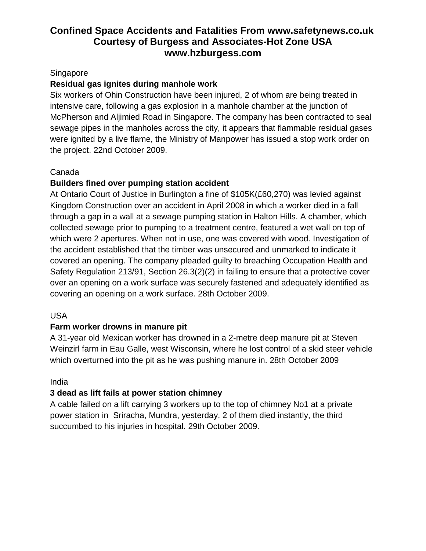## **Singapore**

## **Residual gas ignites during manhole work**

Six workers of Ohin Construction have been injured, 2 of whom are being treated in intensive care, following a gas explosion in a manhole chamber at the junction of McPherson and Aljimied Road in Singapore. The company has been contracted to seal sewage pipes in the manholes across the city, it appears that flammable residual gases were ignited by a live flame, the Ministry of Manpower has issued a stop work order on the project. 22nd October 2009.

## Canada

## **Builders fined over pumping station accident**

At Ontario Court of Justice in Burlington a fine of \$105K(£60,270) was levied against Kingdom Construction over an accident in April 2008 in which a worker died in a fall through a gap in a wall at a sewage pumping station in Halton Hills. A chamber, which collected sewage prior to pumping to a treatment centre, featured a wet wall on top of which were 2 apertures. When not in use, one was covered with wood. Investigation of the accident established that the timber was unsecured and unmarked to indicate it covered an opening. The company pleaded guilty to breaching Occupation Health and Safety Regulation 213/91, Section 26.3(2)(2) in failing to ensure that a protective cover over an opening on a work surface was securely fastened and adequately identified as covering an opening on a work surface. 28th October 2009.

## USA

## **Farm worker drowns in manure pit**

A 31-year old Mexican worker has drowned in a 2-metre deep manure pit at Steven Weinzirl farm in Eau Galle, west Wisconsin, where he lost control of a skid steer vehicle which overturned into the pit as he was pushing manure in. 28th October 2009

#### India

## **3 dead as lift fails at power station chimney**

A cable failed on a lift carrying 3 workers up to the top of chimney No1 at a private power station in Sriracha, Mundra, yesterday, 2 of them died instantly, the third succumbed to his injuries in hospital. 29th October 2009.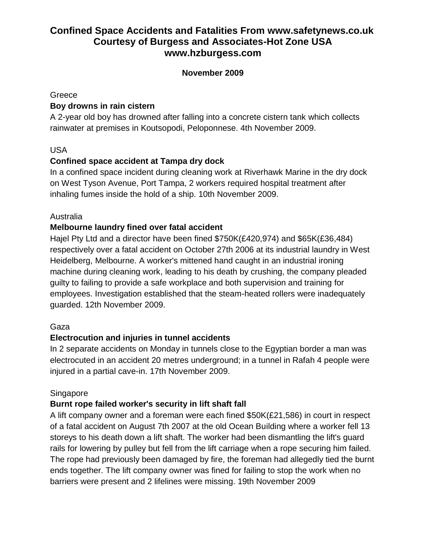### **November 2009**

#### Greece

## **Boy drowns in rain cistern**

A 2-year old boy has drowned after falling into a concrete cistern tank which collects rainwater at premises in Koutsopodi, Peloponnese. 4th November 2009.

## USA

## **Confined space accident at Tampa dry dock**

In a confined space incident during cleaning work at Riverhawk Marine in the dry dock on West Tyson Avenue, Port Tampa, 2 workers required hospital treatment after inhaling fumes inside the hold of a ship. 10th November 2009.

## Australia

## **Melbourne laundry fined over fatal accident**

Hajel Pty Ltd and a director have been fined \$750K(£420,974) and \$65K(£36,484) respectively over a fatal accident on October 27th 2006 at its industrial laundry in West Heidelberg, Melbourne. A worker's mittened hand caught in an industrial ironing machine during cleaning work, leading to his death by crushing, the company pleaded guilty to failing to provide a safe workplace and both supervision and training for employees. Investigation established that the steam-heated rollers were inadequately guarded. 12th November 2009.

## Gaza

## **Electrocution and injuries in tunnel accidents**

In 2 separate accidents on Monday in tunnels close to the Egyptian border a man was electrocuted in an accident 20 metres underground; in a tunnel in Rafah 4 people were injured in a partial cave-in. 17th November 2009.

## Singapore

## **Burnt rope failed worker's security in lift shaft fall**

A lift company owner and a foreman were each fined \$50K(£21,586) in court in respect of a fatal accident on August 7th 2007 at the old Ocean Building where a worker fell 13 storeys to his death down a lift shaft. The worker had been dismantling the lift's guard rails for lowering by pulley but fell from the lift carriage when a rope securing him failed. The rope had previously been damaged by fire, the foreman had allegedly tied the burnt ends together. The lift company owner was fined for failing to stop the work when no barriers were present and 2 lifelines were missing. 19th November 2009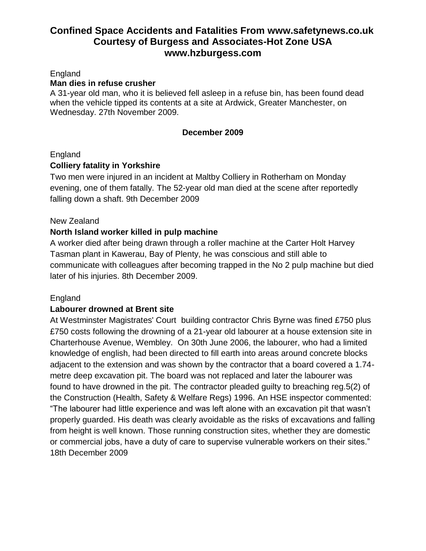### England

#### **Man dies in refuse crusher**

A 31-year old man, who it is believed fell asleep in a refuse bin, has been found dead when the vehicle tipped its contents at a site at Ardwick, Greater Manchester, on Wednesday. 27th November 2009.

#### **December 2009**

### England

### **Colliery fatality in Yorkshire**

Two men were injured in an incident at Maltby Colliery in Rotherham on Monday evening, one of them fatally. The 52-year old man died at the scene after reportedly falling down a shaft. 9th December 2009

#### New Zealand

### **North Island worker killed in pulp machine**

A worker died after being drawn through a roller machine at the Carter Holt Harvey Tasman plant in Kawerau, Bay of Plenty, he was conscious and still able to communicate with colleagues after becoming trapped in the No 2 pulp machine but died later of his injuries. 8th December 2009.

#### England

#### **Labourer drowned at Brent site**

At Westminster Magistrates' Court building contractor Chris Byrne was fined £750 plus £750 costs following the drowning of a 21-year old labourer at a house extension site in Charterhouse Avenue, Wembley. On 30th June 2006, the labourer, who had a limited knowledge of english, had been directed to fill earth into areas around concrete blocks adjacent to the extension and was shown by the contractor that a board covered a 1.74 metre deep excavation pit. The board was not replaced and later the labourer was found to have drowned in the pit. The contractor pleaded guilty to breaching reg.5(2) of the Construction (Health, Safety & Welfare Regs) 1996. An HSE inspector commented: "The labourer had little experience and was left alone with an excavation pit that wasn't properly guarded. His death was clearly avoidable as the risks of excavations and falling from height is well known. Those running construction sites, whether they are domestic or commercial jobs, have a duty of care to supervise vulnerable workers on their sites." 18th December 2009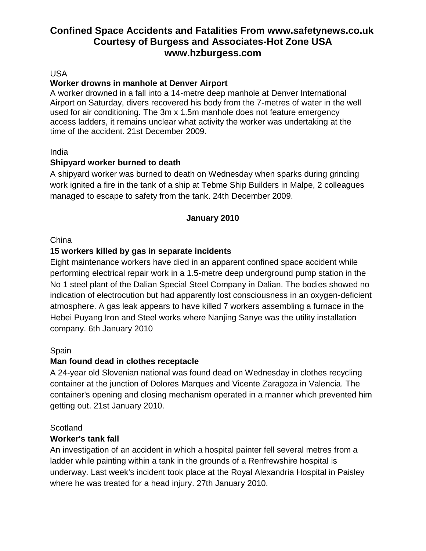#### USA

### **Worker drowns in manhole at Denver Airport**

A worker drowned in a fall into a 14-metre deep manhole at Denver International Airport on Saturday, divers recovered his body from the 7-metres of water in the well used for air conditioning. The 3m x 1.5m manhole does not feature emergency access ladders, it remains unclear what activity the worker was undertaking at the time of the accident. 21st December 2009.

#### India

### **Shipyard worker burned to death**

A shipyard worker was burned to death on Wednesday when sparks during grinding work ignited a fire in the tank of a ship at Tebme Ship Builders in Malpe, 2 colleagues managed to escape to safety from the tank. 24th December 2009.

### **January 2010**

#### **China**

## **15 workers killed by gas in separate incidents**

Eight maintenance workers have died in an apparent confined space accident while performing electrical repair work in a 1.5-metre deep underground pump station in the No 1 steel plant of the Dalian Special Steel Company in Dalian. The bodies showed no indication of electrocution but had apparently lost consciousness in an oxygen-deficient atmosphere. A gas leak appears to have killed 7 workers assembling a furnace in the Hebei Puyang Iron and Steel works where Nanjing Sanye was the utility installation company. 6th January 2010

#### Spain

## **Man found dead in clothes receptacle**

A 24-year old Slovenian national was found dead on Wednesday in clothes recycling container at the junction of Dolores Marques and Vicente Zaragoza in Valencia. The container's opening and closing mechanism operated in a manner which prevented him getting out. 21st January 2010.

#### Scotland

## **Worker's tank fall**

An investigation of an accident in which a hospital painter fell several metres from a ladder while painting within a tank in the grounds of a Renfrewshire hospital is underway. Last week's incident took place at the Royal Alexandria Hospital in Paisley where he was treated for a head injury. 27th January 2010.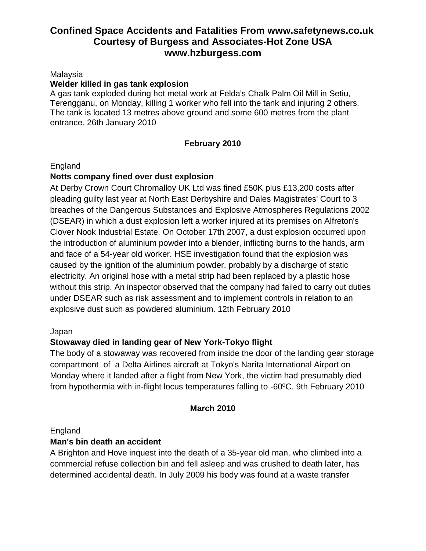#### Malaysia

#### **Welder killed in gas tank explosion**

A gas tank exploded during hot metal work at Felda's Chalk Palm Oil Mill in Setiu, Terengganu, on Monday, killing 1 worker who fell into the tank and injuring 2 others. The tank is located 13 metres above ground and some 600 metres from the plant entrance. 26th January 2010

### **February 2010**

#### England

### **Notts company fined over dust explosion**

At Derby Crown Court Chromalloy UK Ltd was fined £50K plus £13,200 costs after pleading guilty last year at North East Derbyshire and Dales Magistrates' Court to 3 breaches of the Dangerous Substances and Explosive Atmospheres Regulations 2002 (DSEAR) in which a dust explosion left a worker injured at its premises on Alfreton's Clover Nook Industrial Estate. On October 17th 2007, a dust explosion occurred upon the introduction of aluminium powder into a blender, inflicting burns to the hands, arm and face of a 54-year old worker. HSE investigation found that the explosion was caused by the ignition of the aluminium powder, probably by a discharge of static electricity. An original hose with a metal strip had been replaced by a plastic hose without this strip. An inspector observed that the company had failed to carry out duties under DSEAR such as risk assessment and to implement controls in relation to an explosive dust such as powdered aluminium. 12th February 2010

#### Japan

## **Stowaway died in landing gear of New York-Tokyo flight**

The body of a stowaway was recovered from inside the door of the landing gear storage compartment of a Delta Airlines aircraft at Tokyo's Narita International Airport on Monday where it landed after a flight from New York, the victim had presumably died from hypothermia with in-flight locus temperatures falling to -60ºC. 9th February 2010

#### **March 2010**

#### England

#### **Man's bin death an accident**

A Brighton and Hove inquest into the death of a 35-year old man, who climbed into a commercial refuse collection bin and fell asleep and was crushed to death later, has determined accidental death. In July 2009 his body was found at a waste transfer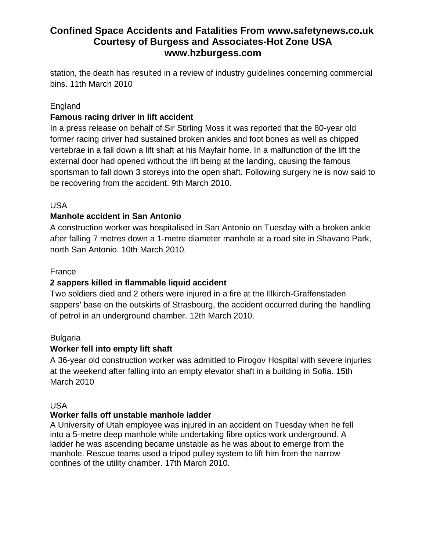station, the death has resulted in a review of industry guidelines concerning commercial bins. 11th March 2010

## England

## **Famous racing driver in lift accident**

In a press release on behalf of Sir Stirling Moss it was reported that the 80-year old former racing driver had sustained broken ankles and foot bones as well as chipped vertebrae in a fall down a lift shaft at his Mayfair home. In a malfunction of the lift the external door had opened without the lift being at the landing, causing the famous sportsman to fall down 3 storeys into the open shaft. Following surgery he is now said to be recovering from the accident. 9th March 2010.

## USA

## **Manhole accident in San Antonio**

A construction worker was hospitalised in San Antonio on Tuesday with a broken ankle after falling 7 metres down a 1-metre diameter manhole at a road site in Shavano Park, north San Antonio. 10th March 2010.

## France

## **2 sappers killed in flammable liquid accident**

Two soldiers died and 2 others were injured in a fire at the Illkirch-Graffenstaden sappers' base on the outskirts of Strasbourg, the accident occurred during the handling of petrol in an underground chamber. 12th March 2010.

## Bulgaria

## **Worker fell into empty lift shaft**

A 36-year old construction worker was admitted to Pirogov Hospital with severe injuries at the weekend after falling into an empty elevator shaft in a building in Sofia. 15th March 2010

## USA

## **Worker falls off unstable manhole ladder**

A University of Utah employee was injured in an accident on Tuesday when he fell into a 5-metre deep manhole while undertaking fibre optics work underground. A ladder he was ascending became unstable as he was about to emerge from the manhole. Rescue teams used a tripod pulley system to lift him from the narrow confines of the utility chamber. 17th March 2010.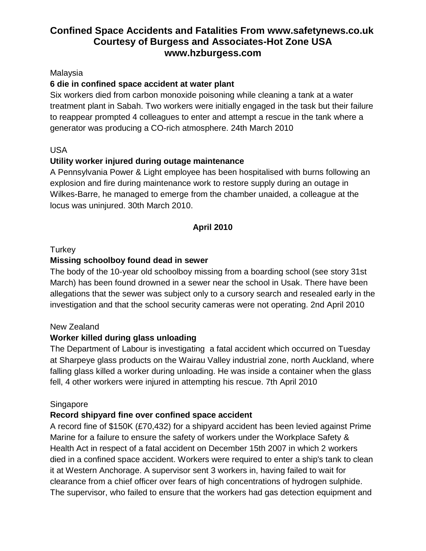### Malaysia

## **6 die in confined space accident at water plant**

Six workers died from carbon monoxide poisoning while cleaning a tank at a water treatment plant in Sabah. Two workers were initially engaged in the task but their failure to reappear prompted 4 colleagues to enter and attempt a rescue in the tank where a generator was producing a CO-rich atmosphere. 24th March 2010

## USA

## **Utility worker injured during outage maintenance**

A Pennsylvania Power & Light employee has been hospitalised with burns following an explosion and fire during maintenance work to restore supply during an outage in Wilkes-Barre, he managed to emerge from the chamber unaided, a colleague at the locus was uninjured. 30th March 2010.

### **April 2010**

### **Turkey**

### **Missing schoolboy found dead in sewer**

The body of the 10-year old schoolboy missing from a boarding school (see story 31st March) has been found drowned in a sewer near the school in Usak. There have been allegations that the sewer was subject only to a cursory search and resealed early in the investigation and that the school security cameras were not operating. 2nd April 2010

#### New Zealand

## **Worker killed during glass unloading**

The Department of Labour is investigating a fatal accident which occurred on Tuesday at Sharpeye glass products on the Wairau Valley industrial zone, north Auckland, where falling glass killed a worker during unloading. He was inside a container when the glass fell, 4 other workers were injured in attempting his rescue. 7th April 2010

#### Singapore

## **Record shipyard fine over confined space accident**

A record fine of \$150K (£70,432) for a shipyard accident has been levied against Prime Marine for a failure to ensure the safety of workers under the Workplace Safety & Health Act in respect of a fatal accident on December 15th 2007 in which 2 workers died in a confined space accident. Workers were required to enter a ship's tank to clean it at Western Anchorage. A supervisor sent 3 workers in, having failed to wait for clearance from a chief officer over fears of high concentrations of hydrogen sulphide. The supervisor, who failed to ensure that the workers had gas detection equipment and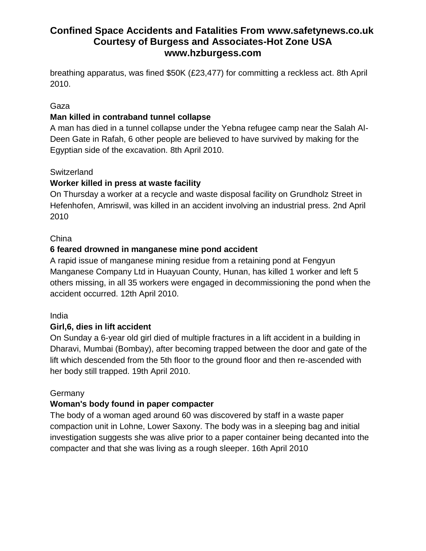breathing apparatus, was fined \$50K (£23,477) for committing a reckless act. 8th April 2010.

## Gaza

## **Man killed in contraband tunnel collapse**

A man has died in a tunnel collapse under the Yebna refugee camp near the Salah Al-Deen Gate in Rafah, 6 other people are believed to have survived by making for the Egyptian side of the excavation. 8th April 2010.

### **Switzerland**

## **Worker killed in press at waste facility**

On Thursday a worker at a recycle and waste disposal facility on Grundholz Street in Hefenhofen, Amriswil, was killed in an accident involving an industrial press. 2nd April 2010

## China

## **6 feared drowned in manganese mine pond accident**

A rapid issue of manganese mining residue from a retaining pond at Fengyun Manganese Company Ltd in Huayuan County, Hunan, has killed 1 worker and left 5 others missing, in all 35 workers were engaged in decommissioning the pond when the accident occurred. 12th April 2010.

#### India

## **Girl,6, dies in lift accident**

On Sunday a 6-year old girl died of multiple fractures in a lift accident in a building in Dharavi, Mumbai (Bombay), after becoming trapped between the door and gate of the lift which descended from the 5th floor to the ground floor and then re-ascended with her body still trapped. 19th April 2010.

## **Germany**

## **Woman's body found in paper compacter**

The body of a woman aged around 60 was discovered by staff in a waste paper compaction unit in Lohne, Lower Saxony. The body was in a sleeping bag and initial investigation suggests she was alive prior to a paper container being decanted into the compacter and that she was living as a rough sleeper. 16th April 2010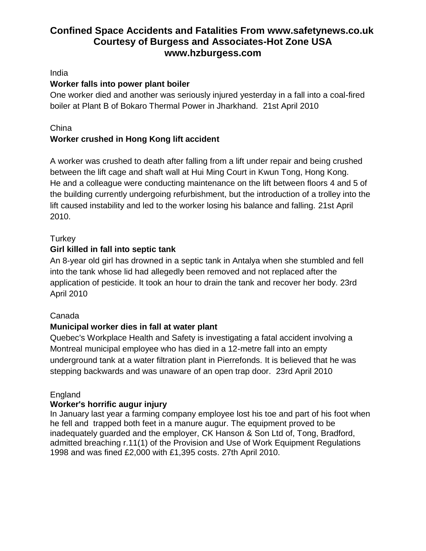## India

## **Worker falls into power plant boiler**

One worker died and another was seriously injured yesterday in a fall into a coal-fired boiler at Plant B of Bokaro Thermal Power in Jharkhand. 21st April 2010

## China

## **Worker crushed in Hong Kong lift accident**

A worker was crushed to death after falling from a lift under repair and being crushed between the lift cage and shaft wall at Hui Ming Court in Kwun Tong, Hong Kong. He and a colleague were conducting maintenance on the lift between floors 4 and 5 of the building currently undergoing refurbishment, but the introduction of a trolley into the lift caused instability and led to the worker losing his balance and falling. 21st April 2010.

## **Turkey**

## **Girl killed in fall into septic tank**

An 8-year old girl has drowned in a septic tank in Antalya when she stumbled and fell into the tank whose lid had allegedly been removed and not replaced after the application of pesticide. It took an hour to drain the tank and recover her body. 23rd April 2010

## Canada

## **Municipal worker dies in fall at water plant**

Quebec's Workplace Health and Safety is investigating a fatal accident involving a Montreal municipal employee who has died in a 12-metre fall into an empty underground tank at a water filtration plant in Pierrefonds. It is believed that he was stepping backwards and was unaware of an open trap door. 23rd April 2010

## **England**

## **Worker's horrific augur injury**

In January last year a farming company employee lost his toe and part of his foot when he fell and trapped both feet in a manure augur. The equipment proved to be inadequately guarded and the employer, CK Hanson & Son Ltd of, Tong, Bradford, admitted breaching r.11(1) of the Provision and Use of Work Equipment Regulations 1998 and was fined £2,000 with £1,395 costs. 27th April 2010.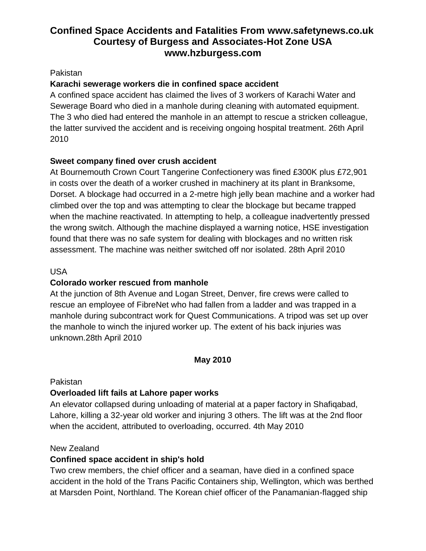### Pakistan

## **Karachi sewerage workers die in confined space accident**

A confined space accident has claimed the lives of 3 workers of Karachi Water and Sewerage Board who died in a manhole during cleaning with automated equipment. The 3 who died had entered the manhole in an attempt to rescue a stricken colleague, the latter survived the accident and is receiving ongoing hospital treatment. 26th April 2010

## **Sweet company fined over crush accident**

At Bournemouth Crown Court Tangerine Confectionery was fined £300K plus £72,901 in costs over the death of a worker crushed in machinery at its plant in Branksome, Dorset. A blockage had occurred in a 2-metre high jelly bean machine and a worker had climbed over the top and was attempting to clear the blockage but became trapped when the machine reactivated. In attempting to help, a colleague inadvertently pressed the wrong switch. Although the machine displayed a warning notice, HSE investigation found that there was no safe system for dealing with blockages and no written risk assessment. The machine was neither switched off nor isolated. 28th April 2010

## USA

## **Colorado worker rescued from manhole**

At the junction of 8th Avenue and Logan Street, Denver, fire crews were called to rescue an employee of FibreNet who had fallen from a ladder and was trapped in a manhole during subcontract work for Quest Communications. A tripod was set up over the manhole to winch the injured worker up. The extent of his back injuries was unknown.28th April 2010

## **May 2010**

## Pakistan

## **Overloaded lift fails at Lahore paper works**

An elevator collapsed during unloading of material at a paper factory in Shafiqabad, Lahore, killing a 32-year old worker and injuring 3 others. The lift was at the 2nd floor when the accident, attributed to overloading, occurred. 4th May 2010

## New Zealand

## **Confined space accident in ship's hold**

Two crew members, the chief officer and a seaman, have died in a confined space accident in the hold of the Trans Pacific Containers ship, Wellington, which was berthed at Marsden Point, Northland. The Korean chief officer of the Panamanian-flagged ship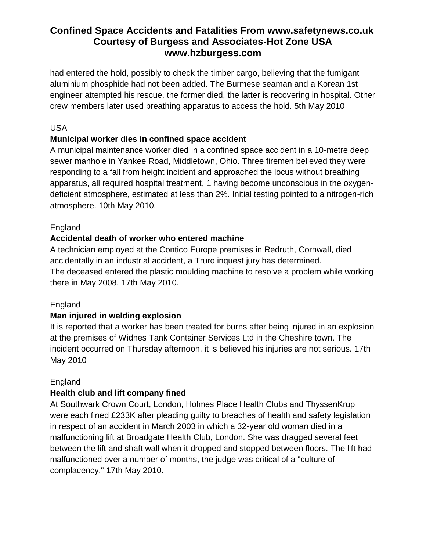had entered the hold, possibly to check the timber cargo, believing that the fumigant aluminium phosphide had not been added. The Burmese seaman and a Korean 1st engineer attempted his rescue, the former died, the latter is recovering in hospital. Other crew members later used breathing apparatus to access the hold. 5th May 2010

## USA

## **Municipal worker dies in confined space accident**

A municipal maintenance worker died in a confined space accident in a 10-metre deep sewer manhole in Yankee Road, Middletown, Ohio. Three firemen believed they were responding to a fall from height incident and approached the locus without breathing apparatus, all required hospital treatment, 1 having become unconscious in the oxygendeficient atmosphere, estimated at less than 2%. Initial testing pointed to a nitrogen-rich atmosphere. 10th May 2010.

## England

## **Accidental death of worker who entered machine**

A technician employed at the Contico Europe premises in Redruth, Cornwall, died accidentally in an industrial accident, a Truro inquest jury has determined. The deceased entered the plastic moulding machine to resolve a problem while working there in May 2008. 17th May 2010.

## England

## **Man injured in welding explosion**

It is reported that a worker has been treated for burns after being injured in an explosion at the premises of Widnes Tank Container Services Ltd in the Cheshire town. The incident occurred on Thursday afternoon, it is believed his injuries are not serious. 17th May 2010

## England

## **Health club and lift company fined**

At Southwark Crown Court, London, Holmes Place Health Clubs and ThyssenKrup were each fined £233K after pleading guilty to breaches of health and safety legislation in respect of an accident in March 2003 in which a 32-year old woman died in a malfunctioning lift at Broadgate Health Club, London. She was dragged several feet between the lift and shaft wall when it dropped and stopped between floors. The lift had malfunctioned over a number of months, the judge was critical of a "culture of complacency." 17th May 2010.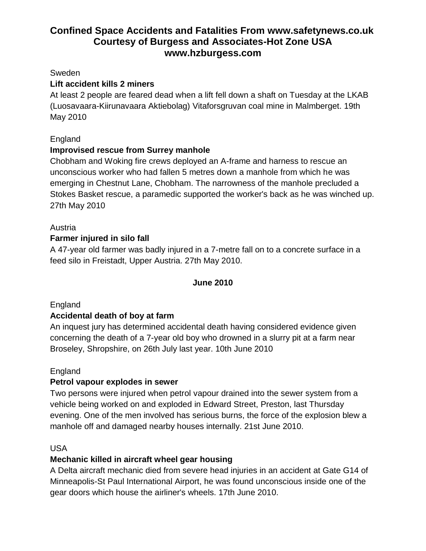#### Sweden

## **Lift accident kills 2 miners**

At least 2 people are feared dead when a lift fell down a shaft on Tuesday at the LKAB (Luosavaara-Kiirunavaara Aktiebolag) Vitaforsgruvan coal mine in Malmberget. 19th May 2010

## England

## **Improvised rescue from Surrey manhole**

Chobham and Woking fire crews deployed an A-frame and harness to rescue an unconscious worker who had fallen 5 metres down a manhole from which he was emerging in Chestnut Lane, Chobham. The narrowness of the manhole precluded a Stokes Basket rescue, a paramedic supported the worker's back as he was winched up. 27th May 2010

## Austria

## **Farmer injured in silo fall**

A 47-year old farmer was badly injured in a 7-metre fall on to a concrete surface in a feed silo in Freistadt, Upper Austria. 27th May 2010.

#### **June 2010**

## England

## **Accidental death of boy at farm**

An inquest jury has determined accidental death having considered evidence given concerning the death of a 7-year old boy who drowned in a slurry pit at a farm near Broseley, Shropshire, on 26th July last year. 10th June 2010

#### England

## **Petrol vapour explodes in sewer**

Two persons were injured when petrol vapour drained into the sewer system from a vehicle being worked on and exploded in Edward Street, Preston, last Thursday evening. One of the men involved has serious burns, the force of the explosion blew a manhole off and damaged nearby houses internally. 21st June 2010.

#### USA

## **Mechanic killed in aircraft wheel gear housing**

A Delta aircraft mechanic died from severe head injuries in an accident at Gate G14 of Minneapolis-St Paul International Airport, he was found unconscious inside one of the gear doors which house the airliner's wheels. 17th June 2010.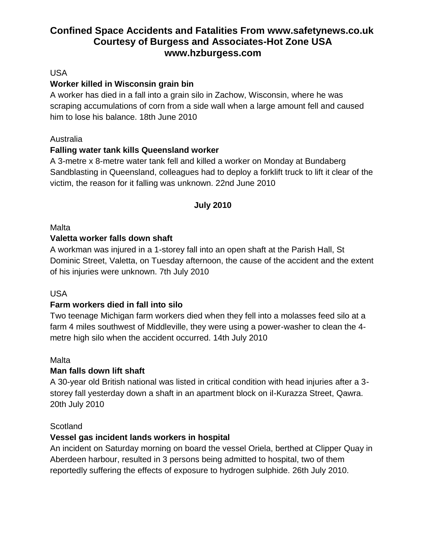## USA

## **Worker killed in Wisconsin grain bin**

A worker has died in a fall into a grain silo in Zachow, Wisconsin, where he was scraping accumulations of corn from a side wall when a large amount fell and caused him to lose his balance. 18th June 2010

## Australia

## **Falling water tank kills Queensland worker**

A 3-metre x 8-metre water tank fell and killed a worker on Monday at Bundaberg Sandblasting in Queensland, colleagues had to deploy a forklift truck to lift it clear of the victim, the reason for it falling was unknown. 22nd June 2010

## **July 2010**

## Malta

## **Valetta worker falls down shaft**

A workman was injured in a 1-storey fall into an open shaft at the Parish Hall, St Dominic Street, Valetta, on Tuesday afternoon, the cause of the accident and the extent of his injuries were unknown. 7th July 2010

## USA

## **Farm workers died in fall into silo**

Two teenage Michigan farm workers died when they fell into a molasses feed silo at a farm 4 miles southwest of Middleville, they were using a power-washer to clean the 4 metre high silo when the accident occurred. 14th July 2010

## Malta

## **Man falls down lift shaft**

A 30-year old British national was listed in critical condition with head injuries after a 3 storey fall yesterday down a shaft in an apartment block on il-Kurazza Street, Qawra. 20th July 2010

## Scotland

## **Vessel gas incident lands workers in hospital**

An incident on Saturday morning on board the vessel Oriela, berthed at Clipper Quay in Aberdeen harbour, resulted in 3 persons being admitted to hospital, two of them reportedly suffering the effects of exposure to hydrogen sulphide. 26th July 2010.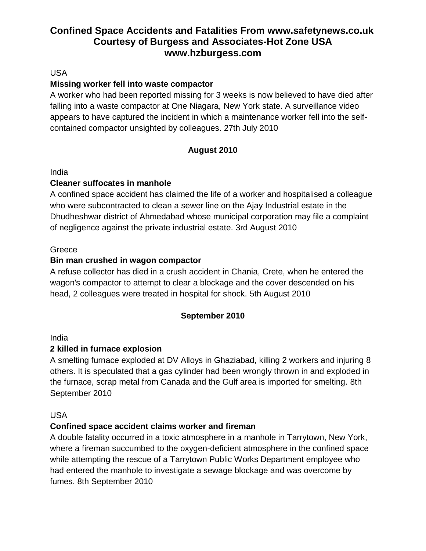### USA

## **Missing worker fell into waste compactor**

A worker who had been reported missing for 3 weeks is now believed to have died after falling into a waste compactor at One Niagara, New York state. A surveillance video appears to have captured the incident in which a maintenance worker fell into the selfcontained compactor unsighted by colleagues. 27th July 2010

## **August 2010**

#### India

### **Cleaner suffocates in manhole**

A confined space accident has claimed the life of a worker and hospitalised a colleague who were subcontracted to clean a sewer line on the Ajay Industrial estate in the Dhudheshwar district of Ahmedabad whose municipal corporation may file a complaint of negligence against the private industrial estate. 3rd August 2010

#### **Greece**

### **Bin man crushed in wagon compactor**

A refuse collector has died in a crush accident in Chania, Crete, when he entered the wagon's compactor to attempt to clear a blockage and the cover descended on his head, 2 colleagues were treated in hospital for shock. 5th August 2010

## **September 2010**

#### India

## **2 killed in furnace explosion**

A smelting furnace exploded at DV Alloys in Ghaziabad, killing 2 workers and injuring 8 others. It is speculated that a gas cylinder had been wrongly thrown in and exploded in the furnace, scrap metal from Canada and the Gulf area is imported for smelting. 8th September 2010

#### USA

## **Confined space accident claims worker and fireman**

A double fatality occurred in a toxic atmosphere in a manhole in Tarrytown, New York, where a fireman succumbed to the oxygen-deficient atmosphere in the confined space while attempting the rescue of a Tarrytown Public Works Department employee who had entered the manhole to investigate a sewage blockage and was overcome by fumes. 8th September 2010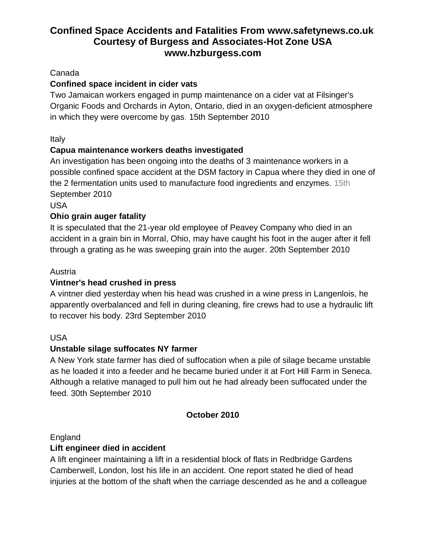## Canada

# **Confined space incident in cider vats**

Two Jamaican workers engaged in pump maintenance on a cider vat at Filsinger's Organic Foods and Orchards in Ayton, Ontario, died in an oxygen-deficient atmosphere in which they were overcome by gas. 15th September 2010

Italy

## **Capua maintenance workers deaths investigated**

An investigation has been ongoing into the deaths of 3 maintenance workers in a possible confined space accident at the DSM factory in Capua where they died in one of the 2 fermentation units used to manufacture food ingredients and enzymes. 15th September 2010

USA

## **Ohio grain auger fatality**

It is speculated that the 21-year old employee of Peavey Company who died in an accident in a grain bin in Morral, Ohio, may have caught his foot in the auger after it fell through a grating as he was sweeping grain into the auger. 20th September 2010

## Austria

## **Vintner's head crushed in press**

A vintner died yesterday when his head was crushed in a wine press in Langenlois, he apparently overbalanced and fell in during cleaning, fire crews had to use a hydraulic lift to recover his body. 23rd September 2010

## USA

## **Unstable silage suffocates NY farmer**

A New York state farmer has died of suffocation when a pile of silage became unstable as he loaded it into a feeder and he became buried under it at Fort Hill Farm in Seneca. Although a relative managed to pull him out he had already been suffocated under the feed. 30th September 2010

## **October 2010**

England

## **Lift engineer died in accident**

A lift engineer maintaining a lift in a residential block of flats in Redbridge Gardens Camberwell, London, lost his life in an accident. One report stated he died of head injuries at the bottom of the shaft when the carriage descended as he and a colleague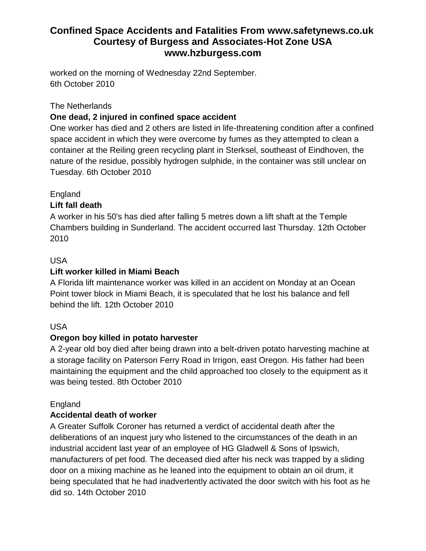worked on the morning of Wednesday 22nd September. 6th October 2010

The Netherlands

## **One dead, 2 injured in confined space accident**

One worker has died and 2 others are listed in life-threatening condition after a confined space accident in which they were overcome by fumes as they attempted to clean a container at the Reiling green recycling plant in Sterksel, southeast of Eindhoven, the nature of the residue, possibly hydrogen sulphide, in the container was still unclear on Tuesday. 6th October 2010

## England

## **Lift fall death**

A worker in his 50's has died after falling 5 metres down a lift shaft at the Temple Chambers building in Sunderland. The accident occurred last Thursday. 12th October 2010

## USA

## **Lift worker killed in Miami Beach**

A Florida lift maintenance worker was killed in an accident on Monday at an Ocean Point tower block in Miami Beach, it is speculated that he lost his balance and fell behind the lift. 12th October 2010

## USA

## **Oregon boy killed in potato harvester**

A 2-year old boy died after being drawn into a belt-driven potato harvesting machine at a storage facility on Paterson Ferry Road in Irrigon, east Oregon. His father had been maintaining the equipment and the child approached too closely to the equipment as it was being tested. 8th October 2010

## England

## **Accidental death of worker**

A Greater Suffolk Coroner has returned a verdict of accidental death after the deliberations of an inquest jury who listened to the circumstances of the death in an industrial accident last year of an employee of HG Gladwell & Sons of Ipswich, manufacturers of pet food. The deceased died after his neck was trapped by a sliding door on a mixing machine as he leaned into the equipment to obtain an oil drum, it being speculated that he had inadvertently activated the door switch with his foot as he did so. 14th October 2010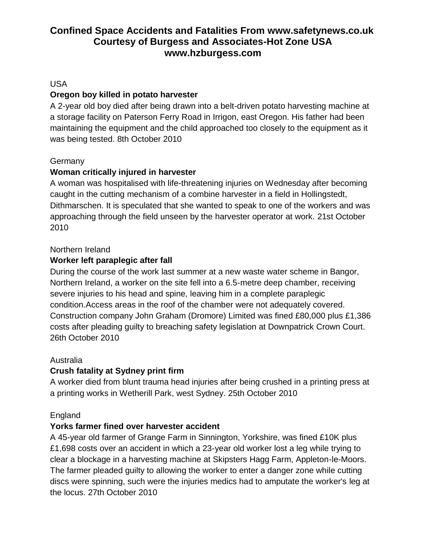## USA

## **Oregon boy killed in potato harvester**

A 2-year old boy died after being drawn into a belt-driven potato harvesting machine at a storage facility on Paterson Ferry Road in Irrigon, east Oregon. His father had been maintaining the equipment and the child approached too closely to the equipment as it was being tested. 8th October 2010

## **Germany**

## **Woman critically injured in harvester**

A woman was hospitalised with life-threatening injuries on Wednesday after becoming caught in the cutting mechanism of a combine harvester in a field in Hollingstedt, Dithmarschen. It is speculated that she wanted to speak to one of the workers and was approaching through the field unseen by the harvester operator at work. 21st October 2010

## Northern Ireland

## **Worker left paraplegic after fall**

During the course of the work last summer at a new waste water scheme in Bangor, Northern Ireland, a worker on the site fell into a 6.5-metre deep chamber, receiving severe injuries to his head and spine, leaving him in a complete paraplegic condition.Access areas in the roof of the chamber were not adequately covered. Construction company John Graham (Dromore) Limited was fined £80,000 plus £1,386 costs after pleading guilty to breaching safety legislation at Downpatrick Crown Court. 26th October 2010

## Australia

## **Crush fatality at Sydney print firm**

A worker died from blunt trauma head injuries after being crushed in a printing press at a printing works in Wetherill Park, west Sydney. 25th October 2010

## England

## **Yorks farmer fined over harvester accident**

A 45-year old farmer of Grange Farm in Sinnington, Yorkshire, was fined £10K plus £1,698 costs over an accident in which a 23-year old worker lost a leg while trying to clear a blockage in a harvesting machine at Skipsters Hagg Farm, Appleton-le-Moors. The farmer pleaded guilty to allowing the worker to enter a danger zone while cutting discs were spinning, such were the injuries medics had to amputate the worker's leg at the locus. 27th October 2010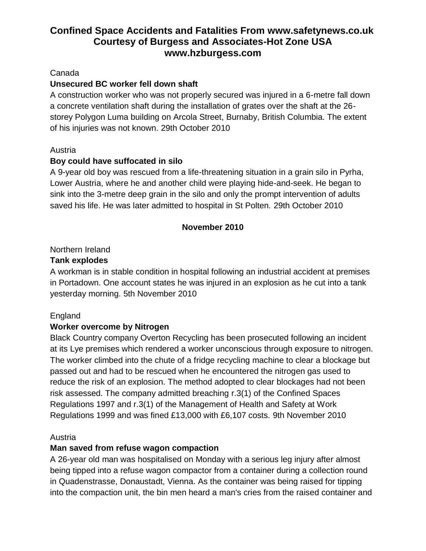### Canada

## **Unsecured BC worker fell down shaft**

A construction worker who was not properly secured was injured in a 6-metre fall down a concrete ventilation shaft during the installation of grates over the shaft at the 26 storey Polygon Luma building on Arcola Street, Burnaby, British Columbia. The extent of his injuries was not known. 29th October 2010

### Austria

## **Boy could have suffocated in silo**

A 9-year old boy was rescued from a life-threatening situation in a grain silo in Pyrha, Lower Austria, where he and another child were playing hide-and-seek. He began to sink into the 3-metre deep grain in the silo and only the prompt intervention of adults saved his life. He was later admitted to hospital in St Polten. 29th October 2010

### **November 2010**

## Northern Ireland

### **Tank explodes**

A workman is in stable condition in hospital following an industrial accident at premises in Portadown. One account states he was injured in an explosion as he cut into a tank yesterday morning. 5th November 2010

## England

## **Worker overcome by Nitrogen**

Black Country company Overton Recycling has been prosecuted following an incident at its Lye premises which rendered a worker unconscious through exposure to nitrogen. The worker climbed into the chute of a fridge recycling machine to clear a blockage but passed out and had to be rescued when he encountered the nitrogen gas used to reduce the risk of an explosion. The method adopted to clear blockages had not been risk assessed. The company admitted breaching r.3(1) of the Confined Spaces Regulations 1997 and r.3(1) of the Management of Health and Safety at Work Regulations 1999 and was fined £13,000 with £6,107 costs. 9th November 2010

#### Austria

## **Man saved from refuse wagon compaction**

A 26-year old man was hospitalised on Monday with a serious leg injury after almost being tipped into a refuse wagon compactor from a container during a collection round in Quadenstrasse, Donaustadt, Vienna. As the container was being raised for tipping into the compaction unit, the bin men heard a man's cries from the raised container and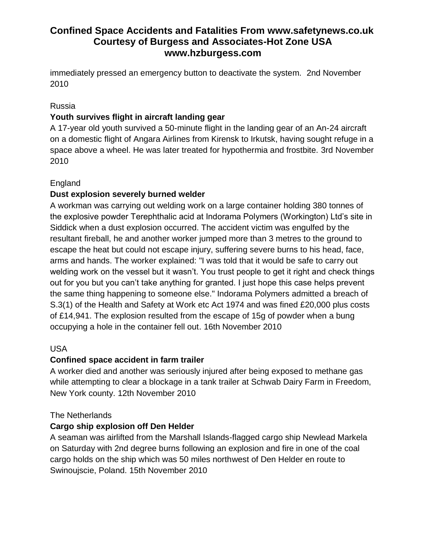immediately pressed an emergency button to deactivate the system. 2nd November 2010

## Russia

## **Youth survives flight in aircraft landing gear**

A 17-year old youth survived a 50-minute flight in the landing gear of an An-24 aircraft on a domestic flight of Angara Airlines from Kirensk to Irkutsk, having sought refuge in a space above a wheel. He was later treated for hypothermia and frostbite. 3rd November 2010

## England

## **Dust explosion severely burned welder**

A workman was carrying out welding work on a large container holding 380 tonnes of the explosive powder Terephthalic acid at Indorama Polymers (Workington) Ltd's site in Siddick when a dust explosion occurred. The accident victim was engulfed by the resultant fireball, he and another worker jumped more than 3 metres to the ground to escape the heat but could not escape injury, suffering severe burns to his head, face, arms and hands. The worker explained: "I was told that it would be safe to carry out welding work on the vessel but it wasn't. You trust people to get it right and check things out for you but you can't take anything for granted. I just hope this case helps prevent the same thing happening to someone else." Indorama Polymers admitted a breach of S.3(1) of the Health and Safety at Work etc Act 1974 and was fined £20,000 plus costs of £14,941. The explosion resulted from the escape of 15g of powder when a bung occupying a hole in the container fell out. 16th November 2010

## USA

## **Confined space accident in farm trailer**

A worker died and another was seriously injured after being exposed to methane gas while attempting to clear a blockage in a tank trailer at Schwab Dairy Farm in Freedom, New York county. 12th November 2010

## The Netherlands

## **Cargo ship explosion off Den Helder**

A seaman was airlifted from the Marshall Islands-flagged cargo ship Newlead Markela on Saturday with 2nd degree burns following an explosion and fire in one of the coal cargo holds on the ship which was 50 miles northwest of Den Helder en route to Swinoujscie, Poland. 15th November 2010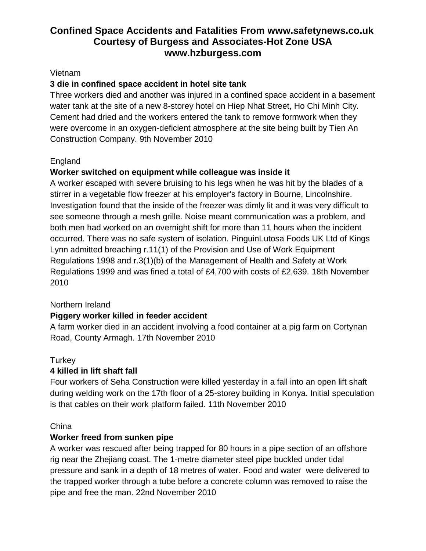### Vietnam

## **3 die in confined space accident in hotel site tank**

Three workers died and another was injured in a confined space accident in a basement water tank at the site of a new 8-storey hotel on Hiep Nhat Street, Ho Chi Minh City. Cement had dried and the workers entered the tank to remove formwork when they were overcome in an oxygen-deficient atmosphere at the site being built by Tien An Construction Company. 9th November 2010

## England

## **Worker switched on equipment while colleague was inside it**

A worker escaped with severe bruising to his legs when he was hit by the blades of a stirrer in a vegetable flow freezer at his employer's factory in Bourne, Lincolnshire. Investigation found that the inside of the freezer was dimly lit and it was very difficult to see someone through a mesh grille. Noise meant communication was a problem, and both men had worked on an overnight shift for more than 11 hours when the incident occurred. There was no safe system of isolation. PinguinLutosa Foods UK Ltd of Kings Lynn admitted breaching r.11(1) of the Provision and Use of Work Equipment Regulations 1998 and r.3(1)(b) of the Management of Health and Safety at Work Regulations 1999 and was fined a total of £4,700 with costs of £2,639. 18th November 2010

## Northern Ireland

## **Piggery worker killed in feeder accident**

A farm worker died in an accident involving a food container at a pig farm on Cortynan Road, County Armagh. 17th November 2010

## **Turkey**

## **4 killed in lift shaft fall**

Four workers of Seha Construction were killed yesterday in a fall into an open lift shaft during welding work on the 17th floor of a 25-storey building in Konya. Initial speculation is that cables on their work platform failed. 11th November 2010

#### **China**

## **Worker freed from sunken pipe**

A worker was rescued after being trapped for 80 hours in a pipe section of an offshore rig near the Zhejiang coast. The 1-metre diameter steel pipe buckled under tidal pressure and sank in a depth of 18 metres of water. Food and water were delivered to the trapped worker through a tube before a concrete column was removed to raise the pipe and free the man. 22nd November 2010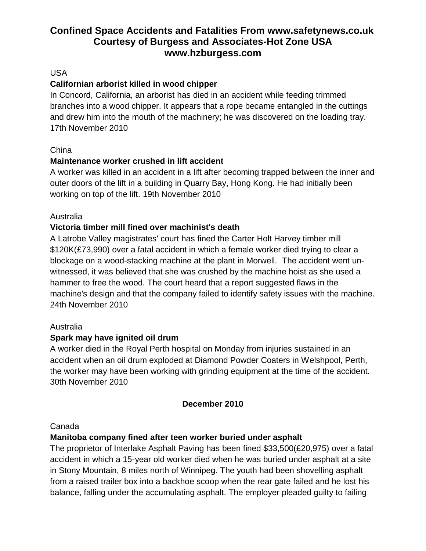## USA

## **Californian arborist killed in wood chipper**

In Concord, California, an arborist has died in an accident while feeding trimmed branches into a wood chipper. It appears that a rope became entangled in the cuttings and drew him into the mouth of the machinery; he was discovered on the loading tray. 17th November 2010

## China

## **Maintenance worker crushed in lift accident**

A worker was killed in an accident in a lift after becoming trapped between the inner and outer doors of the lift in a building in Quarry Bay, Hong Kong. He had initially been working on top of the lift. 19th November 2010

## Australia

## **Victoria timber mill fined over machinist's death**

A Latrobe Valley magistrates' court has fined the Carter Holt Harvey timber mill \$120K(£73,990) over a fatal accident in which a female worker died trying to clear a blockage on a wood-stacking machine at the plant in Morwell. The accident went unwitnessed, it was believed that she was crushed by the machine hoist as she used a hammer to free the wood. The court heard that a report suggested flaws in the machine's design and that the company failed to identify safety issues with the machine. 24th November 2010

## Australia

## **Spark may have ignited oil drum**

A worker died in the Royal Perth hospital on Monday from injuries sustained in an accident when an oil drum exploded at Diamond Powder Coaters in Welshpool, Perth, the worker may have been working with grinding equipment at the time of the accident. 30th November 2010

## **December 2010**

#### Canada

## **Manitoba company fined after teen worker buried under asphalt**

The proprietor of Interlake Asphalt Paving has been fined \$33,500(£20,975) over a fatal accident in which a 15-year old worker died when he was buried under asphalt at a site in Stony Mountain, 8 miles north of Winnipeg. The youth had been shovelling asphalt from a raised trailer box into a backhoe scoop when the rear gate failed and he lost his balance, falling under the accumulating asphalt. The employer pleaded guilty to failing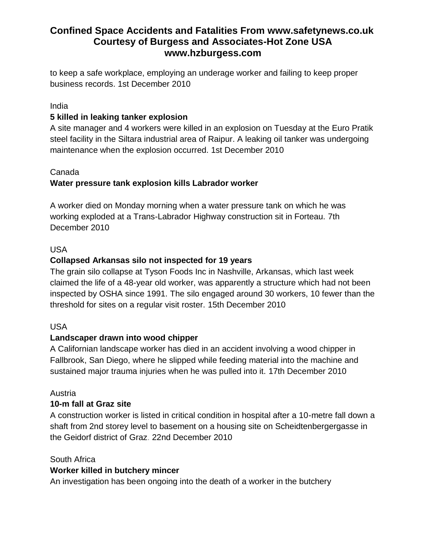to keep a safe workplace, employing an underage worker and failing to keep proper business records. 1st December 2010

### India

## **5 killed in leaking tanker explosion**

A site manager and 4 workers were killed in an explosion on Tuesday at the Euro Pratik steel facility in the Siltara industrial area of Raipur. A leaking oil tanker was undergoing maintenance when the explosion occurred. 1st December 2010

## Canada

## **Water pressure tank explosion kills Labrador worker**

A worker died on Monday morning when a water pressure tank on which he was working exploded at a Trans-Labrador Highway construction sit in Forteau. 7th December 2010

## USA

## **Collapsed Arkansas silo not inspected for 19 years**

The grain silo collapse at Tyson Foods Inc in Nashville, Arkansas, which last week claimed the life of a 48-year old worker, was apparently a structure which had not been inspected by OSHA since 1991. The silo engaged around 30 workers, 10 fewer than the threshold for sites on a regular visit roster. 15th December 2010

## USA

## **Landscaper drawn into wood chipper**

A Californian landscape worker has died in an accident involving a wood chipper in Fallbrook, San Diego, where he slipped while feeding material into the machine and sustained major trauma injuries when he was pulled into it. 17th December 2010

## Austria

## **10-m fall at Graz site**

A construction worker is listed in critical condition in hospital after a 10-metre fall down a shaft from 2nd storey level to basement on a housing site on Scheidtenbergergasse in the Geidorf district of Graz. 22nd December 2010

#### South Africa

## **Worker killed in butchery mincer**

An investigation has been ongoing into the death of a worker in the butchery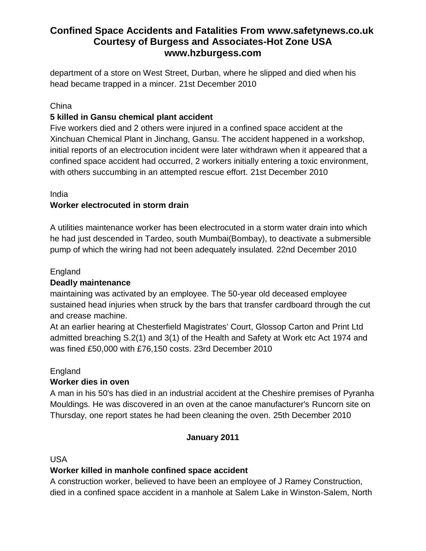department of a store on West Street, Durban, where he slipped and died when his head became trapped in a mincer. 21st December 2010

## China

## **5 killed in Gansu chemical plant accident**

Five workers died and 2 others were injured in a confined space accident at the Xinchuan Chemical Plant in Jinchang, Gansu. The accident happened in a workshop, initial reports of an electrocution incident were later withdrawn when it appeared that a confined space accident had occurred, 2 workers initially entering a toxic environment, with others succumbing in an attempted rescue effort. 21st December 2010

## India

## **Worker electrocuted in storm drain**

A utilities maintenance worker has been electrocuted in a storm water drain into which he had just descended in Tardeo, south Mumbai(Bombay), to deactivate a submersible pump of which the wiring had not been adequately insulated. 22nd December 2010

## England

## **Deadly maintenance**

maintaining was activated by an employee. The 50-year old deceased employee sustained head injuries when struck by the bars that transfer cardboard through the cut and crease machine.

At an earlier hearing at Chesterfield Magistrates' Court, Glossop Carton and Print Ltd admitted breaching S.2(1) and 3(1) of the Health and Safety at Work etc Act 1974 and was fined £50,000 with £76,150 costs. 23rd December 2010

## England

## **Worker dies in oven**

A man in his 50's has died in an industrial accident at the Cheshire premises of Pyranha Mouldings. He was discovered in an oven at the canoe manufacturer's Runcorn site on Thursday, one report states he had been cleaning the oven. 25th December 2010

## **January 2011**

USA

## **Worker killed in manhole confined space accident**

A construction worker, believed to have been an employee of J Ramey Construction, died in a confined space accident in a manhole at Salem Lake in Winston-Salem, North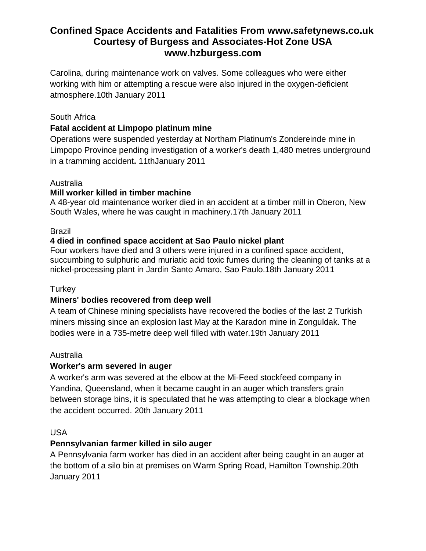Carolina, during maintenance work on valves. Some colleagues who were either working with him or attempting a rescue were also injured in the oxygen-deficient atmosphere.10th January 2011

### South Africa

### **Fatal accident at Limpopo platinum mine**

Operations were suspended yesterday at Northam Platinum's Zondereinde mine in Limpopo Province pending investigation of a worker's death 1,480 metres underground in a tramming accident**.** 11thJanuary 2011

#### Australia

#### **Mill worker killed in timber machine**

A 48-year old maintenance worker died in an accident at a timber mill in Oberon, New South Wales, where he was caught in machinery.17th January 2011

#### Brazil

### **4 died in confined space accident at Sao Paulo nickel plant**

Four workers have died and 3 others were injured in a confined space accident, succumbing to sulphuric and muriatic acid toxic fumes during the cleaning of tanks at a nickel-processing plant in Jardin Santo Amaro, Sao Paulo.18th January 2011

#### **Turkey**

## **Miners' bodies recovered from deep well**

A team of Chinese mining specialists have recovered the bodies of the last 2 Turkish miners missing since an explosion last May at the Karadon mine in Zonguldak. The bodies were in a 735-metre deep well filled with water.19th January 2011

#### Australia

#### **Worker's arm severed in auger**

A worker's arm was severed at the elbow at the Mi-Feed stockfeed company in Yandina, Queensland, when it became caught in an auger which transfers grain between storage bins, it is speculated that he was attempting to clear a blockage when the accident occurred. 20th January 2011

#### USA

#### **Pennsylvanian farmer killed in silo auger**

A Pennsylvania farm worker has died in an accident after being caught in an auger at the bottom of a silo bin at premises on Warm Spring Road, Hamilton Township.20th January 2011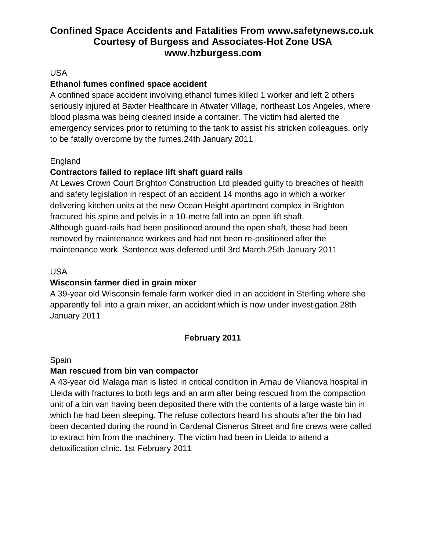## USA

## **Ethanol fumes confined space accident**

A confined space accident involving ethanol fumes killed 1 worker and left 2 others seriously injured at Baxter Healthcare in Atwater Village, northeast Los Angeles, where blood plasma was being cleaned inside a container. The victim had alerted the emergency services prior to returning to the tank to assist his stricken colleagues, only to be fatally overcome by the fumes.24th January 2011

## England

## **Contractors failed to replace lift shaft guard rails**

At Lewes Crown Court Brighton Construction Ltd pleaded guilty to breaches of health and safety legislation in respect of an accident 14 months ago in which a worker delivering kitchen units at the new Ocean Height apartment complex in Brighton fractured his spine and pelvis in a 10-metre fall into an open lift shaft. Although guard-rails had been positioned around the open shaft, these had been removed by maintenance workers and had not been re-positioned after the maintenance work. Sentence was deferred until 3rd March.25th January 2011

### USA

## **Wisconsin farmer died in grain mixer**

A 39-year old Wisconsin female farm worker died in an accident in Sterling where she apparently fell into a grain mixer, an accident which is now under investigation.28th January 2011

## **February 2011**

#### Spain

## **Man rescued from bin van compactor**

A 43-year old Malaga man is listed in critical condition in Arnau de Vilanova hospital in Lleida with fractures to both legs and an arm after being rescued from the compaction unit of a bin van having been deposited there with the contents of a large waste bin in which he had been sleeping. The refuse collectors heard his shouts after the bin had been decanted during the round in Cardenal Cisneros Street and fire crews were called to extract him from the machinery. The victim had been in Lleida to attend a detoxification clinic. 1st February 2011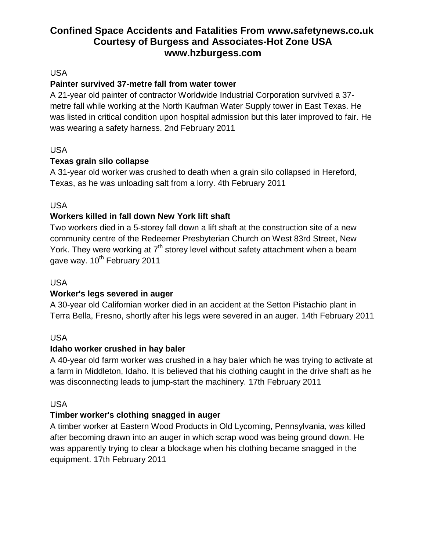USA

## **Painter survived 37-metre fall from water tower**

A 21-year old painter of contractor Worldwide Industrial Corporation survived a 37 metre fall while working at the North Kaufman Water Supply tower in East Texas. He was listed in critical condition upon hospital admission but this later improved to fair. He was wearing a safety harness. 2nd February 2011

## USA

## **Texas grain silo collapse**

A 31-year old worker was crushed to death when a grain silo collapsed in Hereford, Texas, as he was unloading salt from a lorry. 4th February 2011

USA

## **Workers killed in fall down New York lift shaft**

Two workers died in a 5-storey fall down a lift shaft at the construction site of a new community centre of the Redeemer Presbyterian Church on West 83rd Street, New York. They were working at  $7<sup>th</sup>$  storey level without safety attachment when a beam gave way. 10<sup>th</sup> February 2011

## USA

## **Worker's legs severed in auger**

A 30-year old Californian worker died in an accident at the Setton Pistachio plant in Terra Bella, Fresno, shortly after his legs were severed in an auger. 14th February 2011

## USA

## **Idaho worker crushed in hay baler**

A 40-year old farm worker was crushed in a hay baler which he was trying to activate at a farm in Middleton, Idaho. It is believed that his clothing caught in the drive shaft as he was disconnecting leads to jump-start the machinery. 17th February 2011

## USA

## **Timber worker's clothing snagged in auger**

A timber worker at Eastern Wood Products in Old Lycoming, Pennsylvania, was killed after becoming drawn into an auger in which scrap wood was being ground down. He was apparently trying to clear a blockage when his clothing became snagged in the equipment. 17th February 2011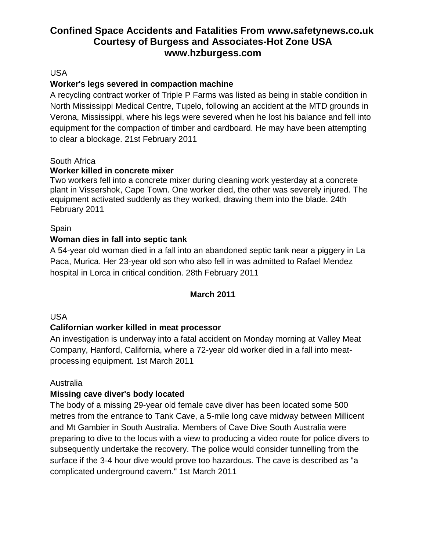### USA

## **Worker's legs severed in compaction machine**

A recycling contract worker of Triple P Farms was listed as being in stable condition in North Mississippi Medical Centre, Tupelo, following an accident at the MTD grounds in Verona, Mississippi, where his legs were severed when he lost his balance and fell into equipment for the compaction of timber and cardboard. He may have been attempting to clear a blockage. 21st February 2011

### South Africa

### **Worker killed in concrete mixer**

Two workers fell into a concrete mixer during cleaning work yesterday at a concrete plant in Vissershok, Cape Town. One worker died, the other was severely injured. The equipment activated suddenly as they worked, drawing them into the blade. 24th February 2011

### Spain

### **Woman dies in fall into septic tank**

A 54-year old woman died in a fall into an abandoned septic tank near a piggery in La Paca, Murica. Her 23-year old son who also fell in was admitted to Rafael Mendez hospital in Lorca in critical condition. 28th February 2011

## **March 2011**

## USA

## **Californian worker killed in meat processor**

An investigation is underway into a fatal accident on Monday morning at Valley Meat Company, Hanford, California, where a 72-year old worker died in a fall into meatprocessing equipment. 1st March 2011

#### Australia

#### **Missing cave diver's body located**

The body of a missing 29-year old female cave diver has been located some 500 metres from the entrance to Tank Cave, a 5-mile long cave midway between Millicent and Mt Gambier in South Australia. Members of Cave Dive South Australia were preparing to dive to the locus with a view to producing a video route for police divers to subsequently undertake the recovery. The police would consider tunnelling from the surface if the 3-4 hour dive would prove too hazardous. The cave is described as "a complicated underground cavern." 1st March 2011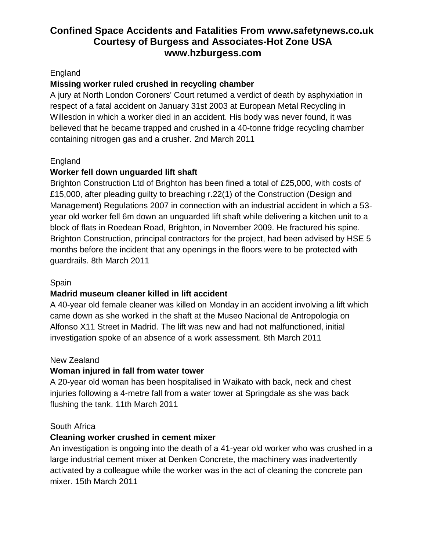## England

## **Missing worker ruled crushed in recycling chamber**

A jury at North London Coroners' Court returned a verdict of death by asphyxiation in respect of a fatal accident on January 31st 2003 at European Metal Recycling in Willesdon in which a worker died in an accident. His body was never found, it was believed that he became trapped and crushed in a 40-tonne fridge recycling chamber containing nitrogen gas and a crusher. 2nd March 2011

## England

## **Worker fell down unguarded lift shaft**

Brighton Construction Ltd of Brighton has been fined a total of £25,000, with costs of £15,000, after pleading guilty to breaching r.22(1) of the Construction (Design and Management) Regulations 2007 in connection with an industrial accident in which a 53 year old worker fell 6m down an unguarded lift shaft while delivering a kitchen unit to a block of flats in Roedean Road, Brighton, in November 2009. He fractured his spine. Brighton Construction, principal contractors for the project, had been advised by HSE 5 months before the incident that any openings in the floors were to be protected with guardrails. 8th March 2011

## **Spain**

## **Madrid museum cleaner killed in lift accident**

A 40-year old female cleaner was killed on Monday in an accident involving a lift which came down as she worked in the shaft at the Museo Nacional de Antropologia on Alfonso X11 Street in Madrid. The lift was new and had not malfunctioned, initial investigation spoke of an absence of a work assessment. 8th March 2011

## New Zealand

## **Woman injured in fall from water tower**

A 20-year old woman has been hospitalised in Waikato with back, neck and chest injuries following a 4-metre fall from a water tower at Springdale as she was back flushing the tank. 11th March 2011

## South Africa

## **Cleaning worker crushed in cement mixer**

An investigation is ongoing into the death of a 41-year old worker who was crushed in a large industrial cement mixer at Denken Concrete, the machinery was inadvertently activated by a colleague while the worker was in the act of cleaning the concrete pan mixer. 15th March 2011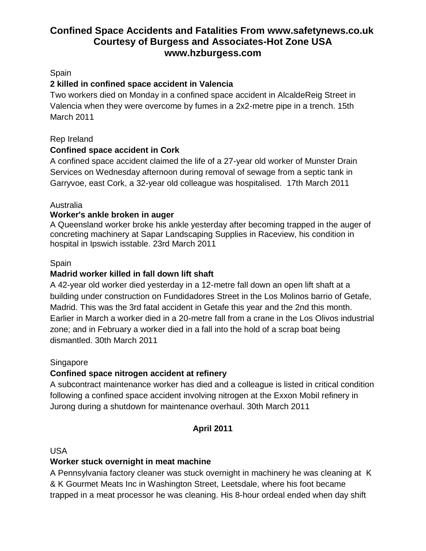## **Spain**

## **2 killed in confined space accident in Valencia**

Two workers died on Monday in a confined space accident in AlcaldeReig Street in Valencia when they were overcome by fumes in a 2x2-metre pipe in a trench. 15th March 2011

### Rep Ireland

## **Confined space accident in Cork**

A confined space accident claimed the life of a 27-year old worker of Munster Drain Services on Wednesday afternoon during removal of sewage from a septic tank in Garryvoe, east Cork, a 32-year old colleague was hospitalised. 17th March 2011

## Australia

### **Worker's ankle broken in auger**

A Queensland worker broke his ankle yesterday after becoming trapped in the auger of concreting machinery at Sapar Landscaping Supplies in Raceview, his condition in hospital in Ipswich isstable. 23rd March 2011

### Spain

## **Madrid worker killed in fall down lift shaft**

A 42-year old worker died yesterday in a 12-metre fall down an open lift shaft at a building under construction on Fundidadores Street in the Los Molinos barrio of Getafe, Madrid. This was the 3rd fatal accident in Getafe this year and the 2nd this month. Earlier in March a worker died in a 20-metre fall from a crane in the Los Olivos industrial zone; and in February a worker died in a fall into the hold of a scrap boat being dismantled. 30th March 2011

#### Singapore

## **Confined space nitrogen accident at refinery**

A subcontract maintenance worker has died and a colleague is listed in critical condition following a confined space accident involving nitrogen at the Exxon Mobil refinery in Jurong during a shutdown for maintenance overhaul. 30th March 2011

## **April 2011**

#### USA

## **Worker stuck overnight in meat machine**

A Pennsylvania factory cleaner was stuck overnight in machinery he was cleaning at K & K Gourmet Meats Inc in Washington Street, Leetsdale, where his foot became trapped in a meat processor he was cleaning. His 8-hour ordeal ended when day shift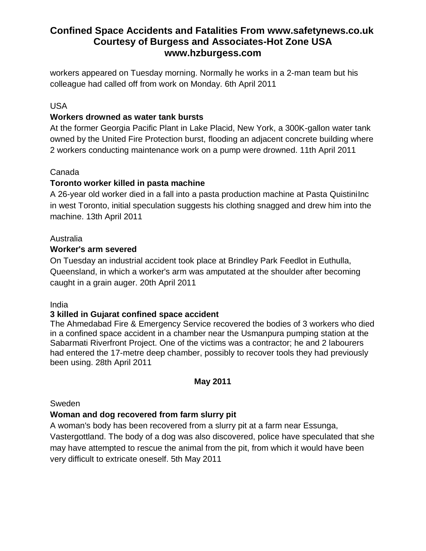workers appeared on Tuesday morning. Normally he works in a 2-man team but his colleague had called off from work on Monday. 6th April 2011

## USA

## **Workers drowned as water tank bursts**

At the former Georgia Pacific Plant in Lake Placid, New York, a 300K-gallon water tank owned by the United Fire Protection burst, flooding an adjacent concrete building where 2 workers conducting maintenance work on a pump were drowned. 11th April 2011

## Canada

## **Toronto worker killed in pasta machine**

A 26-year old worker died in a fall into a pasta production machine at Pasta QuistiniInc in west Toronto, initial speculation suggests his clothing snagged and drew him into the machine. 13th April 2011

## Australia

## **Worker's arm severed**

On Tuesday an industrial accident took place at Brindley Park Feedlot in Euthulla, Queensland, in which a worker's arm was amputated at the shoulder after becoming caught in a grain auger. 20th April 2011

## India

## **3 killed in Gujarat confined space accident**

The Ahmedabad Fire & Emergency Service recovered the bodies of 3 workers who died in a confined space accident in a chamber near the Usmanpura pumping station at the Sabarmati Riverfront Project. One of the victims was a contractor; he and 2 labourers had entered the 17-metre deep chamber, possibly to recover tools they had previously been using. 28th April 2011

## **May 2011**

## Sweden

## **Woman and dog recovered from farm slurry pit**

A woman's body has been recovered from a slurry pit at a farm near Essunga, Vastergottland. The body of a dog was also discovered, police have speculated that she may have attempted to rescue the animal from the pit, from which it would have been very difficult to extricate oneself. 5th May 2011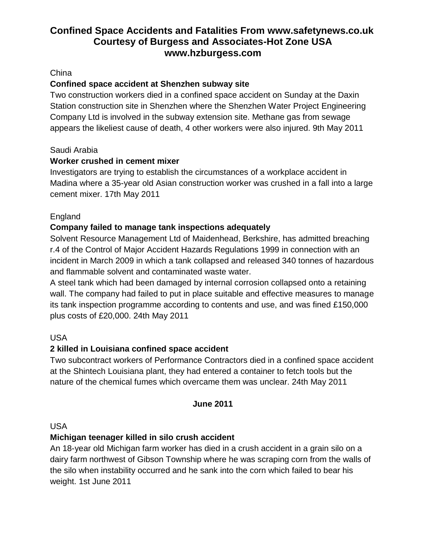# **China**

# **Confined space accident at Shenzhen subway site**

Two construction workers died in a confined space accident on Sunday at the Daxin Station construction site in Shenzhen where the Shenzhen Water Project Engineering Company Ltd is involved in the subway extension site. Methane gas from sewage appears the likeliest cause of death, 4 other workers were also injured. 9th May 2011

# Saudi Arabia

# **Worker crushed in cement mixer**

Investigators are trying to establish the circumstances of a workplace accident in Madina where a 35-year old Asian construction worker was crushed in a fall into a large cement mixer. 17th May 2011

# England

# **Company failed to manage tank inspections adequately**

Solvent Resource Management Ltd of Maidenhead, Berkshire, has admitted breaching r.4 of the Control of Major Accident Hazards Regulations 1999 in connection with an incident in March 2009 in which a tank collapsed and released 340 tonnes of hazardous and flammable solvent and contaminated waste water.

A steel tank which had been damaged by internal corrosion collapsed onto a retaining wall. The company had failed to put in place suitable and effective measures to manage its tank inspection programme according to contents and use, and was fined £150,000 plus costs of £20,000. 24th May 2011

# USA

# **2 killed in Louisiana confined space accident**

Two subcontract workers of Performance Contractors died in a confined space accident at the Shintech Louisiana plant, they had entered a container to fetch tools but the nature of the chemical fumes which overcame them was unclear. 24th May 2011

# **June 2011**

#### USA

# **Michigan teenager killed in silo crush accident**

An 18-year old Michigan farm worker has died in a crush accident in a grain silo on a dairy farm northwest of Gibson Township where he was scraping corn from the walls of the silo when instability occurred and he sank into the corn which failed to bear his weight. 1st June 2011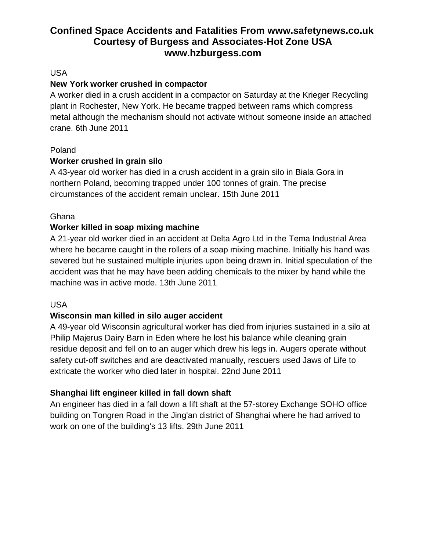# USA

# **New York worker crushed in compactor**

A worker died in a crush accident in a compactor on Saturday at the Krieger Recycling plant in Rochester, New York. He became trapped between rams which compress metal although the mechanism should not activate without someone inside an attached crane. 6th June 2011

# Poland

# **Worker crushed in grain silo**

A 43-year old worker has died in a crush accident in a grain silo in Biala Gora in northern Poland, becoming trapped under 100 tonnes of grain. The precise circumstances of the accident remain unclear. 15th June 2011

# **Ghana**

# **Worker killed in soap mixing machine**

A 21-year old worker died in an accident at Delta Agro Ltd in the Tema Industrial Area where he became caught in the rollers of a soap mixing machine. Initially his hand was severed but he sustained multiple injuries upon being drawn in. Initial speculation of the accident was that he may have been adding chemicals to the mixer by hand while the machine was in active mode. 13th June 2011

# USA

# **Wisconsin man killed in silo auger accident**

A 49-year old Wisconsin agricultural worker has died from injuries sustained in a silo at Philip Majerus Dairy Barn in Eden where he lost his balance while cleaning grain residue deposit and fell on to an auger which drew his legs in. Augers operate without safety cut-off switches and are deactivated manually, rescuers used Jaws of Life to extricate the worker who died later in hospital. 22nd June 2011

# **Shanghai lift engineer killed in fall down shaft**

An engineer has died in a fall down a lift shaft at the 57-storey Exchange SOHO office building on Tongren Road in the Jing'an district of Shanghai where he had arrived to work on one of the building's 13 lifts. 29th June 2011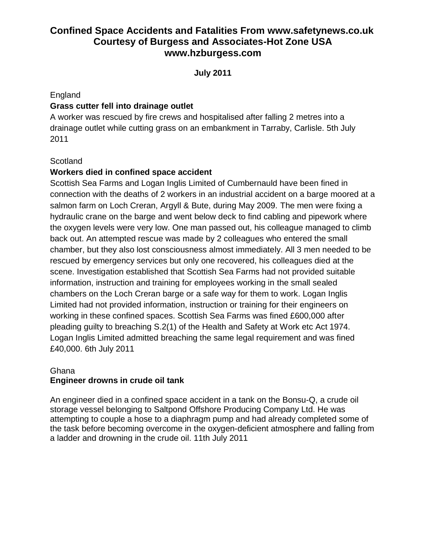**July 2011**

#### England

# **Grass cutter fell into drainage outlet**

A worker was rescued by fire crews and hospitalised after falling 2 metres into a drainage outlet while cutting grass on an embankment in Tarraby, Carlisle. 5th July 2011

## **Scotland**

# **Workers died in confined space accident**

Scottish Sea Farms and Logan Inglis Limited of Cumbernauld have been fined in connection with the deaths of 2 workers in an industrial accident on a barge moored at a salmon farm on Loch Creran, Argyll & Bute, during May 2009. The men were fixing a hydraulic crane on the barge and went below deck to find cabling and pipework where the oxygen levels were very low. One man passed out, his colleague managed to climb back out. An attempted rescue was made by 2 colleagues who entered the small chamber, but they also lost consciousness almost immediately. All 3 men needed to be rescued by emergency services but only one recovered, his colleagues died at the scene. Investigation established that Scottish Sea Farms had not provided suitable information, instruction and training for employees working in the small sealed chambers on the Loch Creran barge or a safe way for them to work. Logan Inglis Limited had not provided information, instruction or training for their engineers on working in these confined spaces. Scottish Sea Farms was fined £600,000 after pleading guilty to breaching S.2(1) of the Health and Safety at Work etc Act 1974. Logan Inglis Limited admitted breaching the same legal requirement and was fined £40,000. 6th July 2011

## Ghana **Engineer drowns in crude oil tank**

An engineer died in a confined space accident in a tank on the Bonsu-Q, a crude oil storage vessel belonging to Saltpond Offshore Producing Company Ltd. He was attempting to couple a hose to a diaphragm pump and had already completed some of the task before becoming overcome in the oxygen-deficient atmosphere and falling from a ladder and drowning in the crude oil. 11th July 2011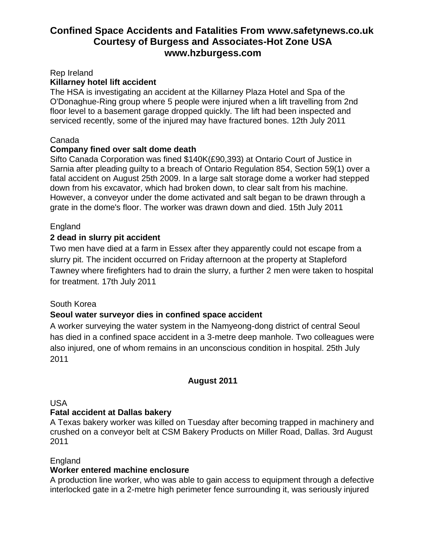Rep Ireland

## **Killarney hotel lift accident**

The HSA is investigating an accident at the Killarney Plaza Hotel and Spa of the O'Donaghue-Ring group where 5 people were injured when a lift travelling from 2nd floor level to a basement garage dropped quickly. The lift had been inspected and serviced recently, some of the injured may have fractured bones. 12th July 2011

#### Canada

## **Company fined over salt dome death**

Sifto Canada Corporation was fined \$140K(£90,393) at Ontario Court of Justice in Sarnia after pleading guilty to a breach of Ontario Regulation 854, Section 59(1) over a fatal accident on August 25th 2009. In a large salt storage dome a worker had stepped down from his excavator, which had broken down, to clear salt from his machine. However, a conveyor under the dome activated and salt began to be drawn through a grate in the dome's floor. The worker was drawn down and died. 15th July 2011

## England

## **2 dead in slurry pit accident**

Two men have died at a farm in Essex after they apparently could not escape from a slurry pit. The incident occurred on Friday afternoon at the property at Stapleford Tawney where firefighters had to drain the slurry, a further 2 men were taken to hospital for treatment. 17th July 2011

#### South Korea

# **Seoul water surveyor dies in confined space accident**

A worker surveying the water system in the Namyeong-dong district of central Seoul has died in a confined space accident in a 3-metre deep manhole. Two colleagues were also injured, one of whom remains in an unconscious condition in hospital. 25th July 2011

# **August 2011**

USA

# **Fatal accident at Dallas bakery**

A Texas bakery worker was killed on Tuesday after becoming trapped in machinery and crushed on a conveyor belt at CSM Bakery Products on Miller Road, Dallas. 3rd August 2011

#### **England**

#### **Worker entered machine enclosure**

A production line worker, who was able to gain access to equipment through a defective interlocked gate in a 2-metre high perimeter fence surrounding it, was seriously injured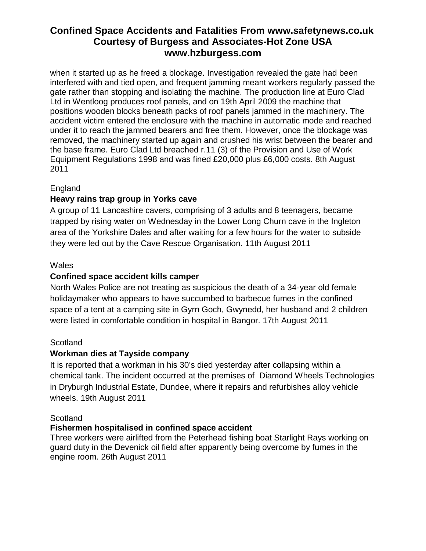when it started up as he freed a blockage. Investigation revealed the gate had been interfered with and tied open, and frequent jamming meant workers regularly passed the gate rather than stopping and isolating the machine. The production line at Euro Clad Ltd in Wentloog produces roof panels, and on 19th April 2009 the machine that positions wooden blocks beneath packs of roof panels jammed in the machinery. The accident victim entered the enclosure with the machine in automatic mode and reached under it to reach the jammed bearers and free them. However, once the blockage was removed, the machinery started up again and crushed his wrist between the bearer and the base frame. Euro Clad Ltd breached r.11 (3) of the Provision and Use of Work Equipment Regulations 1998 and was fined £20,000 plus £6,000 costs. 8th August 2011

# England

# **Heavy rains trap group in Yorks cave**

A group of 11 Lancashire cavers, comprising of 3 adults and 8 teenagers, became trapped by rising water on Wednesday in the Lower Long Churn cave in the Ingleton area of the Yorkshire Dales and after waiting for a few hours for the water to subside they were led out by the Cave Rescue Organisation. 11th August 2011

# **Wales**

# **Confined space accident kills camper**

North Wales Police are not treating as suspicious the death of a 34-year old female holidaymaker who appears to have succumbed to barbecue fumes in the confined space of a tent at a camping site in Gyrn Goch, Gwynedd, her husband and 2 children were listed in comfortable condition in hospital in Bangor. 17th August 2011

# **Scotland**

# **Workman dies at Tayside company**

It is reported that a workman in his 30's died yesterday after collapsing within a chemical tank. The incident occurred at the premises of Diamond Wheels Technologies in Dryburgh Industrial Estate, Dundee, where it repairs and refurbishes alloy vehicle wheels. 19th August 2011

#### **Scotland**

# **Fishermen hospitalised in confined space accident**

Three workers were airlifted from the Peterhead fishing boat Starlight Rays working on guard duty in the Devenick oil field after apparently being overcome by fumes in the engine room. 26th August 2011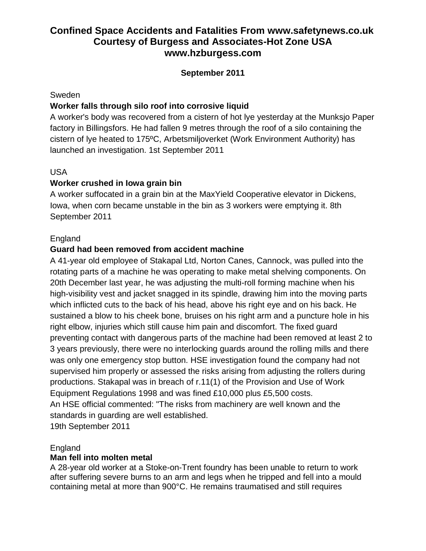# **September 2011**

#### Sweden

# **Worker falls through silo roof into corrosive liquid**

A worker's body was recovered from a cistern of hot lye yesterday at the Munksjo Paper factory in Billingsfors. He had fallen 9 metres through the roof of a silo containing the cistern of lye heated to 175ºC, Arbetsmiljoverket (Work Environment Authority) has launched an investigation. 1st September 2011

## USA

# **Worker crushed in Iowa grain bin**

A worker suffocated in a grain bin at the MaxYield Cooperative elevator in Dickens, Iowa, when corn became unstable in the bin as 3 workers were emptying it. 8th September 2011

## England

## **Guard had been removed from accident machine**

A 41-year old employee of Stakapal Ltd, Norton Canes, Cannock, was pulled into the rotating parts of a machine he was operating to make metal shelving components. On 20th December last year, he was adjusting the multi-roll forming machine when his high-visibility vest and jacket snagged in its spindle, drawing him into the moving parts which inflicted cuts to the back of his head, above his right eye and on his back. He sustained a blow to his cheek bone, bruises on his right arm and a puncture hole in his right elbow, injuries which still cause him pain and discomfort. The fixed guard preventing contact with dangerous parts of the machine had been removed at least 2 to 3 years previously, there were no interlocking guards around the rolling mills and there was only one emergency stop button. HSE investigation found the company had not supervised him properly or assessed the risks arising from adjusting the rollers during productions. Stakapal was in breach of r.11(1) of the Provision and Use of Work Equipment Regulations 1998 and was fined £10,000 plus £5,500 costs. An HSE official commented: "The risks from machinery are well known and the standards in guarding are well established. 19th September 2011

England

#### **Man fell into molten metal**

A 28-year old worker at a Stoke-on-Trent foundry has been unable to return to work after suffering severe burns to an arm and legs when he tripped and fell into a mould containing metal at more than 900°C. He remains traumatised and still requires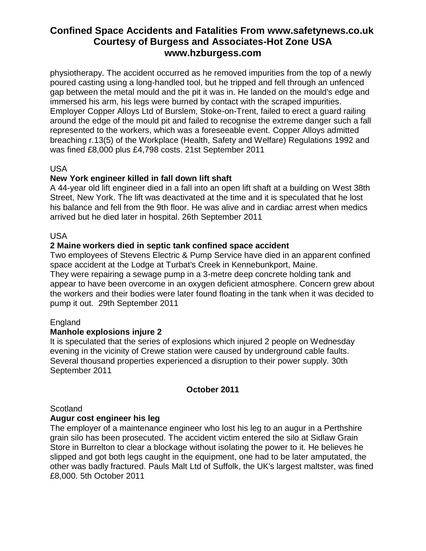physiotherapy. The accident occurred as he removed impurities from the top of a newly poured casting using a long-handled tool, but he tripped and fell through an unfenced gap between the metal mould and the pit it was in. He landed on the mould's edge and immersed his arm, his legs were burned by contact with the scraped impurities. Employer Copper Alloys Ltd of Burslem, Stoke-on-Trent, failed to erect a guard railing around the edge of the mould pit and failed to recognise the extreme danger such a fall represented to the workers, which was a foreseeable event. Copper Alloys admitted breaching r.13(5) of the Workplace (Health, Safety and Welfare) Regulations 1992 and was fined £8,000 plus £4,798 costs. 21st September 2011

## USA

# **New York engineer killed in fall down lift shaft**

A 44-year old lift engineer died in a fall into an open lift shaft at a building on West 38th Street, New York. The lift was deactivated at the time and it is speculated that he lost his balance and fell from the 9th floor. He was alive and in cardiac arrest when medics arrived but he died later in hospital. 26th September 2011

#### USA

## **2 Maine workers died in septic tank confined space accident**

Two employees of Stevens Electric & Pump Service have died in an apparent confined space accident at the Lodge at Turbat's Creek in Kennebunkport, Maine. They were repairing a sewage pump in a 3-metre deep concrete holding tank and appear to have been overcome in an oxygen deficient atmosphere. Concern grew about the workers and their bodies were later found floating in the tank when it was decided to pump it out. 29th September 2011

# **England**

#### **Manhole explosions injure 2**

It is speculated that the series of explosions which injured 2 people on Wednesday evening in the vicinity of Crewe station were caused by underground cable faults. Several thousand properties experienced a disruption to their power supply. 30th September 2011

# **October 2011**

#### Scotland

#### **Augur cost engineer his leg**

The employer of a maintenance engineer who lost his leg to an augur in a Perthshire grain silo has been prosecuted. The accident victim entered the silo at Sidlaw Grain Store in Burrelton to clear a blockage without isolating the power to it. He believes he slipped and got both legs caught in the equipment, one had to be later amputated, the other was badly fractured. Pauls Malt Ltd of Suffolk, the UK's largest maltster, was fined £8,000. 5th October 2011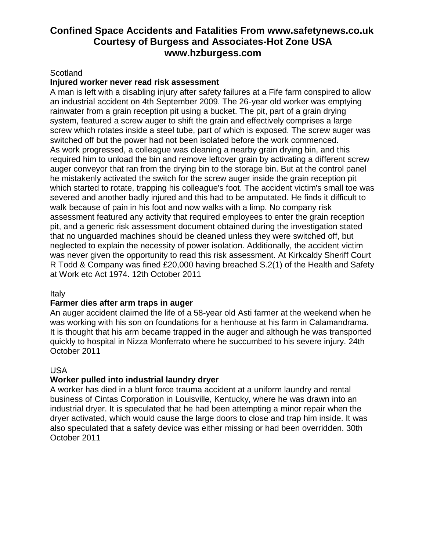#### **Scotland**

#### **Injured worker never read risk assessment**

A man is left with a disabling injury after safety failures at a Fife farm conspired to allow an industrial accident on 4th September 2009. The 26-year old worker was emptying rainwater from a grain reception pit using a bucket. The pit, part of a grain drying system, featured a screw auger to shift the grain and effectively comprises a large screw which rotates inside a steel tube, part of which is exposed. The screw auger was switched off but the power had not been isolated before the work commenced. As work progressed, a colleague was cleaning a nearby grain drying bin, and this required him to unload the bin and remove leftover grain by activating a different screw auger conveyor that ran from the drying bin to the storage bin. But at the control panel he mistakenly activated the switch for the screw auger inside the grain reception pit which started to rotate, trapping his colleague's foot. The accident victim's small toe was severed and another badly injured and this had to be amputated. He finds it difficult to walk because of pain in his foot and now walks with a limp. No company risk assessment featured any activity that required employees to enter the grain reception pit, and a generic risk assessment document obtained during the investigation stated that no unguarded machines should be cleaned unless they were switched off, but neglected to explain the necessity of power isolation. Additionally, the accident victim was never given the opportunity to read this risk assessment. At Kirkcaldy Sheriff Court R Todd & Company was fined £20,000 having breached S.2(1) of the Health and Safety at Work etc Act 1974. 12th October 2011

#### Italy

#### **Farmer dies after arm traps in auger**

An auger accident claimed the life of a 58-year old Asti farmer at the weekend when he was working with his son on foundations for a henhouse at his farm in Calamandrama. It is thought that his arm became trapped in the auger and although he was transported quickly to hospital in Nizza Monferrato where he succumbed to his severe injury. 24th October 2011

#### USA

#### **Worker pulled into industrial laundry dryer**

A worker has died in a blunt force trauma accident at a uniform laundry and rental business of Cintas Corporation in Louisville, Kentucky, where he was drawn into an industrial dryer. It is speculated that he had been attempting a minor repair when the dryer activated, which would cause the large doors to close and trap him inside. It was also speculated that a safety device was either missing or had been overridden. 30th October 2011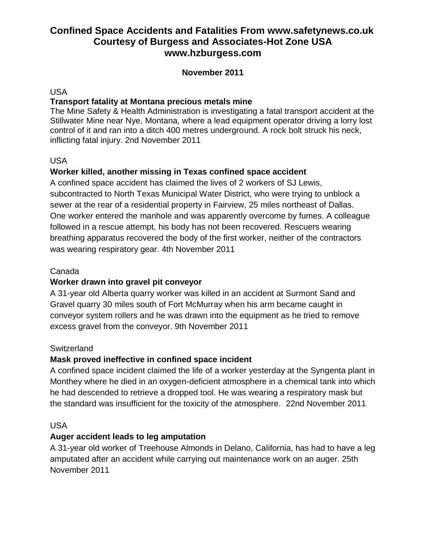## **November 2011**

USA

## **Transport fatality at Montana precious metals mine**

The Mine Safety & Health Administration is investigating a fatal transport accident at the Stillwater Mine near Nye, Montana, where a lead equipment operator driving a lorry lost control of it and ran into a ditch 400 metres underground. A rock bolt struck his neck, inflicting fatal injury. 2nd November 2011

USA

# **Worker killed, another missing in Texas confined space accident**

A confined space accident has claimed the lives of 2 workers of SJ Lewis, subcontracted to North Texas Municipal Water District, who were trying to unblock a sewer at the rear of a residential property in Fairview, 25 miles northeast of Dallas. One worker entered the manhole and was apparently overcome by fumes. A colleague followed in a rescue attempt, his body has not been recovered. Rescuers wearing breathing apparatus recovered the body of the first worker, neither of the contractors was wearing respiratory gear. 4th November 2011

#### Canada

#### **Worker drawn into gravel pit conveyor**

A 31-year old Alberta quarry worker was killed in an accident at Surmont Sand and Gravel quarry 30 miles south of Fort McMurray when his arm became caught in conveyor system rollers and he was drawn into the equipment as he tried to remove excess gravel from the conveyor. 9th November 2011

#### **Switzerland**

#### **Mask proved ineffective in confined space incident**

A confined space incident claimed the life of a worker yesterday at the Syngenta plant in Monthey where he died in an oxygen-deficient atmosphere in a chemical tank into which he had descended to retrieve a dropped tool. He was wearing a respiratory mask but the standard was insufficient for the toxicity of the atmosphere. 22nd November 2011

USA

#### **Auger accident leads to leg amputation**

A 31-year old worker of Treehouse Almonds in Delano, California, has had to have a leg amputated after an accident while carrying out maintenance work on an auger. 25th November 2011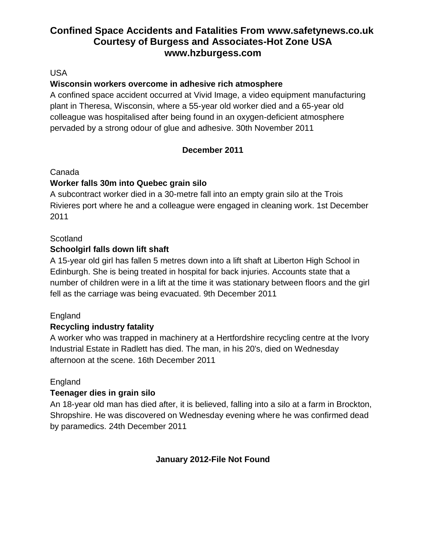USA

# **Wisconsin workers overcome in adhesive rich atmosphere**

A confined space accident occurred at Vivid Image, a video equipment manufacturing plant in Theresa, Wisconsin, where a 55-year old worker died and a 65-year old colleague was hospitalised after being found in an oxygen-deficient atmosphere pervaded by a strong odour of glue and adhesive. 30th November 2011

# **December 2011**

## Canada

# **Worker falls 30m into Quebec grain silo**

A subcontract worker died in a 30-metre fall into an empty grain silo at the Trois Rivieres port where he and a colleague were engaged in cleaning work. 1st December 2011

# **Scotland**

# **Schoolgirl falls down lift shaft**

A 15-year old girl has fallen 5 metres down into a lift shaft at Liberton High School in Edinburgh. She is being treated in hospital for back injuries. Accounts state that a number of children were in a lift at the time it was stationary between floors and the girl fell as the carriage was being evacuated. 9th December 2011

# England

# **Recycling industry fatality**

A worker who was trapped in machinery at a Hertfordshire recycling centre at the Ivory Industrial Estate in Radlett has died. The man, in his 20's, died on Wednesday afternoon at the scene. 16th December 2011

#### England

# **Teenager dies in grain silo**

An 18-year old man has died after, it is believed, falling into a silo at a farm in Brockton, Shropshire. He was discovered on Wednesday evening where he was confirmed dead by paramedics. 24th December 2011

# **January 2012-File Not Found**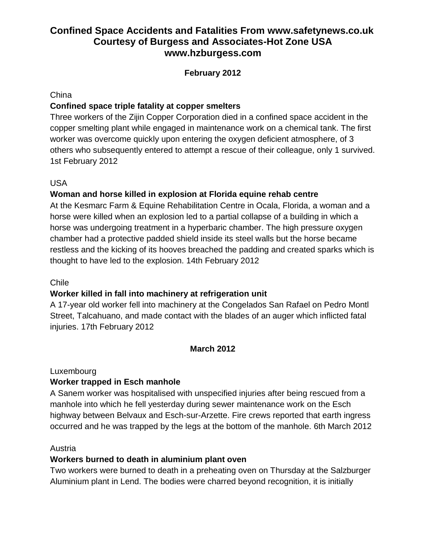# **February 2012**

#### **China**

# **Confined space triple fatality at copper smelters**

Three workers of the Zijin Copper Corporation died in a confined space accident in the copper smelting plant while engaged in maintenance work on a chemical tank. The first worker was overcome quickly upon entering the oxygen deficient atmosphere, of 3 others who subsequently entered to attempt a rescue of their colleague, only 1 survived. 1st February 2012

# USA

# **Woman and horse killed in explosion at Florida equine rehab centre**

At the Kesmarc Farm & Equine Rehabilitation Centre in Ocala, Florida, a woman and a horse were killed when an explosion led to a partial collapse of a building in which a horse was undergoing treatment in a hyperbaric chamber. The high pressure oxygen chamber had a protective padded shield inside its steel walls but the horse became restless and the kicking of its hooves breached the padding and created sparks which is thought to have led to the explosion. 14th February 2012

#### Chile

# **Worker killed in fall into machinery at refrigeration unit**

A 17-year old worker fell into machinery at the Congelados San Rafael on Pedro Montl Street, Talcahuano, and made contact with the blades of an auger which inflicted fatal injuries. 17th February 2012

# **March 2012**

#### Luxembourg

# **Worker trapped in Esch manhole**

A Sanem worker was hospitalised with unspecified injuries after being rescued from a manhole into which he fell yesterday during sewer maintenance work on the Esch highway between Belvaux and Esch-sur-Arzette. Fire crews reported that earth ingress occurred and he was trapped by the legs at the bottom of the manhole. 6th March 2012

#### Austria

# **Workers burned to death in aluminium plant oven**

Two workers were burned to death in a preheating oven on Thursday at the Salzburger Aluminium plant in Lend. The bodies were charred beyond recognition, it is initially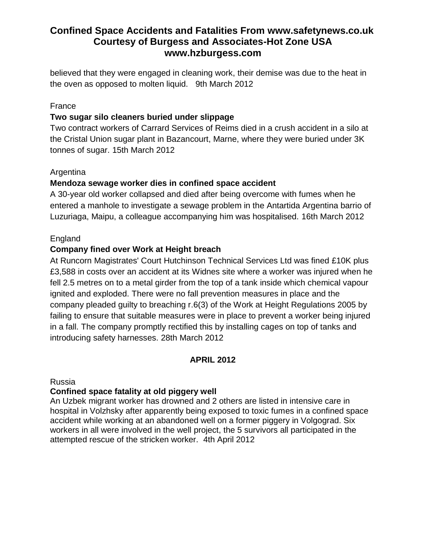believed that they were engaged in cleaning work, their demise was due to the heat in the oven as opposed to molten liquid. 9th March 2012

## France

# **Two sugar silo cleaners buried under slippage**

Two contract workers of Carrard Services of Reims died in a crush accident in a silo at the Cristal Union sugar plant in Bazancourt, Marne, where they were buried under 3K tonnes of sugar. 15th March 2012

# Argentina

# **Mendoza sewage worker dies in confined space accident**

A 30-year old worker collapsed and died after being overcome with fumes when he entered a manhole to investigate a sewage problem in the Antartida Argentina barrio of Luzuriaga, Maipu, a colleague accompanying him was hospitalised. 16th March 2012

## England

## **Company fined over Work at Height breach**

At Runcorn Magistrates' Court Hutchinson Technical Services Ltd was fined £10K plus £3,588 in costs over an accident at its Widnes site where a worker was injured when he fell 2.5 metres on to a metal girder from the top of a tank inside which chemical vapour ignited and exploded. There were no fall prevention measures in place and the company pleaded guilty to breaching r.6(3) of the Work at Height Regulations 2005 by failing to ensure that suitable measures were in place to prevent a worker being injured in a fall. The company promptly rectified this by installing cages on top of tanks and introducing safety harnesses. 28th March 2012

# **APRIL 2012**

#### Russia

#### **Confined space fatality at old piggery well**

An Uzbek migrant worker has drowned and 2 others are listed in intensive care in hospital in Volzhsky after apparently being exposed to toxic fumes in a confined space accident while working at an abandoned well on a former piggery in Volgograd. Six workers in all were involved in the well project, the 5 survivors all participated in the attempted rescue of the stricken worker. 4th April 2012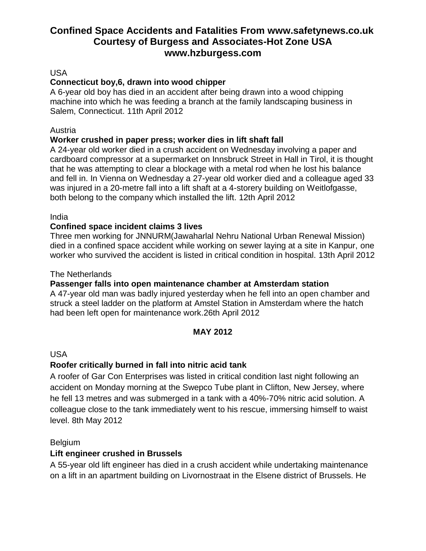#### USA

# **Connecticut boy,6, drawn into wood chipper**

A 6-year old boy has died in an accident after being drawn into a wood chipping machine into which he was feeding a branch at the family landscaping business in Salem, Connecticut. 11th April 2012

#### Austria

## **Worker crushed in paper press; worker dies in lift shaft fall**

A 24-year old worker died in a crush accident on Wednesday involving a paper and cardboard compressor at a supermarket on Innsbruck Street in Hall in Tirol, it is thought that he was attempting to clear a blockage with a metal rod when he lost his balance and fell in. In Vienna on Wednesday a 27-year old worker died and a colleague aged 33 was injured in a 20-metre fall into a lift shaft at a 4-storery building on Weitlofgasse, both belong to the company which installed the lift. 12th April 2012

#### India

## **Confined space incident claims 3 lives**

Three men working for JNNURM(Jawaharlal Nehru National Urban Renewal Mission) died in a confined space accident while working on sewer laying at a site in Kanpur, one worker who survived the accident is listed in critical condition in hospital. 13th April 2012

#### The Netherlands

#### **Passenger falls into open maintenance chamber at Amsterdam station**

A 47-year old man was badly injured yesterday when he fell into an open chamber and struck a steel ladder on the platform at Amstel Station in Amsterdam where the hatch had been left open for maintenance work.26th April 2012

#### **MAY 2012**

#### USA

# **Roofer critically burned in fall into nitric acid tank**

A roofer of Gar Con Enterprises was listed in critical condition last night following an accident on Monday morning at the Swepco Tube plant in Clifton, New Jersey, where he fell 13 metres and was submerged in a tank with a 40%-70% nitric acid solution. A colleague close to the tank immediately went to his rescue, immersing himself to waist level. 8th May 2012

#### Belgium

# **Lift engineer crushed in Brussels**

A 55-year old lift engineer has died in a crush accident while undertaking maintenance on a lift in an apartment building on Livornostraat in the Elsene district of Brussels. He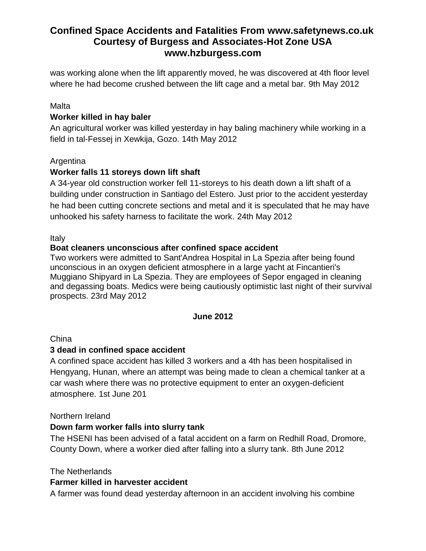was working alone when the lift apparently moved, he was discovered at 4th floor level where he had become crushed between the lift cage and a metal bar. 9th May 2012

## Malta

## **Worker killed in hay baler**

An agricultural worker was killed yesterday in hay baling machinery while working in a field in tal-Fessej in Xewkija, Gozo. 14th May 2012

#### **Argentina**

## **Worker falls 11 storeys down lift shaft**

A 34-year old construction worker fell 11-storeys to his death down a lift shaft of a building under construction in Santiago del Estero. Just prior to the accident yesterday he had been cutting concrete sections and metal and it is speculated that he may have unhooked his safety harness to facilitate the work. 24th May 2012

Italy

## **Boat cleaners unconscious after confined space accident**

Two workers were admitted to Sant'Andrea Hospital in La Spezia after being found unconscious in an oxygen deficient atmosphere in a large yacht at Fincantieri's Muggiano Shipyard in La Spezia. They are employees of Sepor engaged in cleaning and degassing boats. Medics were being cautiously optimistic last night of their survival prospects. 23rd May 2012

#### **June 2012**

China

#### **3 dead in confined space accident**

A confined space accident has killed 3 workers and a 4th has been hospitalised in Hengyang, Hunan, where an attempt was being made to clean a chemical tanker at a car wash where there was no protective equipment to enter an oxygen-deficient atmosphere. 1st June 201

#### Northern Ireland

#### **Down farm worker falls into slurry tank**

The HSENI has been advised of a fatal accident on a farm on Redhill Road, Dromore, County Down, where a worker died after falling into a slurry tank. 8th June 2012

#### The Netherlands

#### **Farmer killed in harvester accident**

A farmer was found dead yesterday afternoon in an accident involving his combine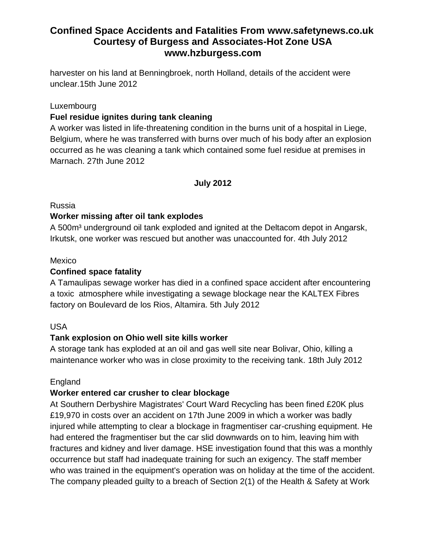harvester on his land at Benningbroek, north Holland, details of the accident were unclear.15th June 2012

#### Luxembourg

# **Fuel residue ignites during tank cleaning**

A worker was listed in life-threatening condition in the burns unit of a hospital in Liege, Belgium, where he was transferred with burns over much of his body after an explosion occurred as he was cleaning a tank which contained some fuel residue at premises in Marnach. 27th June 2012

## **July 2012**

#### Russia

## **Worker missing after oil tank explodes**

A 500 $m<sup>3</sup>$  underground oil tank exploded and ignited at the Deltacom depot in Angarsk, Irkutsk, one worker was rescued but another was unaccounted for. 4th July 2012

#### Mexico

# **Confined space fatality**

A Tamaulipas sewage worker has died in a confined space accident after encountering a toxic atmosphere while investigating a sewage blockage near the KALTEX Fibres factory on Boulevard de los Rios, Altamira. 5th July 2012

#### USA

# **Tank explosion on Ohio well site kills worker**

A storage tank has exploded at an oil and gas well site near Bolivar, Ohio, killing a maintenance worker who was in close proximity to the receiving tank. 18th July 2012

#### England

# **Worker entered car crusher to clear blockage**

At Southern Derbyshire Magistrates' Court Ward Recycling has been fined £20K plus £19,970 in costs over an accident on 17th June 2009 in which a worker was badly injured while attempting to clear a blockage in fragmentiser car-crushing equipment. He had entered the fragmentiser but the car slid downwards on to him, leaving him with fractures and kidney and liver damage. HSE investigation found that this was a monthly occurrence but staff had inadequate training for such an exigency. The staff member who was trained in the equipment's operation was on holiday at the time of the accident. The company pleaded guilty to a breach of Section 2(1) of the Health & Safety at Work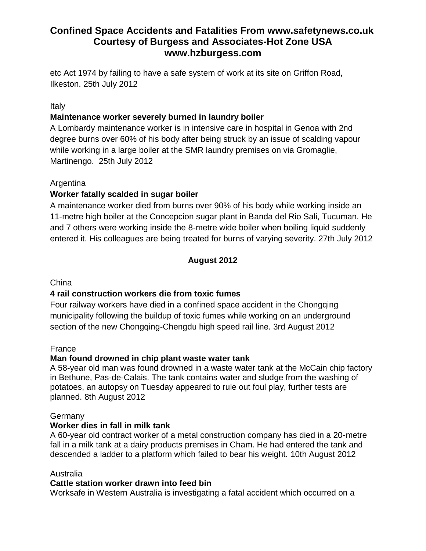etc Act 1974 by failing to have a safe system of work at its site on Griffon Road, Ilkeston. 25th July 2012

#### Italy

# **Maintenance worker severely burned in laundry boiler**

A Lombardy maintenance worker is in intensive care in hospital in Genoa with 2nd degree burns over 60% of his body after being struck by an issue of scalding vapour while working in a large boiler at the SMR laundry premises on via Gromaglie, Martinengo. 25th July 2012

## Argentina

# **Worker fatally scalded in sugar boiler**

A maintenance worker died from burns over 90% of his body while working inside an 11-metre high boiler at the Concepcion sugar plant in Banda del Rio Sali, Tucuman. He and 7 others were working inside the 8-metre wide boiler when boiling liquid suddenly entered it. His colleagues are being treated for burns of varying severity. 27th July 2012

# **August 2012**

#### China

# **4 rail construction workers die from toxic fumes**

Four railway workers have died in a confined space accident in the Chongqing municipality following the buildup of toxic fumes while working on an underground section of the new Chongqing-Chengdu high speed rail line. 3rd August 2012

#### France

# **Man found drowned in chip plant waste water tank**

A 58-year old man was found drowned in a waste water tank at the McCain chip factory in Bethune, Pas-de-Calais. The tank contains water and sludge from the washing of potatoes, an autopsy on Tuesday appeared to rule out foul play, further tests are planned. 8th August 2012

#### **Germany**

# **Worker dies in fall in milk tank**

A 60-year old contract worker of a metal construction company has died in a 20-metre fall in a milk tank at a dairy products premises in Cham. He had entered the tank and descended a ladder to a platform which failed to bear his weight. 10th August 2012

#### Australia

#### **Cattle station worker drawn into feed bin**

Worksafe in Western Australia is investigating a fatal accident which occurred on a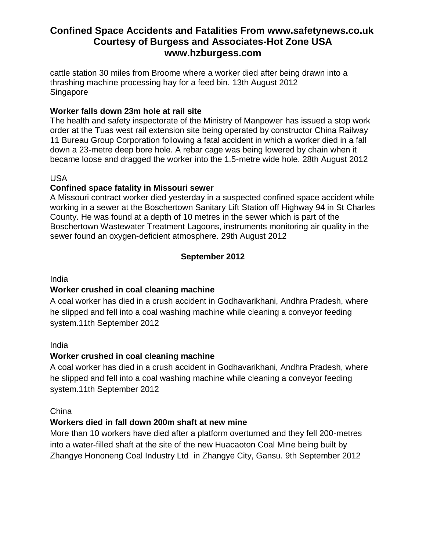cattle station 30 miles from Broome where a worker died after being drawn into a thrashing machine processing hay for a feed bin. 13th August 2012 Singapore

# **Worker falls down 23m hole at rail site**

The health and safety inspectorate of the Ministry of Manpower has issued a stop work order at the Tuas west rail extension site being operated by constructor China Railway 11 Bureau Group Corporation following a fatal accident in which a worker died in a fall down a 23-metre deep bore hole. A rebar cage was being lowered by chain when it became loose and dragged the worker into the 1.5-metre wide hole. 28th August 2012

#### USA

## **Confined space fatality in Missouri sewer**

A Missouri contract worker died yesterday in a suspected confined space accident while working in a sewer at the Boschertown Sanitary Lift Station off Highway 94 in St Charles County. He was found at a depth of 10 metres in the sewer which is part of the Boschertown Wastewater Treatment Lagoons, instruments monitoring air quality in the sewer found an oxygen-deficient atmosphere. 29th August 2012

# **September 2012**

#### India

# **Worker crushed in coal cleaning machine**

A coal worker has died in a crush accident in Godhavarikhani, Andhra Pradesh, where he slipped and fell into a coal washing machine while cleaning a conveyor feeding system.11th September 2012

#### India

#### **Worker crushed in coal cleaning machine**

A coal worker has died in a crush accident in Godhavarikhani, Andhra Pradesh, where he slipped and fell into a coal washing machine while cleaning a conveyor feeding system.11th September 2012

#### China

#### **Workers died in fall down 200m shaft at new mine**

More than 10 workers have died after a platform overturned and they fell 200-metres into a water-filled shaft at the site of the new Huacaoton Coal Mine being built by Zhangye Hononeng Coal Industry Ltd in Zhangye City, Gansu. 9th September 2012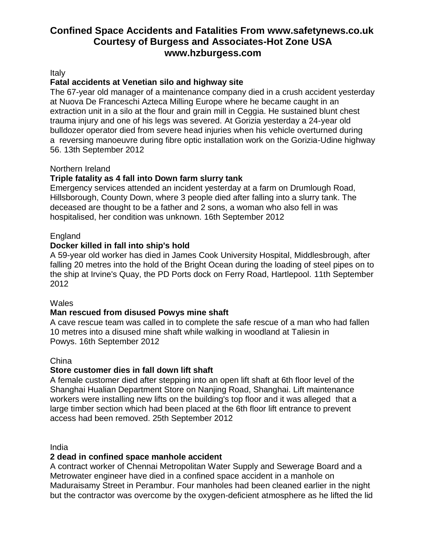Italy

## **Fatal accidents at Venetian silo and highway site**

The 67-year old manager of a maintenance company died in a crush accident yesterday at Nuova De Franceschi Azteca Milling Europe where he became caught in an extraction unit in a silo at the flour and grain mill in Ceggia. He sustained blunt chest trauma injury and one of his legs was severed. At Gorizia yesterday a 24-year old bulldozer operator died from severe head injuries when his vehicle overturned during a reversing manoeuvre during fibre optic installation work on the Gorizia-Udine highway 56. 13th September 2012

#### Northern Ireland

## **Triple fatality as 4 fall into Down farm slurry tank**

Emergency services attended an incident yesterday at a farm on Drumlough Road, Hillsborough, County Down, where 3 people died after falling into a slurry tank. The deceased are thought to be a father and 2 sons, a woman who also fell in was hospitalised, her condition was unknown. 16th September 2012

#### England

#### **Docker killed in fall into ship's hold**

A 59-year old worker has died in James Cook University Hospital, Middlesbrough, after falling 20 metres into the hold of the Bright Ocean during the loading of steel pipes on to the ship at Irvine's Quay, the PD Ports dock on Ferry Road, Hartlepool. 11th September 2012

#### **Wales**

#### **Man rescued from disused Powys mine shaft**

A cave rescue team was called in to complete the safe rescue of a man who had fallen 10 metres into a disused mine shaft while walking in woodland at Taliesin in Powys. 16th September 2012

#### China

#### **Store customer dies in fall down lift shaft**

A female customer died after stepping into an open lift shaft at 6th floor level of the Shanghai Hualian Department Store on Nanjing Road, Shanghai. Lift maintenance workers were installing new lifts on the building's top floor and it was alleged that a large timber section which had been placed at the 6th floor lift entrance to prevent access had been removed. 25th September 2012

India

#### **2 dead in confined space manhole accident**

A contract worker of Chennai Metropolitan Water Supply and Sewerage Board and a Metrowater engineer have died in a confined space accident in a manhole on Maduraisamy Street in Perambur. Four manholes had been cleaned earlier in the night but the contractor was overcome by the oxygen-deficient atmosphere as he lifted the lid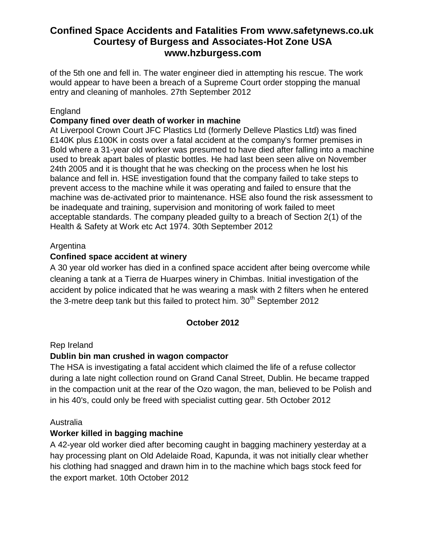of the 5th one and fell in. The water engineer died in attempting his rescue. The work would appear to have been a breach of a Supreme Court order stopping the manual entry and cleaning of manholes. 27th September 2012

## England

## **Company fined over death of worker in machine**

At Liverpool Crown Court JFC Plastics Ltd (formerly Delleve Plastics Ltd) was fined £140K plus £100K in costs over a fatal accident at the company's former premises in Bold where a 31-year old worker was presumed to have died after falling into a machine used to break apart bales of plastic bottles. He had last been seen alive on November 24th 2005 and it is thought that he was checking on the process when he lost his balance and fell in. HSE investigation found that the company failed to take steps to prevent access to the machine while it was operating and failed to ensure that the machine was de-activated prior to maintenance. HSE also found the risk assessment to be inadequate and training, supervision and monitoring of work failed to meet acceptable standards. The company pleaded guilty to a breach of Section 2(1) of the Health & Safety at Work etc Act 1974. 30th September 2012

#### **Argentina**

# **Confined space accident at winery**

A 30 year old worker has died in a confined space accident after being overcome while cleaning a tank at a Tierra de Huarpes winery in Chimbas. Initial investigation of the accident by police indicated that he was wearing a mask with 2 filters when he entered the 3-metre deep tank but this failed to protect him.  $30<sup>th</sup>$  September 2012

# **October 2012**

#### Rep Ireland

#### **Dublin bin man crushed in wagon compactor**

The HSA is investigating a fatal accident which claimed the life of a refuse collector during a late night collection round on Grand Canal Street, Dublin. He became trapped in the compaction unit at the rear of the Ozo wagon, the man, believed to be Polish and in his 40's, could only be freed with specialist cutting gear. 5th October 2012

#### Australia

# **Worker killed in bagging machine**

A 42-year old worker died after becoming caught in bagging machinery yesterday at a hay processing plant on Old Adelaide Road, Kapunda, it was not initially clear whether his clothing had snagged and drawn him in to the machine which bags stock feed for the export market. 10th October 2012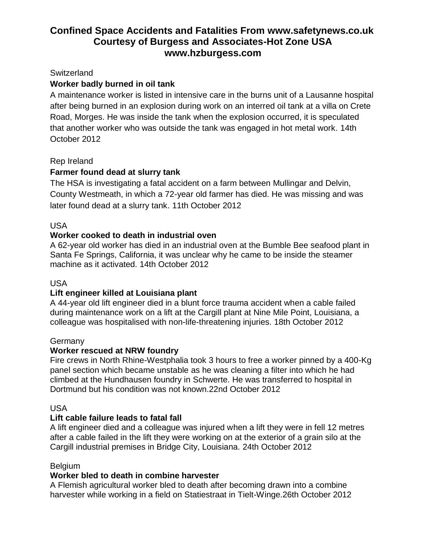## **Switzerland**

# **Worker badly burned in oil tank**

A maintenance worker is listed in intensive care in the burns unit of a Lausanne hospital after being burned in an explosion during work on an interred oil tank at a villa on Crete Road, Morges. He was inside the tank when the explosion occurred, it is speculated that another worker who was outside the tank was engaged in hot metal work. 14th October 2012

## Rep Ireland

# **Farmer found dead at slurry tank**

The HSA is investigating a fatal accident on a farm between Mullingar and Delvin, County Westmeath, in which a 72-year old farmer has died. He was missing and was later found dead at a slurry tank. 11th October 2012

## USA

## **Worker cooked to death in industrial oven**

A 62-year old worker has died in an industrial oven at the Bumble Bee seafood plant in Santa Fe Springs, California, it was unclear why he came to be inside the steamer machine as it activated. 14th October 2012

#### USA

#### **Lift engineer killed at Louisiana plant**

A 44-year old lift engineer died in a blunt force trauma accident when a cable failed during maintenance work on a lift at the Cargill plant at Nine Mile Point, Louisiana, a colleague was hospitalised with non-life-threatening injuries. 18th October 2012

#### **Germany**

#### **Worker rescued at NRW foundry**

Fire crews in North Rhine-Westphalia took 3 hours to free a worker pinned by a 400-Kg panel section which became unstable as he was cleaning a filter into which he had climbed at the Hundhausen foundry in Schwerte. He was transferred to hospital in Dortmund but his condition was not known.22nd October 2012

#### USA

#### **Lift cable failure leads to fatal fall**

A lift engineer died and a colleague was injured when a lift they were in fell 12 metres after a cable failed in the lift they were working on at the exterior of a grain silo at the Cargill industrial premises in Bridge City, Louisiana. 24th October 2012

#### **Belgium**

#### **Worker bled to death in combine harvester**

A Flemish agricultural worker bled to death after becoming drawn into a combine harvester while working in a field on Statiestraat in Tielt-Winge.26th October 2012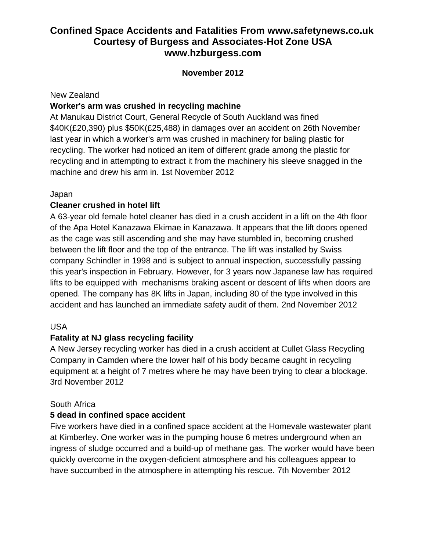## **November 2012**

#### New Zealand

## **Worker's arm was crushed in recycling machine**

At Manukau District Court, General Recycle of South Auckland was fined \$40K(£20,390) plus \$50K(£25,488) in damages over an accident on 26th November last year in which a worker's arm was crushed in machinery for baling plastic for recycling. The worker had noticed an item of different grade among the plastic for recycling and in attempting to extract it from the machinery his sleeve snagged in the machine and drew his arm in. 1st November 2012

## Japan

## **Cleaner crushed in hotel lift**

A 63-year old female hotel cleaner has died in a crush accident in a lift on the 4th floor of the Apa Hotel Kanazawa Ekimae in Kanazawa. It appears that the lift doors opened as the cage was still ascending and she may have stumbled in, becoming crushed between the lift floor and the top of the entrance. The lift was installed by Swiss company Schindler in 1998 and is subject to annual inspection, successfully passing this year's inspection in February. However, for 3 years now Japanese law has required lifts to be equipped with mechanisms braking ascent or descent of lifts when doors are opened. The company has 8K lifts in Japan, including 80 of the type involved in this accident and has launched an immediate safety audit of them. 2nd November 2012

#### USA

# **Fatality at NJ glass recycling facility**

A New Jersey recycling worker has died in a crush accident at Cullet Glass Recycling Company in Camden where the lower half of his body became caught in recycling equipment at a height of 7 metres where he may have been trying to clear a blockage. 3rd November 2012

#### South Africa

#### **5 dead in confined space accident**

Five workers have died in a confined space accident at the Homevale wastewater plant at Kimberley. One worker was in the pumping house 6 metres underground when an ingress of sludge occurred and a build-up of methane gas. The worker would have been quickly overcome in the oxygen-deficient atmosphere and his colleagues appear to have succumbed in the atmosphere in attempting his rescue. 7th November 2012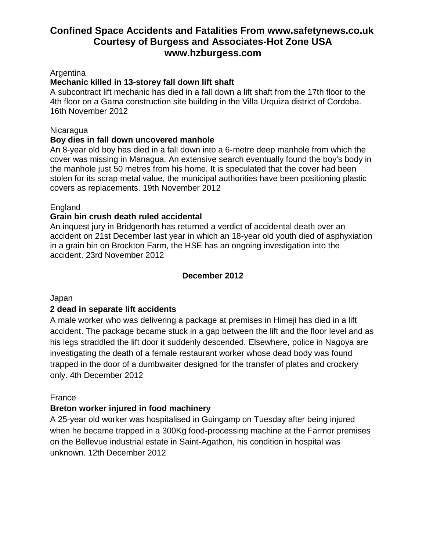#### Argentina

#### **Mechanic killed in 13-storey fall down lift shaft**

A subcontract lift mechanic has died in a fall down a lift shaft from the 17th floor to the 4th floor on a Gama construction site building in the Villa Urquiza district of Cordoba. 16th November 2012

#### **Nicaragua**

#### **Boy dies in fall down uncovered manhole**

An 8-year old boy has died in a fall down into a 6-metre deep manhole from which the cover was missing in Managua. An extensive search eventually found the boy's body in the manhole just 50 metres from his home. It is speculated that the cover had been stolen for its scrap metal value, the municipal authorities have been positioning plastic covers as replacements. 19th November 2012

#### **England**

#### **Grain bin crush death ruled accidental**

An inquest jury in Bridgenorth has returned a verdict of accidental death over an accident on 21st December last year in which an 18-year old youth died of asphyxiation in a grain bin on Brockton Farm, the HSE has an ongoing investigation into the accident. 23rd November 2012

#### **December 2012**

Japan

#### **2 dead in separate lift accidents**

A male worker who was delivering a package at premises in Himeji has died in a lift accident. The package became stuck in a gap between the lift and the floor level and as his legs straddled the lift door it suddenly descended. Elsewhere, police in Nagoya are investigating the death of a female restaurant worker whose dead body was found trapped in the door of a dumbwaiter designed for the transfer of plates and crockery only. 4th December 2012

#### France

#### **Breton worker injured in food machinery**

A 25-year old worker was hospitalised in Guingamp on Tuesday after being injured when he became trapped in a 300Kg food-processing machine at the Farmor premises on the Bellevue industrial estate in Saint-Agathon, his condition in hospital was unknown. 12th December 2012